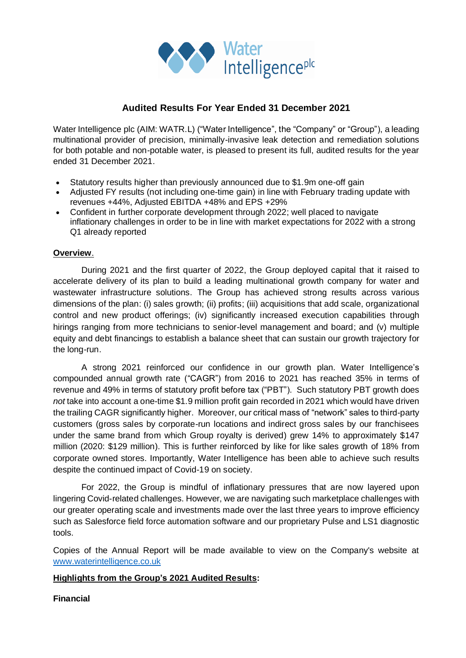

# **Audited Results For Year Ended 31 December 2021**

Water Intelligence plc (AIM: WATR.L) ("Water Intelligence", the "Company" or "Group"), a leading multinational provider of precision, minimally-invasive leak detection and remediation solutions for both potable and non-potable water, is pleased to present its full, audited results for the year ended 31 December 2021.

- Statutory results higher than previously announced due to \$1.9m one-off gain
- Adjusted FY results (not including one-time gain) in line with February trading update with revenues +44%, Adjusted EBITDA +48% and EPS +29%
- Confident in further corporate development through 2022; well placed to navigate inflationary challenges in order to be in line with market expectations for 2022 with a strong Q1 already reported

# **Overview**.

During 2021 and the first quarter of 2022, the Group deployed capital that it raised to accelerate delivery of its plan to build a leading multinational growth company for water and wastewater infrastructure solutions. The Group has achieved strong results across various dimensions of the plan: (i) sales growth; (ii) profits; (iii) acquisitions that add scale, organizational control and new product offerings; (iv) significantly increased execution capabilities through hirings ranging from more technicians to senior-level management and board; and (v) multiple equity and debt financings to establish a balance sheet that can sustain our growth trajectory for the long-run.

A strong 2021 reinforced our confidence in our growth plan. Water Intelligence's compounded annual growth rate ("CAGR") from 2016 to 2021 has reached 35% in terms of revenue and 49% in terms of statutory profit before tax ("PBT"). Such statutory PBT growth does *not* take into account a one-time \$1.9 million profit gain recorded in 2021 which would have driven the trailing CAGR significantly higher. Moreover, our critical mass of "network" sales to third-party customers (gross sales by corporate-run locations and indirect gross sales by our franchisees under the same brand from which Group royalty is derived) grew 14% to approximately \$147 million (2020: \$129 million). This is further reinforced by like for like sales growth of 18% from corporate owned stores. Importantly, Water Intelligence has been able to achieve such results despite the continued impact of Covid-19 on society.

For 2022, the Group is mindful of inflationary pressures that are now layered upon lingering Covid-related challenges. However, we are navigating such marketplace challenges with our greater operating scale and investments made over the last three years to improve efficiency such as Salesforce field force automation software and our proprietary Pulse and LS1 diagnostic tools.

Copies of the Annual Report will be made available to view on the Company's website at [www.waterintelligence.co.uk](http://www.waterintelligence.co.uk/)

# **Highlights from the Group's 2021 Audited Results:**

# **Financial**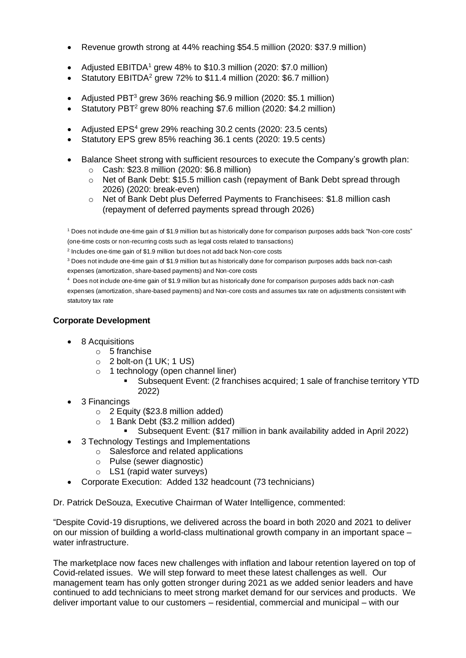- Revenue growth strong at 44% reaching \$54.5 million (2020: \$37.9 million)
- Adjusted EBITDA<sup>1</sup> grew 48% to \$10.3 million (2020: \$7.0 million)
- Statutory EBITDA<sup>2</sup> grew 72% to \$11.4 million (2020: \$6.7 million)
- Adjusted PBT<sup>3</sup> grew 36% reaching \$6.9 million (2020: \$5.1 million)
- Statutory PBT<sup>2</sup> grew 80% reaching \$7.6 million (2020: \$4.2 million)
- Adjusted EPS<sup>4</sup> grew 29% reaching 30.2 cents (2020: 23.5 cents)
- Statutory EPS grew 85% reaching 36.1 cents (2020: 19.5 cents)
- Balance Sheet strong with sufficient resources to execute the Company's growth plan:
	- o Cash: \$23.8 million (2020: \$6.8 million)
	- o Net of Bank Debt: \$15.5 million cash (repayment of Bank Debt spread through 2026) (2020: break-even)
	- o Net of Bank Debt plus Deferred Payments to Franchisees: \$1.8 million cash (repayment of deferred payments spread through 2026)

<sup>1</sup> Does not include one-time gain of \$1.9 million but as historically done for comparison purposes adds back "Non-core costs" (one-time costs or non-recurring costs such as legal costs related to transactions)

<sup>2</sup> Includes one-time gain of \$1.9 million but does not add back Non-core costs

<sup>3</sup> Does not include one-time gain of \$1.9 million but as historically done for comparison purposes adds back non-cash expenses (amortization, share-based payments) and Non-core costs

4 Does not include one-time gain of \$1.9 million but as historically done for comparison purposes adds back non-cash expenses (amortization, share-based payments) and Non-core costs and assumes tax rate on adjustments consistent with statutory tax rate

# **Corporate Development**

- 8 Acquisitions
	- o 5 franchise
	- $\circ$  2 bolt-on (1 UK; 1 US)
	- o 1 technology (open channel liner)
		- Subsequent Event: (2 franchises acquired; 1 sale of franchise territory YTD 2022)
- 3 Financings
	- o 2 Equity (\$23.8 million added)
	- o 1 Bank Debt (\$3.2 million added)
		- Subsequent Event: (\$17 million in bank availability added in April 2022)
- 3 Technology Testings and Implementations
	- o Salesforce and related applications
		- o Pulse (sewer diagnostic)
		- o LS1 (rapid water surveys)
- Corporate Execution: Added 132 headcount (73 technicians)

Dr. Patrick DeSouza, Executive Chairman of Water Intelligence, commented:

"Despite Covid-19 disruptions, we delivered across the board in both 2020 and 2021 to deliver on our mission of building a world-class multinational growth company in an important space – water infrastructure.

The marketplace now faces new challenges with inflation and labour retention layered on top of Covid-related issues. We will step forward to meet these latest challenges as well. Our management team has only gotten stronger during 2021 as we added senior leaders and have continued to add technicians to meet strong market demand for our services and products. We deliver important value to our customers – residential, commercial and municipal – with our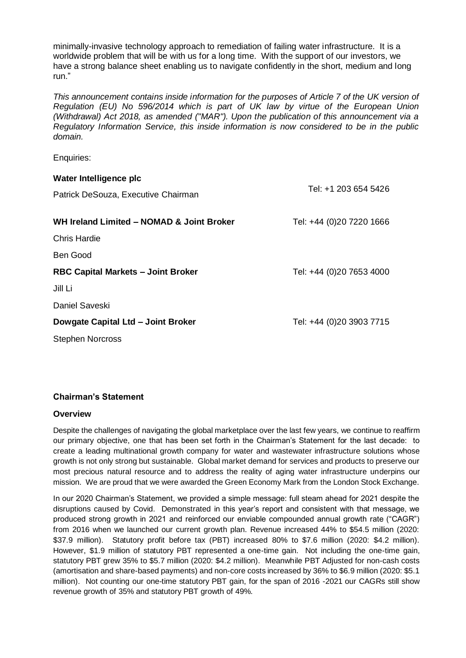minimally-invasive technology approach to remediation of failing water infrastructure. It is a worldwide problem that will be with us for a long time. With the support of our investors, we have a strong balance sheet enabling us to navigate confidently in the short, medium and long run."

*This announcement contains inside information for the purposes of Article 7 of the UK version of Regulation (EU) No 596/2014 which is part of UK law by virtue of the European Union (Withdrawal) Act 2018, as amended ("MAR"). Upon the publication of this announcement via a Regulatory Information Service, this inside information is now considered to be in the public domain.*

Enquiries:

| Water Intelligence plc                    |                          |
|-------------------------------------------|--------------------------|
| Patrick DeSouza, Executive Chairman       | Tel: +1 203 654 5426     |
| WH Ireland Limited - NOMAD & Joint Broker | Tel: +44 (0)20 7220 1666 |
| Chris Hardie                              |                          |
| Ben Good                                  |                          |
| <b>RBC Capital Markets - Joint Broker</b> | Tel: +44 (0)20 7653 4000 |
| Jill Li                                   |                          |
| Daniel Saveski                            |                          |
| Dowgate Capital Ltd - Joint Broker        | Tel: +44 (0)20 3903 7715 |
| <b>Stephen Norcross</b>                   |                          |

# **Chairman's Statement**

# **Overview**

Despite the challenges of navigating the global marketplace over the last few years, we continue to reaffirm our primary objective, one that has been set forth in the Chairman's Statement for the last decade: to create a leading multinational growth company for water and wastewater infrastructure solutions whose growth is not only strong but sustainable. Global market demand for services and products to preserve our most precious natural resource and to address the reality of aging water infrastructure underpins our mission. We are proud that we were awarded the Green Economy Mark from the London Stock Exchange.

In our 2020 Chairman's Statement, we provided a simple message: full steam ahead for 2021 despite the disruptions caused by Covid. Demonstrated in this year's report and consistent with that message, we produced strong growth in 2021 and reinforced our enviable compounded annual growth rate ("CAGR") from 2016 when we launched our current growth plan. Revenue increased 44% to \$54.5 million (2020: \$37.9 million). Statutory profit before tax (PBT) increased 80% to \$7.6 million (2020: \$4.2 million). However, \$1.9 million of statutory PBT represented a one-time gain. Not including the one-time gain, statutory PBT grew 35% to \$5.7 million (2020: \$4.2 million). Meanwhile PBT Adjusted for non-cash costs (amortisation and share-based payments) and non-core costs increased by 36% to \$6.9 million (2020: \$5.1 million). Not counting our one-time statutory PBT gain, for the span of 2016 -2021 our CAGRs still show revenue growth of 35% and statutory PBT growth of 49%.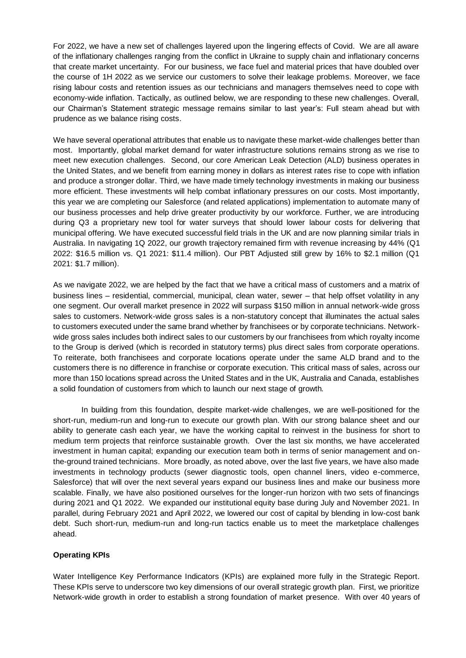For 2022, we have a new set of challenges layered upon the lingering effects of Covid. We are all aware of the inflationary challenges ranging from the conflict in Ukraine to supply chain and inflationary concerns that create market uncertainty. For our business, we face fuel and material prices that have doubled over the course of 1H 2022 as we service our customers to solve their leakage problems. Moreover, we face rising labour costs and retention issues as our technicians and managers themselves need to cope with economy-wide inflation. Tactically, as outlined below, we are responding to these new challenges. Overall, our Chairman's Statement strategic message remains similar to last year's: Full steam ahead but with prudence as we balance rising costs.

We have several operational attributes that enable us to navigate these market-wide challenges better than most. Importantly, global market demand for water infrastructure solutions remains strong as we rise to meet new execution challenges. Second, our core American Leak Detection (ALD) business operates in the United States, and we benefit from earning money in dollars as interest rates rise to cope with inflation and produce a stronger dollar. Third, we have made timely technology investments in making our business more efficient. These investments will help combat inflationary pressures on our costs. Most importantly, this year we are completing our Salesforce (and related applications) implementation to automate many of our business processes and help drive greater productivity by our workforce. Further, we are introducing during Q3 a proprietary new tool for water surveys that should lower labour costs for delivering that municipal offering. We have executed successful field trials in the UK and are now planning similar trials in Australia. In navigating 1Q 2022, our growth trajectory remained firm with revenue increasing by 44% (Q1 2022: \$16.5 million vs. Q1 2021: \$11.4 million). Our PBT Adjusted still grew by 16% to \$2.1 million (Q1 2021: \$1.7 million).

As we navigate 2022, we are helped by the fact that we have a critical mass of customers and a matrix of business lines – residential, commercial, municipal, clean water, sewer – that help offset volatility in any one segment. Our overall market presence in 2022 will surpass \$150 million in annual network-wide gross sales to customers. Network-wide gross sales is a non-statutory concept that illuminates the actual sales to customers executed under the same brand whether by franchisees or by corporate technicians. Networkwide gross sales includes both indirect sales to our customers by our franchisees from which royalty income to the Group is derived (which is recorded in statutory terms) plus direct sales from corporate operations. To reiterate, both franchisees and corporate locations operate under the same ALD brand and to the customers there is no difference in franchise or corporate execution. This critical mass of sales, across our more than 150 locations spread across the United States and in the UK, Australia and Canada, establishes a solid foundation of customers from which to launch our next stage of growth.

In building from this foundation, despite market-wide challenges, we are well-positioned for the short-run, medium-run and long-run to execute our growth plan. With our strong balance sheet and our ability to generate cash each year, we have the working capital to reinvest in the business for short to medium term projects that reinforce sustainable growth. Over the last six months, we have accelerated investment in human capital; expanding our execution team both in terms of senior management and onthe-ground trained technicians. More broadly, as noted above, over the last five years, we have also made investments in technology products (sewer diagnostic tools, open channel liners, video e-commerce, Salesforce) that will over the next several years expand our business lines and make our business more scalable. Finally, we have also positioned ourselves for the longer-run horizon with two sets of financings during 2021 and Q1 2022. We expanded our institutional equity base during July and November 2021. In parallel, during February 2021 and April 2022, we lowered our cost of capital by blending in low-cost bank debt. Such short-run, medium-run and long-run tactics enable us to meet the marketplace challenges ahead.

## **Operating KPIs**

Water Intelligence Key Performance Indicators (KPIs) are explained more fully in the Strategic Report. These KPIs serve to underscore two key dimensions of our overall strategic growth plan. First, we prioritize Network-wide growth in order to establish a strong foundation of market presence. With over 40 years of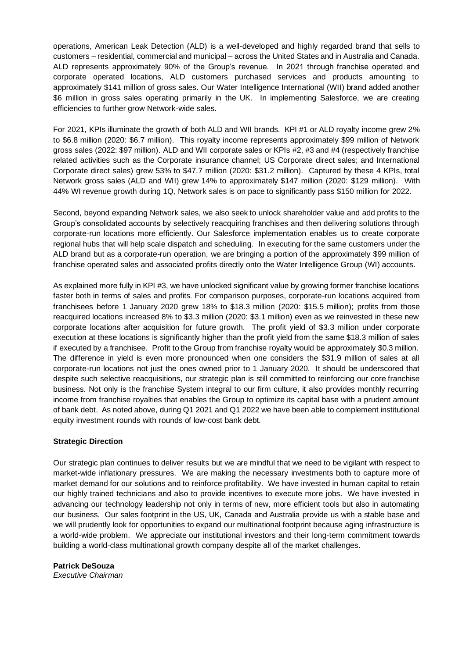operations, American Leak Detection (ALD) is a well-developed and highly regarded brand that sells to customers –residential, commercial and municipal – across the United States and in Australia and Canada. ALD represents approximately 90% of the Group's revenue. In 2021 through franchise operated and corporate operated locations, ALD customers purchased services and products amounting to approximately \$141 million of gross sales. Our Water Intelligence International (WII) brand added another \$6 million in gross sales operating primarily in the UK. In implementing Salesforce, we are creating efficiencies to further grow Network-wide sales.

For 2021, KPIs illuminate the growth of both ALD and WII brands. KPI #1 or ALD royalty income grew 2% to \$6.8 million (2020: \$6.7 million). This royalty income represents approximately \$99 million of Network gross sales (2022: \$97 million). ALD and WII corporate sales or KPIs #2, #3 and #4 (respectively franchise related activities such as the Corporate insurance channel; US Corporate direct sales; and International Corporate direct sales) grew 53% to \$47.7 million (2020: \$31.2 million). Captured by these 4 KPIs, total Network gross sales (ALD and WII) grew 14% to approximately \$147 million (2020: \$129 million). With 44% WI revenue growth during 1Q, Network sales is on pace to significantly pass \$150 million for 2022.

Second, beyond expanding Network sales, we also seek to unlock shareholder value and add profits to the Group's consolidated accounts by selectively reacquiring franchises and then delivering solutions through corporate-run locations more efficiently. Our Salesforce implementation enables us to create corporate regional hubs that will help scale dispatch and scheduling. In executing for the same customers under the ALD brand but as a corporate-run operation, we are bringing a portion of the approximately \$99 million of franchise operated sales and associated profits directly onto the Water Intelligence Group (WI) accounts.

As explained more fully in KPI #3, we have unlocked significant value by growing former franchise locations faster both in terms of sales and profits. For comparison purposes, corporate-run locations acquired from franchisees before 1 January 2020 grew 18% to \$18.3 million (2020: \$15.5 million); profits from those reacquired locations increased 8% to \$3.3 million (2020: \$3.1 million) even as we reinvested in these new corporate locations after acquisition for future growth. The profit yield of \$3.3 million under corporate execution at these locations is significantly higher than the profit yield from the same \$18.3 million of sales if executed by a franchisee. Profit to the Group from franchise royalty would be approximately \$0.3 million. The difference in yield is even more pronounced when one considers the \$31.9 million of sales at all corporate-run locations not just the ones owned prior to 1 January 2020. It should be underscored that despite such selective reacquisitions, our strategic plan is still committed to reinforcing our core franchise business. Not only is the franchise System integral to our firm culture, it also provides monthly recurring income from franchise royalties that enables the Group to optimize its capital base with a prudent amount of bank debt. As noted above, during Q1 2021 and Q1 2022 we have been able to complement institutional equity investment rounds with rounds of low-cost bank debt.

## **Strategic Direction**

Our strategic plan continues to deliver results but we are mindful that we need to be vigilant with respect to market-wide inflationary pressures. We are making the necessary investments both to capture more of market demand for our solutions and to reinforce profitability. We have invested in human capital to retain our highly trained technicians and also to provide incentives to execute more jobs. We have invested in advancing our technology leadership not only in terms of new, more efficient tools but also in automating our business. Our sales footprint in the US, UK, Canada and Australia provide us with a stable base and we will prudently look for opportunities to expand our multinational footprint because aging infrastructure is a world-wide problem. We appreciate our institutional investors and their long-term commitment towards building a world-class multinational growth company despite all of the market challenges.

**Patrick DeSouza** 

*Executive Chairman*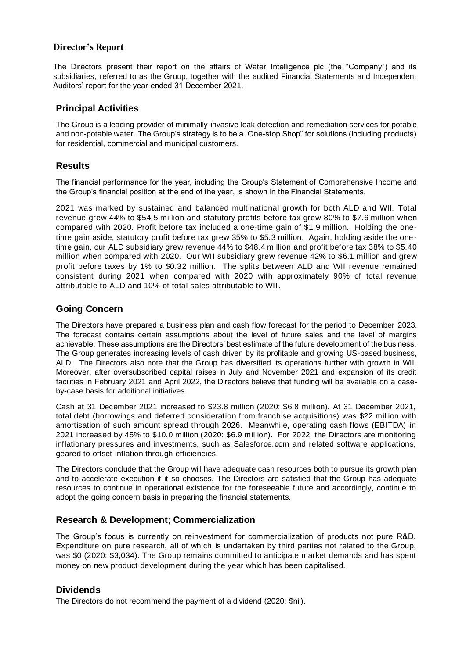# **Director's Report**

The Directors present their report on the affairs of Water Intelligence plc (the "Company") and its subsidiaries, referred to as the Group, together with the audited Financial Statements and Independent Auditors' report for the year ended 31 December 2021.

## **Principal Activities**

The Group is a leading provider of minimally-invasive leak detection and remediation services for potable and non-potable water. The Group's strategy is to be a "One-stop Shop" for solutions (including products) for residential, commercial and municipal customers.

# **Results**

The financial performance for the year, including the Group's Statement of Comprehensive Income and the Group's financial position at the end of the year, is shown in the Financial Statements.

2021 was marked by sustained and balanced multinational growth for both ALD and WII. Total revenue grew 44% to \$54.5 million and statutory profits before tax grew 80% to \$7.6 million when compared with 2020. Profit before tax included a one-time gain of \$1.9 million. Holding the onetime gain aside, statutory profit before tax grew 35% to \$5.3 million. Again, holding aside the onetime gain, our ALD subsidiary grew revenue 44% to \$48.4 million and profit before tax 38% to \$5.40 million when compared with 2020. Our WII subsidiary grew revenue 42% to \$6.1 million and grew profit before taxes by 1% to \$0.32 million. The splits between ALD and WII revenue remained consistent during 2021 when compared with 2020 with approximately 90% of total revenue attributable to ALD and 10% of total sales attributable to WII.

# **Going Concern**

The Directors have prepared a business plan and cash flow forecast for the period to December 2023. The forecast contains certain assumptions about the level of future sales and the level of margins achievable. These assumptions are the Directors' best estimate of the future development of the business. The Group generates increasing levels of cash driven by its profitable and growing US-based business, ALD. The Directors also note that the Group has diversified its operations further with growth in WII. Moreover, after oversubscribed capital raises in July and November 2021 and expansion of its credit facilities in February 2021 and April 2022, the Directors believe that funding will be available on a caseby-case basis for additional initiatives.

Cash at 31 December 2021 increased to \$23.8 million (2020: \$6.8 million). At 31 December 2021, total debt (borrowings and deferred consideration from franchise acquisitions) was \$22 million with amortisation of such amount spread through 2026. Meanwhile, operating cash flows (EBITDA) in 2021 increased by 45% to \$10.0 million (2020: \$6.9 million). For 2022, the Directors are monitoring inflationary pressures and investments, such as Salesforce.com and related software applications, geared to offset inflation through efficiencies.

The Directors conclude that the Group will have adequate cash resources both to pursue its growth plan and to accelerate execution if it so chooses. The Directors are satisfied that the Group has adequate resources to continue in operational existence for the foreseeable future and accordingly, continue to adopt the going concern basis in preparing the financial statements.

# **Research & Development; Commercialization**

The Group's focus is currently on reinvestment for commercialization of products not pure R&D. Expenditure on pure research, all of which is undertaken by third parties not related to the Group, was \$0 (2020: \$3,034). The Group remains committed to anticipate market demands and has spent money on new product development during the year which has been capitalised.

# **Dividends**

The Directors do not recommend the payment of a dividend (2020: \$nil).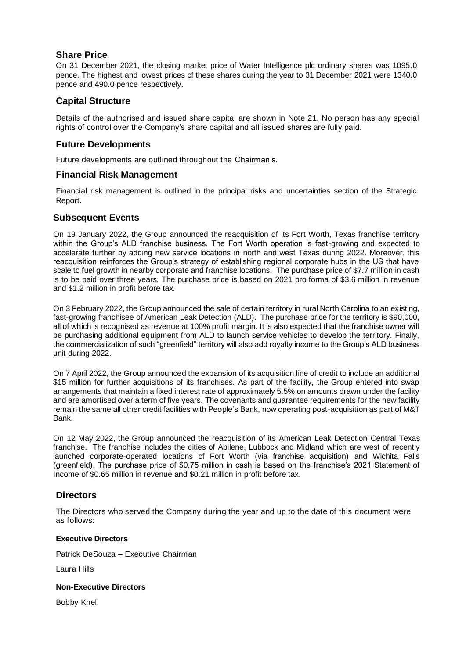# **Share Price**

On 31 December 2021, the closing market price of Water Intelligence plc ordinary shares was 1095.0 pence. The highest and lowest prices of these shares during the year to 31 December 2021 were 1340.0 pence and 490.0 pence respectively.

# **Capital Structure**

Details of the authorised and issued share capital are shown in Note 21. No person has any special rights of control over the Company's share capital and all issued shares are fully paid.

# **Future Developments**

Future developments are outlined throughout the Chairman's.

# **Financial Risk Management**

Financial risk management is outlined in the principal risks and uncertainties section of the Strategic Report.

# **Subsequent Events**

On 19 January 2022, the Group announced the reacquisition of its Fort Worth, Texas franchise territory within the Group's ALD franchise business. The Fort Worth operation is fast-growing and expected to accelerate further by adding new service locations in north and west Texas during 2022. Moreover, this reacquisition reinforces the Group's strategy of establishing regional corporate hubs in the US that have scale to fuel growth in nearby corporate and franchise locations. The purchase price of \$7.7 million in cash is to be paid over three years. The purchase price is based on 2021 pro forma of \$3.6 million in revenue and \$1.2 million in profit before tax.

On 3 February 2022, the Group announced the sale of certain territory in rural North Carolina to an existing, fast-growing franchisee of American Leak Detection (ALD). The purchase price for the territory is \$90,000, all of which is recognised as revenue at 100% profit margin. It is also expected that the franchise owner will be purchasing additional equipment from ALD to launch service vehicles to develop the territory. Finally, the commercialization of such "greenfield" territory will also add royalty income to the Group's ALD business unit during 2022.

On 7 April 2022, the Group announced the expansion of its acquisition line of credit to include an additional \$15 million for further acquisitions of its franchises. As part of the facility, the Group entered into swap arrangements that maintain a fixed interest rate of approximately 5.5% on amounts drawn under the facility and are amortised over a term of five years. The covenants and guarantee requirements for the new facility remain the same all other credit facilities with People's Bank, now operating post-acquisition as part of M&T Bank.

On 12 May 2022, the Group announced the reacquisition of its American Leak Detection Central Texas franchise. The franchise includes the cities of Abilene, Lubbock and Midland which are west of recently launched corporate-operated locations of Fort Worth (via franchise acquisition) and Wichita Falls (greenfield). The purchase price of \$0.75 million in cash is based on the franchise's 2021 Statement of Income of \$0.65 million in revenue and \$0.21 million in profit before tax.

# **Directors**

The Directors who served the Company during the year and up to the date of this document were as follows:

## **Executive Directors**

Patrick DeSouza – Executive Chairman

Laura Hills

## **Non-Executive Directors**

Bobby Knell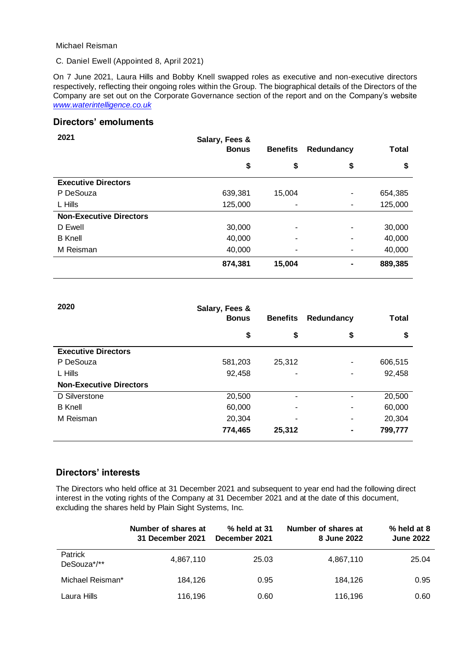Michael Reisman

C. Daniel Ewell (Appointed 8, April 2021)

On 7 June 2021, Laura Hills and Bobby Knell swapped roles as executive and non-executive directors respectively, reflecting their ongoing roles within the Group. The biographical details of the Directors of the Company are set out on the Corporate Governance section of the report and on the Company's website *[www.waterintelligence.co.uk](http://www.waterintelligence.co.uk/)*

# **Directors' emoluments**

| 2021                           | Salary, Fees &<br><b>Bonus</b> | <b>Benefits</b> | Redundancy               | <b>Total</b> |
|--------------------------------|--------------------------------|-----------------|--------------------------|--------------|
|                                | \$                             | \$              | \$                       | \$           |
| <b>Executive Directors</b>     |                                |                 |                          |              |
| P DeSouza                      | 639,381                        | 15,004          | ٠                        | 654,385      |
| L Hills                        | 125,000                        | ۰               | ۰                        | 125,000      |
| <b>Non-Executive Directors</b> |                                |                 |                          |              |
| D Ewell                        | 30,000                         | ۰               | ٠                        | 30,000       |
| <b>B</b> Knell                 | 40,000                         | ۰               | $\overline{\phantom{a}}$ | 40,000       |
| M Reisman                      | 40,000                         | ۰               | ٠                        | 40,000       |
|                                | 874,381                        | 15,004          | ۰                        | 889,385      |

| 2020                           | Salary, Fees &<br><b>Bonus</b> | <b>Benefits</b> | Redundancy | <b>Total</b> |
|--------------------------------|--------------------------------|-----------------|------------|--------------|
|                                | \$                             | \$              | \$         | \$           |
| <b>Executive Directors</b>     |                                |                 |            |              |
| P DeSouza                      | 581,203                        | 25,312          | ۰          | 606,515      |
| L Hills                        | 92,458                         | ۰               | ۰          | 92,458       |
| <b>Non-Executive Directors</b> |                                |                 |            |              |
| D Silverstone                  | 20,500                         | ۰               |            | 20,500       |
| <b>B</b> Knell                 | 60,000                         | ۰               |            | 60,000       |
| M Reisman                      | 20,304                         | ۰               | ۰          | 20,304       |
|                                | 774,465                        | 25,312          |            | 799,777      |

# **Directors' interests**

The Directors who held office at 31 December 2021 and subsequent to year end had the following direct interest in the voting rights of the Company at 31 December 2021 and at the date of this document, excluding the shares held by Plain Sight Systems, Inc.

|                               | Number of shares at<br>31 December 2021 | % held at 31<br>December 2021 | Number of shares at<br>8 June 2022 | % held at 8<br><b>June 2022</b> |
|-------------------------------|-----------------------------------------|-------------------------------|------------------------------------|---------------------------------|
| <b>Patrick</b><br>DeSouza*/** | 4,867,110                               | 25.03                         | 4,867,110                          | 25.04                           |
| Michael Reisman*              | 184.126                                 | 0.95                          | 184.126                            | 0.95                            |
| Laura Hills                   | 116,196                                 | 0.60                          | 116,196                            | 0.60                            |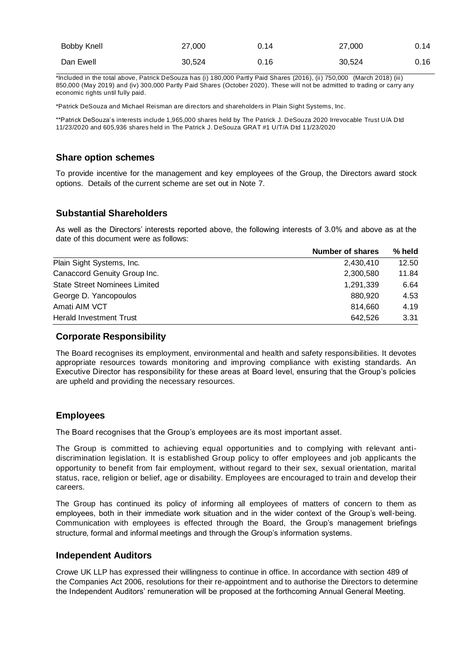| <b>Bobby Knell</b> | 27,000 | 0.14 | 27,000 | 0.14 |
|--------------------|--------|------|--------|------|
| Dan Ewell          | 30.524 | 0.16 | 30.524 | 0.16 |

\*Included in the total above, Patrick DeSouza has (i) 180,000 Partly Paid Shares (2016), (ii) 750,000 (March 2018) (iii) 850,000 (May 2019) and (iv) 300,000 Partly Paid Shares (October 2020). These will not be admitted to trading or carry any economic rights until fully paid.

\*Patrick DeSouza and Michael Reisman are directors and shareholders in Plain Sight Systems, Inc.

\*\*Patrick DeSouza's interests include 1,965,000 shares held by The Patrick J. DeSouza 2020 Irrevocable Trust U/A Dtd 11/23/2020 and 605,936 shares held in The Patrick J. DeSouza GRAT #1 U/T/A Dtd 11/23/2020

## **Share option schemes**

To provide incentive for the management and key employees of the Group, the Directors award stock options. Details of the current scheme are set out in Note 7.

# **Substantial Shareholders**

As well as the Directors' interests reported above, the following interests of 3.0% and above as at the date of this document were as follows:

| <b>Number of shares</b> | % held |
|-------------------------|--------|
| 2,430,410               | 12.50  |
| 2,300,580               | 11.84  |
| 1,291,339               | 6.64   |
| 880.920                 | 4.53   |
| 814.660                 | 4.19   |
| 642.526                 | 3.31   |
|                         |        |

## **Corporate Responsibility**

The Board recognises its employment, environmental and health and safety responsibilities. It devotes appropriate resources towards monitoring and improving compliance with existing standards. An Executive Director has responsibility for these areas at Board level, ensuring that the Group's policies are upheld and providing the necessary resources.

# **Employees**

The Board recognises that the Group's employees are its most important asset.

The Group is committed to achieving equal opportunities and to complying with relevant antidiscrimination legislation. It is established Group policy to offer employees and job applicants the opportunity to benefit from fair employment, without regard to their sex, sexual orientation, marital status, race, religion or belief, age or disability. Employees are encouraged to train and develop their careers.

The Group has continued its policy of informing all employees of matters of concern to them as employees, both in their immediate work situation and in the wider context of the Group's well-being. Communication with employees is effected through the Board, the Group's management briefings structure, formal and informal meetings and through the Group's information systems.

## **Independent Auditors**

Crowe UK LLP has expressed their willingness to continue in office. In accordance with section 489 of the Companies Act 2006, resolutions for their re-appointment and to authorise the Directors to determine the Independent Auditors' remuneration will be proposed at the forthcoming Annual General Meeting.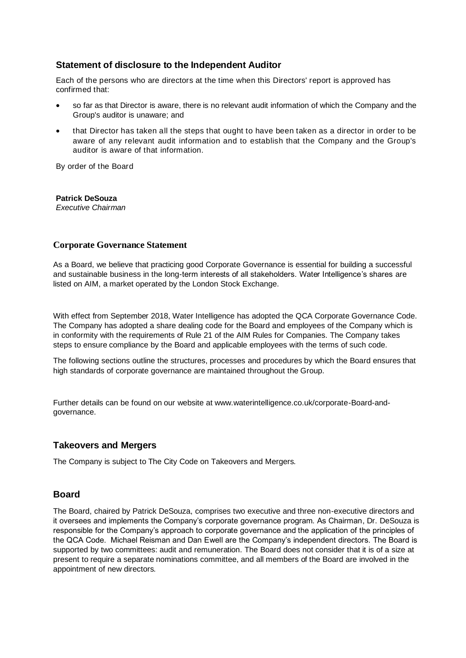# **Statement of disclosure to the Independent Auditor**

Each of the persons who are directors at the time when this Directors' report is approved has confirmed that:

- so far as that Director is aware, there is no relevant audit information of which the Company and the Group's auditor is unaware; and
- that Director has taken all the steps that ought to have been taken as a director in order to be aware of any relevant audit information and to establish that the Company and the Group's auditor is aware of that information.

By order of the Board

## **Patrick DeSouza**

*Executive Chairman*

## **Corporate Governance Statement**

As a Board, we believe that practicing good Corporate Governance is essential for building a successful and sustainable business in the long-term interests of all stakeholders. Water Intelligence's shares are listed on AIM, a market operated by the London Stock Exchange.

With effect from September 2018, Water Intelligence has adopted the QCA Corporate Governance Code. The Company has adopted a share dealing code for the Board and employees of the Company which is in conformity with the requirements of Rule 21 of the AIM Rules for Companies. The Company takes steps to ensure compliance by the Board and applicable employees with the terms of such code.

The following sections outline the structures, processes and procedures by which the Board ensures that high standards of corporate governance are maintained throughout the Group.

Further details can be found on our website at www.waterintelligence.co.uk/corporate-Board-andgovernance.

# **Takeovers and Mergers**

The Company is subject to The City Code on Takeovers and Mergers.

# **Board**

The Board, chaired by Patrick DeSouza, comprises two executive and three non-executive directors and it oversees and implements the Company's corporate governance program. As Chairman, Dr. DeSouza is responsible for the Company's approach to corporate governance and the application of the principles of the QCA Code. Michael Reisman and Dan Ewell are the Company's independent directors. The Board is supported by two committees: audit and remuneration. The Board does not consider that it is of a size at present to require a separate nominations committee, and all members of the Board are involved in the appointment of new directors.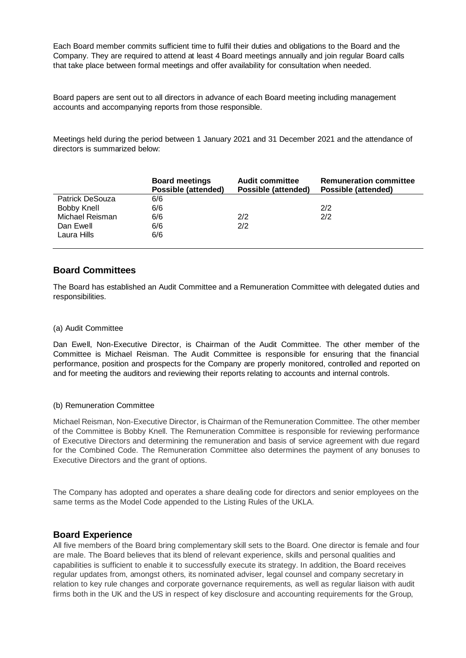Each Board member commits sufficient time to fulfil their duties and obligations to the Board and the Company. They are required to attend at least 4 Board meetings annually and join regular Board calls that take place between formal meetings and offer availability for consultation when needed.

Board papers are sent out to all directors in advance of each Board meeting including management accounts and accompanying reports from those responsible.

Meetings held during the period between 1 January 2021 and 31 December 2021 and the attendance of directors is summarized below:

|                        | <b>Board meetings</b><br><b>Possible (attended)</b> | <b>Audit committee</b><br>Possible (attended) | <b>Remuneration committee</b><br>Possible (attended) |
|------------------------|-----------------------------------------------------|-----------------------------------------------|------------------------------------------------------|
| <b>Patrick DeSouza</b> | 6/6                                                 |                                               |                                                      |
| Bobby Knell            | 6/6                                                 |                                               | 2/2                                                  |
| Michael Reisman        | 6/6                                                 | 2/2                                           | 2/2                                                  |
| Dan Ewell              | 6/6                                                 | 2/2                                           |                                                      |
| Laura Hills            | 6/6                                                 |                                               |                                                      |

# **Board Committees**

The Board has established an Audit Committee and a Remuneration Committee with delegated duties and responsibilities.

#### (a) Audit Committee

Dan Ewell, Non-Executive Director, is Chairman of the Audit Committee. The other member of the Committee is Michael Reisman. The Audit Committee is responsible for ensuring that the financial performance, position and prospects for the Company are properly monitored, controlled and reported on and for meeting the auditors and reviewing their reports relating to accounts and internal controls.

#### (b) Remuneration Committee

Michael Reisman, Non-Executive Director, is Chairman of the Remuneration Committee. The other member of the Committee is Bobby Knell. The Remuneration Committee is responsible for reviewing performance of Executive Directors and determining the remuneration and basis of service agreement with due regard for the Combined Code. The Remuneration Committee also determines the payment of any bonuses to Executive Directors and the grant of options.

The Company has adopted and operates a share dealing code for directors and senior employees on the same terms as the Model Code appended to the Listing Rules of the UKLA.

# **Board Experience**

All five members of the Board bring complementary skill sets to the Board. One director is female and four are male. The Board believes that its blend of relevant experience, skills and personal qualities and capabilities is sufficient to enable it to successfully execute its strategy. In addition, the Board receives regular updates from, amongst others, its nominated adviser, legal counsel and company secretary in relation to key rule changes and corporate governance requirements, as well as regular liaison with audit firms both in the UK and the US in respect of key disclosure and accounting requirements for the Group,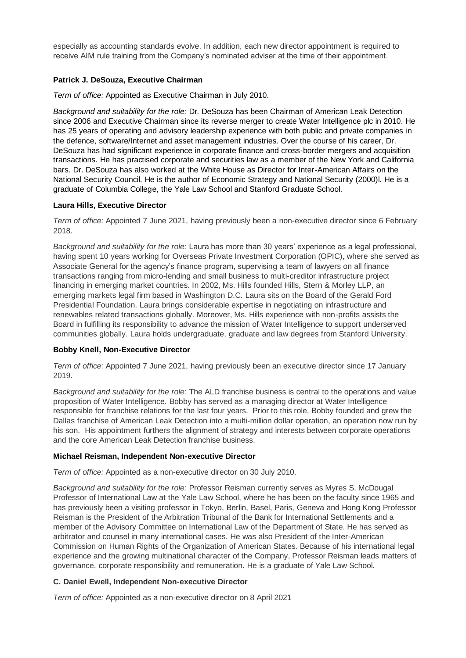especially as accounting standards evolve. In addition, each new director appointment is required to receive AIM rule training from the Company's nominated adviser at the time of their appointment.

## **Patrick J. DeSouza, Executive Chairman**

*Term of office:* Appointed as Executive Chairman in July 2010.

*Background and suitability for the role:* Dr. DeSouza has been Chairman of American Leak Detection since 2006 and Executive Chairman since its reverse merger to create Water Intelligence plc in 2010. He has 25 years of operating and advisory leadership experience with both public and private companies in the defence, software/Internet and asset management industries. Over the course of his career, Dr. DeSouza has had significant experience in corporate finance and cross-border mergers and acquisition transactions. He has practised corporate and securities law as a member of the New York and California bars. Dr. DeSouza has also worked at the White House as Director for Inter-American Affairs on the National Security Council. He is the author of Economic Strategy and National Security (2000)l. He is a graduate of Columbia College, the Yale Law School and Stanford Graduate School.

## **Laura Hills, Executive Director**

*Term of office:* Appointed 7 June 2021, having previously been a non-executive director since 6 February 2018.

*Background and suitability for the role:* Laura has more than 30 years' experience as a legal professional, having spent 10 years working for Overseas Private Investment Corporation (OPIC), where she served as Associate General for the agency's finance program, supervising a team of lawyers on all finance transactions ranging from micro-lending and small business to multi-creditor infrastructure project financing in emerging market countries. In 2002, Ms. Hills founded Hills, Stern & Morley LLP, an emerging markets legal firm based in Washington D.C. Laura sits on the Board of the Gerald Ford Presidential Foundation. Laura brings considerable expertise in negotiating on infrastructure and renewables related transactions globally. Moreover, Ms. Hills experience with non-profits assists the Board in fulfilling its responsibility to advance the mission of Water Intelligence to support underserved communities globally. Laura holds undergraduate, graduate and law degrees from Stanford University.

## **Bobby Knell, Non-Executive Director**

*Term of office:* Appointed 7 June 2021, having previously been an executive director since 17 January 2019.

*Background and suitability for the role:* The ALD franchise business is central to the operations and value proposition of Water Intelligence. Bobby has served as a managing director at Water Intelligence responsible for franchise relations for the last four years. Prior to this role, Bobby founded and grew the Dallas franchise of American Leak Detection into a multi-million dollar operation, an operation now run by his son. His appointment furthers the alignment of strategy and interests between corporate operations and the core American Leak Detection franchise business.

## **Michael Reisman, Independent Non-executive Director**

*Term of office:* Appointed as a non-executive director on 30 July 2010.

*Background and suitability for the role:* Professor Reisman currently serves as Myres S. McDougal Professor of International Law at the Yale Law School, where he has been on the faculty since 1965 and has previously been a visiting professor in Tokyo, Berlin, Basel, Paris, Geneva and Hong Kong Professor Reisman is the President of the Arbitration Tribunal of the Bank for International Settlements and a member of the Advisory Committee on International Law of the Department of State. He has served as arbitrator and counsel in many international cases. He was also President of the Inter-American Commission on Human Rights of the Organization of American States. Because of his international legal experience and the growing multinational character of the Company, Professor Reisman leads matters of governance, corporate responsibility and remuneration. He is a graduate of Yale Law School.

## **C. Daniel Ewell, Independent Non-executive Director**

*Term of office:* Appointed as a non-executive director on 8 April 2021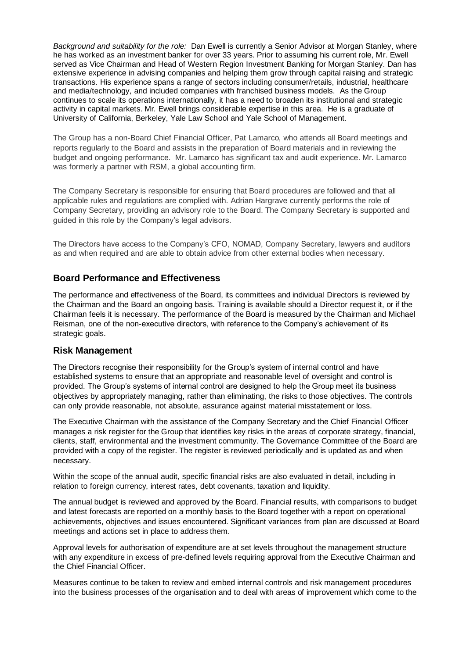*Background and suitability for the role:* Dan Ewell is currently a Senior Advisor at Morgan Stanley, where he has worked as an investment banker for over 33 years. Prior to assuming his current role, Mr. Ewell served as Vice Chairman and Head of Western Region Investment Banking for Morgan Stanley. Dan has extensive experience in advising companies and helping them grow through capital raising and strategic transactions. His experience spans a range of sectors including consumer/retails, industrial, healthcare and media/technology, and included companies with franchised business models. As the Group continues to scale its operations internationally, it has a need to broaden its institutional and strategic activity in capital markets. Mr. Ewell brings considerable expertise in this area. He is a graduate of University of California, Berkeley, Yale Law School and Yale School of Management.

The Group has a non-Board Chief Financial Officer, Pat Lamarco, who attends all Board meetings and reports regularly to the Board and assists in the preparation of Board materials and in reviewing the budget and ongoing performance. Mr. Lamarco has significant tax and audit experience. Mr. Lamarco was formerly a partner with RSM, a global accounting firm.

The Company Secretary is responsible for ensuring that Board procedures are followed and that all applicable rules and regulations are complied with. Adrian Hargrave currently performs the role of Company Secretary, providing an advisory role to the Board. The Company Secretary is supported and guided in this role by the Company's legal advisors.

The Directors have access to the Company's CFO, NOMAD, Company Secretary, lawyers and auditors as and when required and are able to obtain advice from other external bodies when necessary.

# **Board Performance and Effectiveness**

The performance and effectiveness of the Board, its committees and individual Directors is reviewed by the Chairman and the Board an ongoing basis. Training is available should a Director request it, or if the Chairman feels it is necessary. The performance of the Board is measured by the Chairman and Michael Reisman, one of the non-executive directors, with reference to the Company's achievement of its strategic goals.

# **Risk Management**

The Directors recognise their responsibility for the Group's system of internal control and have established systems to ensure that an appropriate and reasonable level of oversight and control is provided. The Group's systems of internal control are designed to help the Group meet its business objectives by appropriately managing, rather than eliminating, the risks to those objectives. The controls can only provide reasonable, not absolute, assurance against material misstatement or loss.

The Executive Chairman with the assistance of the Company Secretary and the Chief Financial Officer manages a risk register for the Group that identifies key risks in the areas of corporate strategy, financial, clients, staff, environmental and the investment community. The Governance Committee of the Board are provided with a copy of the register. The register is reviewed periodically and is updated as and when necessary.

Within the scope of the annual audit, specific financial risks are also evaluated in detail, including in relation to foreign currency, interest rates, debt covenants, taxation and liquidity.

The annual budget is reviewed and approved by the Board. Financial results, with comparisons to budget and latest forecasts are reported on a monthly basis to the Board together with a report on operational achievements, objectives and issues encountered. Significant variances from plan are discussed at Board meetings and actions set in place to address them.

Approval levels for authorisation of expenditure are at set levels throughout the management structure with any expenditure in excess of pre-defined levels requiring approval from the Executive Chairman and the Chief Financial Officer.

Measures continue to be taken to review and embed internal controls and risk management procedures into the business processes of the organisation and to deal with areas of improvement which come to the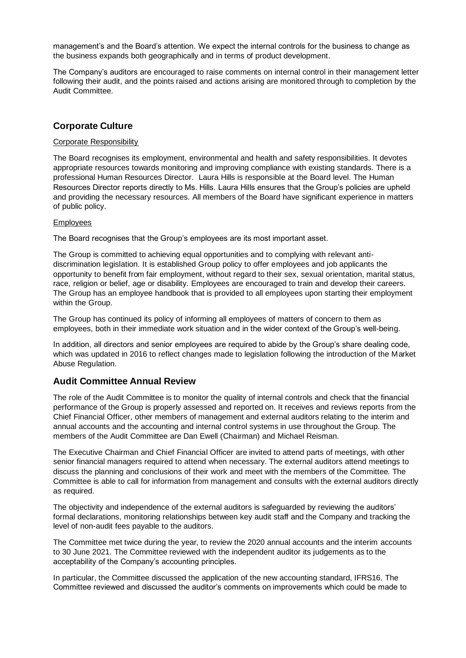management's and the Board's attention. We expect the internal controls for the business to change as the business expands both geographically and in terms of product development.

The Company's auditors are encouraged to raise comments on internal control in their management letter following their audit, and the points raised and actions arising are monitored through to completion by the Audit Committee.

# **Corporate Culture**

## Corporate Responsibility

The Board recognises its employment, environmental and health and safety responsibilities. It devotes appropriate resources towards monitoring and improving compliance with existing standards. There is a professional Human Resources Director. Laura Hills is responsible at the Board level. The Human Resources Director reports directly to Ms. Hills. Laura Hills ensures that the Group's policies are upheld and providing the necessary resources. All members of the Board have significant experience in matters of public policy.

## **Employees**

The Board recognises that the Group's employees are its most important asset.

The Group is committed to achieving equal opportunities and to complying with relevant antidiscrimination legislation. It is established Group policy to offer employees and job applicants the opportunity to benefit from fair employment, without regard to their sex, sexual orientation, marital status, race, religion or belief, age or disability. Employees are encouraged to train and develop their careers. The Group has an employee handbook that is provided to all employees upon starting their employment within the Group.

The Group has continued its policy of informing all employees of matters of concern to them as employees, both in their immediate work situation and in the wider context of the Group's well-being.

In addition, all directors and senior employees are required to abide by the Group's share dealing code, which was updated in 2016 to reflect changes made to legislation following the introduction of the Market Abuse Regulation.

# **Audit Committee Annual Review**

The role of the Audit Committee is to monitor the quality of internal controls and check that the financial performance of the Group is properly assessed and reported on. It receives and reviews reports from the Chief Financial Officer, other members of management and external auditors relating to the interim and annual accounts and the accounting and internal control systems in use throughout the Group. The members of the Audit Committee are Dan Ewell (Chairman) and Michael Reisman.

The Executive Chairman and Chief Financial Officer are invited to attend parts of meetings, with other senior financial managers required to attend when necessary. The external auditors attend meetings to discuss the planning and conclusions of their work and meet with the members of the Committee. The Committee is able to call for information from management and consults with the external auditors directly as required.

The objectivity and independence of the external auditors is safeguarded by reviewing the auditors' formal declarations, monitoring relationships between key audit staff and the Company and tracking the level of non-audit fees payable to the auditors.

The Committee met twice during the year, to review the 2020 annual accounts and the interim accounts to 30 June 2021. The Committee reviewed with the independent auditor its judgements as to the acceptability of the Company's accounting principles.

In particular, the Committee discussed the application of the new accounting standard, IFRS16. The Committee reviewed and discussed the auditor's comments on improvements which could be made to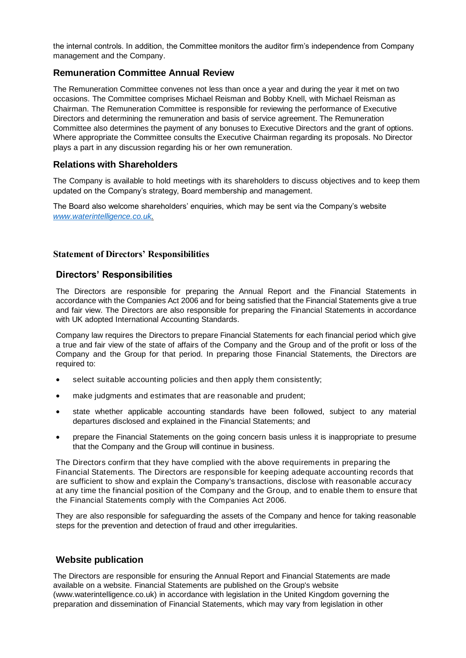the internal controls. In addition, the Committee monitors the auditor firm's independence from Company management and the Company.

# **Remuneration Committee Annual Review**

The Remuneration Committee convenes not less than once a year and during the year it met on two occasions. The Committee comprises Michael Reisman and Bobby Knell, with Michael Reisman as Chairman. The Remuneration Committee is responsible for reviewing the performance of Executive Directors and determining the remuneration and basis of service agreement. The Remuneration Committee also determines the payment of any bonuses to Executive Directors and the grant of options. Where appropriate the Committee consults the Executive Chairman regarding its proposals. No Director plays a part in any discussion regarding his or her own remuneration.

# **Relations with Shareholders**

The Company is available to hold meetings with its shareholders to discuss objectives and to keep them updated on the Company's strategy, Board membership and management.

The Board also welcome shareholders' enquiries, which may be sent via the Company's website *[www.waterintelligence.co.uk.](http://www.waterintelligence.co.uk/)*

# **Statement of Directors' Responsibilities**

# **Directors' Responsibilities**

The Directors are responsible for preparing the Annual Report and the Financial Statements in accordance with the Companies Act 2006 and for being satisfied that the Financial Statements give a true and fair view. The Directors are also responsible for preparing the Financial Statements in accordance with UK adopted International Accounting Standards.

Company law requires the Directors to prepare Financial Statements for each financial period which give a true and fair view of the state of affairs of the Company and the Group and of the profit or loss of the Company and the Group for that period. In preparing those Financial Statements, the Directors are required to:

- select suitable accounting policies and then apply them consistently;
- make judgments and estimates that are reasonable and prudent;
- state whether applicable accounting standards have been followed, subject to any material departures disclosed and explained in the Financial Statements; and
- prepare the Financial Statements on the going concern basis unless it is inappropriate to presume that the Company and the Group will continue in business.

The Directors confirm that they have complied with the above requirements in preparing the Financial Statements. The Directors are responsible for keeping adequate accounting records that are sufficient to show and explain the Company's transactions, disclose with reasonable accuracy at any time the financial position of the Company and the Group, and to enable them to ensure that the Financial Statements comply with the Companies Act 2006.

They are also responsible for safeguarding the assets of the Company and hence for taking reasonable steps for the prevention and detection of fraud and other irregularities.

# **Website publication**

The Directors are responsible for ensuring the Annual Report and Financial Statements are made available on a website. Financial Statements are published on the Group's website [\(www.waterintelligence.co.uk\)](http://www.waterintelligence.co.uk/) in accordance with legislation in the United Kingdom governing the preparation and dissemination of Financial Statements, which may vary from legislation in other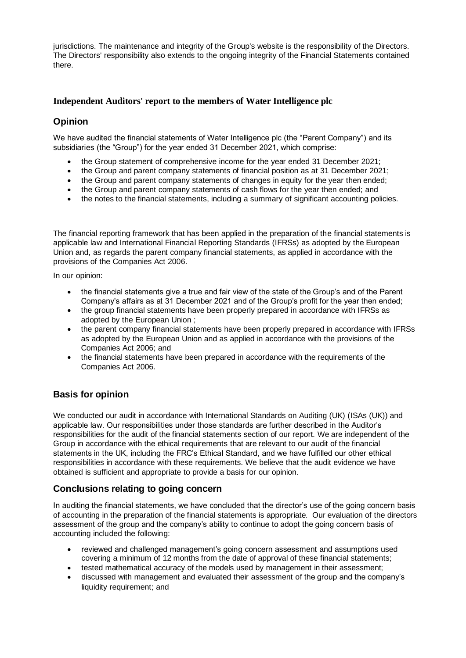jurisdictions. The maintenance and integrity of the Group's website is the responsibility of the Directors. The Directors' responsibility also extends to the ongoing integrity of the Financial Statements contained there.

# **Independent Auditors' report to the members of Water Intelligence plc**

# **Opinion**

We have audited the financial statements of Water Intelligence plc (the "Parent Company") and its subsidiaries (the "Group") for the year ended 31 December 2021, which comprise:

- the Group statement of comprehensive income for the year ended 31 December 2021;
- the Group and parent company statements of financial position as at 31 December 2021;
- the Group and parent company statements of changes in equity for the year then ended;
- the Group and parent company statements of cash flows for the year then ended; and
- the notes to the financial statements, including a summary of significant accounting policies.

The financial reporting framework that has been applied in the preparation of the financial statements is applicable law and International Financial Reporting Standards (IFRSs) as adopted by the European Union and, as regards the parent company financial statements, as applied in accordance with the provisions of the Companies Act 2006.

In our opinion:

- the financial statements give a true and fair view of the state of the Group's and of the Parent Company's affairs as at 31 December 2021 and of the Group's profit for the year then ended;
- the group financial statements have been properly prepared in accordance with IFRSs as adopted by the European Union ;
- the parent company financial statements have been properly prepared in accordance with IFRSs as adopted by the European Union and as applied in accordance with the provisions of the Companies Act 2006; and
- the financial statements have been prepared in accordance with the requirements of the Companies Act 2006.

# **Basis for opinion**

We conducted our audit in accordance with International Standards on Auditing (UK) (ISAs (UK)) and applicable law. Our responsibilities under those standards are further described in the Auditor's responsibilities for the audit of the financial statements section of our report. We are independent of the Group in accordance with the ethical requirements that are relevant to our audit of the financial statements in the UK, including the FRC's Ethical Standard, and we have fulfilled our other ethical responsibilities in accordance with these requirements. We believe that the audit evidence we have obtained is sufficient and appropriate to provide a basis for our opinion.

# **Conclusions relating to going concern**

In auditing the financial statements, we have concluded that the director's use of the going concern basis of accounting in the preparation of the financial statements is appropriate. Our evaluation of the directors assessment of the group and the company's ability to continue to adopt the going concern basis of accounting included the following:

- reviewed and challenged management's going concern assessment and assumptions used covering a minimum of 12 months from the date of approval of these financial statements;
- tested mathematical accuracy of the models used by management in their assessment;
- discussed with management and evaluated their assessment of the group and the company's liquidity requirement; and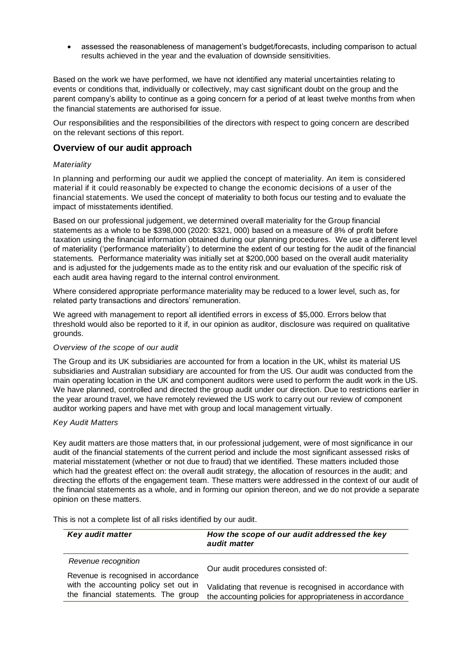• assessed the reasonableness of management's budget/forecasts, including comparison to actual results achieved in the year and the evaluation of downside sensitivities.

Based on the work we have performed, we have not identified any material uncertainties relating to events or conditions that, individually or collectively, may cast significant doubt on the group and the parent company's ability to continue as a going concern for a period of at least twelve months from when the financial statements are authorised for issue.

Our responsibilities and the responsibilities of the directors with respect to going concern are described on the relevant sections of this report.

## **Overview of our audit approach**

#### *Materiality*

In planning and performing our audit we applied the concept of materiality. An item is considered material if it could reasonably be expected to change the economic decisions of a user of the financial statements. We used the concept of materiality to both focus our testing and to evaluate the impact of misstatements identified.

Based on our professional judgement, we determined overall materiality for the Group financial statements as a whole to be \$398,000 (2020: \$321, 000) based on a measure of 8% of profit before taxation using the financial information obtained during our planning procedures. We use a different level of materiality ('performance materiality') to determine the extent of our testing for the audit of the financial statements. Performance materiality was initially set at \$200,000 based on the overall audit materiality and is adjusted for the judgements made as to the entity risk and our evaluation of the specific risk of each audit area having regard to the internal control environment.

Where considered appropriate performance materiality may be reduced to a lower level, such as, for related party transactions and directors' remuneration.

We agreed with management to report all identified errors in excess of \$5,000. Errors below that threshold would also be reported to it if, in our opinion as auditor, disclosure was required on qualitative grounds.

## *Overview of the scope of our audit*

The Group and its UK subsidiaries are accounted for from a location in the UK, whilst its material US subsidiaries and Australian subsidiary are accounted for from the US. Our audit was conducted from the main operating location in the UK and component auditors were used to perform the audit work in the US. We have planned, controlled and directed the group audit under our direction. Due to restrictions earlier in the year around travel, we have remotely reviewed the US work to carry out our review of component auditor working papers and have met with group and local management virtually.

## *Key Audit Matters*

Key audit matters are those matters that, in our professional judgement, were of most significance in our audit of the financial statements of the current period and include the most significant assessed risks of material misstatement (whether or not due to fraud) that we identified. These matters included those which had the greatest effect on: the overall audit strategy, the allocation of resources in the audit; and directing the efforts of the engagement team. These matters were addressed in the context of our audit of the financial statements as a whole, and in forming our opinion thereon, and we do not provide a separate opinion on these matters.

| Key audit matter                                                             | How the scope of our audit addressed the key<br>audit matter                                                          |
|------------------------------------------------------------------------------|-----------------------------------------------------------------------------------------------------------------------|
| Revenue recognition                                                          | Our audit procedures consisted of:                                                                                    |
| Revenue is recognised in accordance                                          |                                                                                                                       |
| with the accounting policy set out in<br>the financial statements. The group | Validating that revenue is recognised in accordance with<br>the accounting policies for appropriateness in accordance |

This is not a complete list of all risks identified by our audit.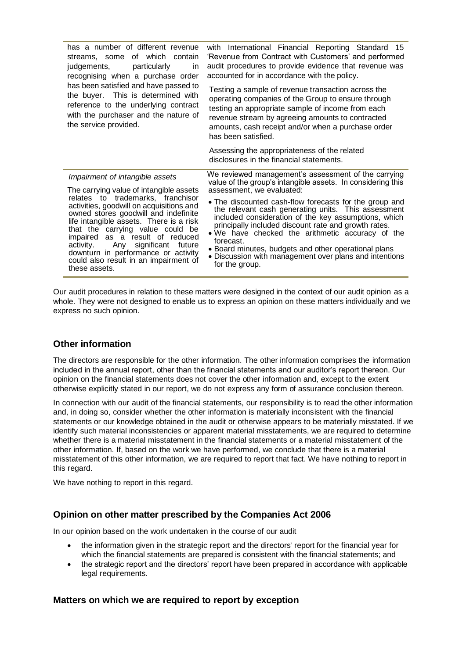| has a number of different revenue<br>streams, some of which contain<br>judgements, particularly<br><i>in</i><br>recognising when a purchase order                                                                                                                                                                                                                            | with International Financial Reporting Standard 15<br>'Revenue from Contract with Customers' and performed<br>audit procedures to provide evidence that revenue was<br>accounted for in accordance with the policy.                                                                                                                                                                                                                |
|------------------------------------------------------------------------------------------------------------------------------------------------------------------------------------------------------------------------------------------------------------------------------------------------------------------------------------------------------------------------------|------------------------------------------------------------------------------------------------------------------------------------------------------------------------------------------------------------------------------------------------------------------------------------------------------------------------------------------------------------------------------------------------------------------------------------|
| has been satisfied and have passed to<br>the buyer. This is determined with<br>reference to the underlying contract<br>with the purchaser and the nature of<br>the service provided.                                                                                                                                                                                         | Testing a sample of revenue transaction across the<br>operating companies of the Group to ensure through<br>testing an appropriate sample of income from each<br>revenue stream by agreeing amounts to contracted<br>amounts, cash receipt and/or when a purchase order<br>has been satisfied.                                                                                                                                     |
|                                                                                                                                                                                                                                                                                                                                                                              | Assessing the appropriateness of the related<br>disclosures in the financial statements.                                                                                                                                                                                                                                                                                                                                           |
| Impairment of intangible assets<br>The carrying value of intangible assets                                                                                                                                                                                                                                                                                                   | We reviewed management's assessment of the carrying<br>value of the group's intangible assets. In considering this<br>assessment, we evaluated:                                                                                                                                                                                                                                                                                    |
| relates to trademarks, franchisor<br>activities, goodwill on acquisitions and<br>owned stores goodwill and indefinite<br>life intangible assets. There is a risk<br>that the carrying value could be<br>impaired as a result of reduced<br>activity. Any significant future<br>downturn in performance or activity<br>could also result in an impairment of<br>these assets. | . The discounted cash-flow forecasts for the group and<br>the relevant cash generating units. This assessment<br>included consideration of the key assumptions, which<br>principally included discount rate and growth rates.<br>. We have checked the arithmetic accuracy of the<br>forecast.<br>• Board minutes, budgets and other operational plans<br>• Discussion with management over plans and intentions<br>for the group. |

Our audit procedures in relation to these matters were designed in the context of our audit opinion as a whole. They were not designed to enable us to express an opinion on these matters individually and we express no such opinion.

# **Other information**

The directors are responsible for the other information. The other information comprises the information included in the annual report, other than the financial statements and our auditor's report thereon. Our opinion on the financial statements does not cover the other information and, except to the extent otherwise explicitly stated in our report, we do not express any form of assurance conclusion thereon.

In connection with our audit of the financial statements, our responsibility is to read the other information and, in doing so, consider whether the other information is materially inconsistent with the financial statements or our knowledge obtained in the audit or otherwise appears to be materially misstated. If we identify such material inconsistencies or apparent material misstatements, we are required to determine whether there is a material misstatement in the financial statements or a material misstatement of the other information. If, based on the work we have performed, we conclude that there is a material misstatement of this other information, we are required to report that fact. We have nothing to report in this regard.

We have nothing to report in this regard.

# **Opinion on other matter prescribed by the Companies Act 2006**

In our opinion based on the work undertaken in the course of our audit

- the information given in the strategic report and the directors' report for the financial year for which the financial statements are prepared is consistent with the financial statements; and
- the strategic report and the directors' report have been prepared in accordance with applicable legal requirements.

## **Matters on which we are required to report by exception**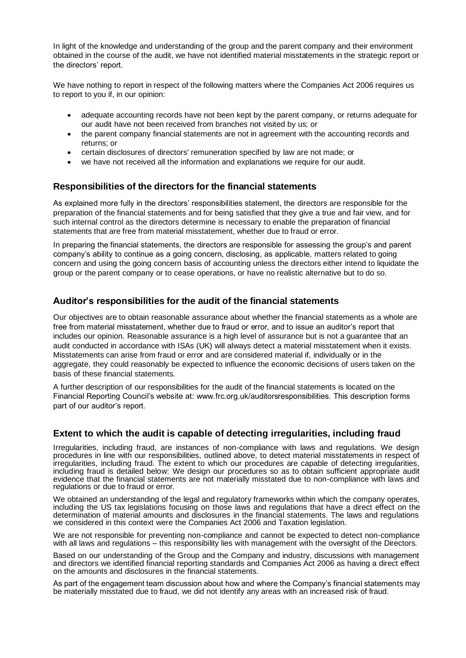In light of the knowledge and understanding of the group and the parent company and their environment obtained in the course of the audit, we have not identified material misstatements in the strategic report or the directors' report.

We have nothing to report in respect of the following matters where the Companies Act 2006 requires us to report to you if, in our opinion:

- adequate accounting records have not been kept by the parent company, or returns adequate for our audit have not been received from branches not visited by us; or
- the parent company financial statements are not in agreement with the accounting records and returns; or
- certain disclosures of directors' remuneration specified by law are not made; or
- we have not received all the information and explanations we require for our audit.

# **Responsibilities of the directors for the financial statements**

As explained more fully in the directors' responsibilities statement, the directors are responsible for the preparation of the financial statements and for being satisfied that they give a true and fair view, and for such internal control as the directors determine is necessary to enable the preparation of financial statements that are free from material misstatement, whether due to fraud or error.

In preparing the financial statements, the directors are responsible for assessing the group's and parent company's ability to continue as a going concern, disclosing, as applicable, matters related to going concern and using the going concern basis of accounting unless the directors either intend to liquidate the group or the parent company or to cease operations, or have no realistic alternative but to do so.

# **Auditor's responsibilities for the audit of the financial statements**

Our objectives are to obtain reasonable assurance about whether the financial statements as a whole are free from material misstatement, whether due to fraud or error, and to issue an auditor's report that includes our opinion. Reasonable assurance is a high level of assurance but is not a guarantee that an audit conducted in accordance with ISAs (UK) will always detect a material misstatement when it exists. Misstatements can arise from fraud or error and are considered material if, individually or in the aggregate, they could reasonably be expected to influence the economic decisions of users taken on the basis of these financial statements.

A further description of our responsibilities for the audit of the financial statements is located on the Financial Reporting Council's website at: www.frc.org.uk/auditorsresponsibilities. This description forms part of our auditor's report.

# **Extent to which the audit is capable of detecting irregularities, including fraud**

Irregularities, including fraud, are instances of non-compliance with laws and regulations. We design procedures in line with our responsibilities, outlined above, to detect material misstatements in respect of irregularities, including fraud. The extent to which our procedures are capable of detecting irregularities, including fraud is detailed below: We design our procedures so as to obtain sufficient appropriate audit evidence that the financial statements are not materially misstated due to non-compliance with laws and regulations or due to fraud or error.

We obtained an understanding of the legal and regulatory frameworks within which the company operates, including the US tax legislations focusing on those laws and regulations that have a direct effect on the determination of material amounts and disclosures in the financial statements. The laws and regulations we considered in this context were the Companies Act 2006 and Taxation legislation.

We are not responsible for preventing non-compliance and cannot be expected to detect non-compliance with all laws and regulations – this responsibility lies with management with the oversight of the Directors.

Based on our understanding of the Group and the Company and industry, discussions with management and directors we identified financial reporting standards and Companies Act 2006 as having a direct effect on the amounts and disclosures in the financial statements.

As part of the engagement team discussion about how and where the Company's financial statements may be materially misstated due to fraud, we did not identify any areas with an increased risk of fraud.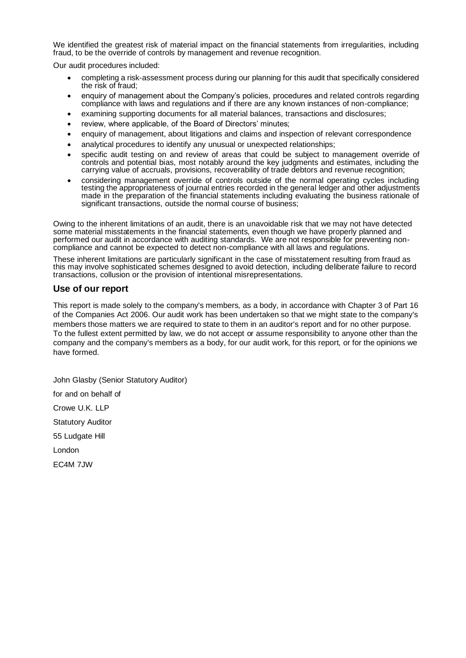We identified the greatest risk of material impact on the financial statements from irregularities, including fraud, to be the override of controls by management and revenue recognition.

Our audit procedures included:

- completing a risk-assessment process during our planning for this audit that specifically considered the risk of fraud;
- enquiry of management about the Company's policies, procedures and related controls regarding compliance with laws and regulations and if there are any known instances of non-compliance;
- examining supporting documents for all material balances, transactions and disclosures;
- review, where applicable, of the Board of Directors' minutes;
- enquiry of management, about litigations and claims and inspection of relevant correspondence
- analytical procedures to identify any unusual or unexpected relationships;
- specific audit testing on and review of areas that could be subject to management override of controls and potential bias, most notably around the key judgments and estimates, including the carrying value of accruals, provisions, recoverability of trade debtors and revenue recognition;
- considering management override of controls outside of the normal operating cycles including testing the appropriateness of journal entries recorded in the general ledger and other adjustments made in the preparation of the financial statements including evaluating the business rationale of significant transactions, outside the normal course of business;

Owing to the inherent limitations of an audit, there is an unavoidable risk that we may not have detected some material misstatements in the financial statements, even though we have properly planned and performed our audit in accordance with auditing standards. We are not responsible for preventing noncompliance and cannot be expected to detect non-compliance with all laws and regulations.

These inherent limitations are particularly significant in the case of misstatement resulting from fraud as this may involve sophisticated schemes designed to avoid detection, including deliberate failure to record transactions, collusion or the provision of intentional misrepresentations.

## **Use of our report**

This report is made solely to the company's members, as a body, in accordance with Chapter 3 of Part 16 of the Companies Act 2006. Our audit work has been undertaken so that we might state to the company's members those matters we are required to state to them in an auditor's report and for no other purpose. To the fullest extent permitted by law, we do not accept or assume responsibility to anyone other than the company and the company's members as a body, for our audit work, for this report, or for the opinions we have formed.

John Glasby (Senior Statutory Auditor) for and on behalf of Crowe U.K. LLP Statutory Auditor 55 Ludgate Hill London EC4M 7JW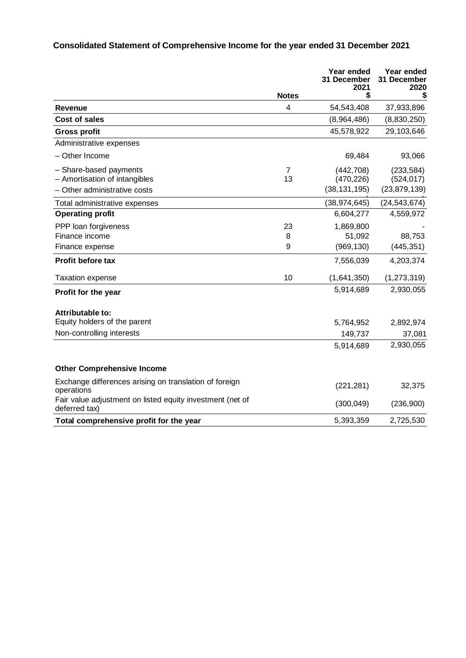# **Consolidated Statement of Comprehensive Income for the year ended 31 December 2021**

|                                                                            |              | Year ended<br>31 December<br>2021 | Year ended<br>31 December<br>2020 |
|----------------------------------------------------------------------------|--------------|-----------------------------------|-----------------------------------|
|                                                                            | <b>Notes</b> | \$                                | \$                                |
| Revenue                                                                    | 4            | 54,543,408                        | 37,933,896                        |
| <b>Cost of sales</b>                                                       |              | (8,964,486)                       | (8,830,250)                       |
| <b>Gross profit</b>                                                        |              | 45,578,922                        | 29,103,646                        |
| Administrative expenses                                                    |              |                                   |                                   |
| - Other Income                                                             |              | 69,484                            | 93,066                            |
| - Share-based payments                                                     | 7            | (442, 708)                        | (233, 584)                        |
| - Amortisation of intangibles                                              | 13           | (470, 226)                        | (524, 017)                        |
| - Other administrative costs                                               |              | (38, 131, 195)                    | (23, 879, 139)                    |
| Total administrative expenses                                              |              | (38, 974, 645)                    | (24, 543, 674)                    |
| <b>Operating profit</b>                                                    |              | 6,604,277                         | 4,559,972                         |
| PPP loan forgiveness                                                       | 23           | 1,869,800                         |                                   |
| Finance income                                                             | 8            | 51,092                            | 88,753                            |
| Finance expense                                                            | 9            | (969, 130)                        | (445, 351)                        |
| Profit before tax                                                          |              | 7,556,039                         | 4,203,374                         |
| <b>Taxation expense</b>                                                    | 10           | (1,641,350)                       | (1, 273, 319)                     |
| Profit for the year                                                        |              | 5,914,689                         | 2,930,055                         |
| Attributable to:                                                           |              |                                   |                                   |
| Equity holders of the parent                                               |              | 5,764,952                         | 2,892,974                         |
| Non-controlling interests                                                  |              | 149,737                           | 37,081                            |
|                                                                            |              | 5,914,689                         | 2,930,055                         |
| <b>Other Comprehensive Income</b>                                          |              |                                   |                                   |
| Exchange differences arising on translation of foreign<br>operations       |              | (221, 281)                        | 32,375                            |
| Fair value adjustment on listed equity investment (net of<br>deferred tax) |              | (300, 049)                        | (236,900)                         |
| Total comprehensive profit for the year                                    |              | 5,393,359                         | 2,725,530                         |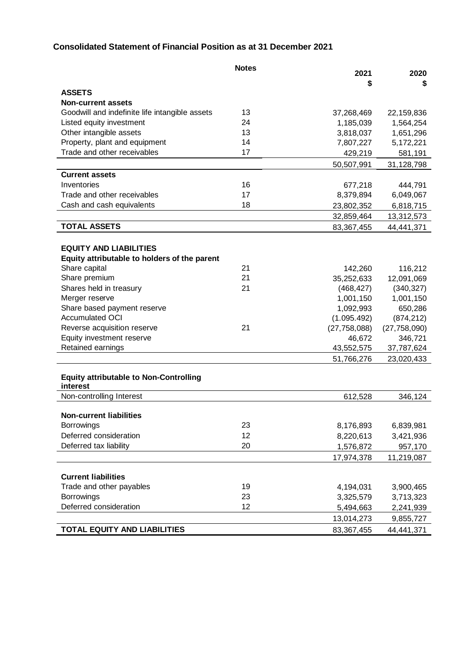# **Consolidated Statement of Financial Position as at 31 December 2021**

|                                                | <b>Notes</b> | 2021           | 2020           |
|------------------------------------------------|--------------|----------------|----------------|
|                                                |              | \$             | \$             |
| <b>ASSETS</b>                                  |              |                |                |
| <b>Non-current assets</b>                      |              |                |                |
| Goodwill and indefinite life intangible assets | 13           | 37,268,469     | 22,159,836     |
| Listed equity investment                       | 24           | 1,185,039      | 1,564,254      |
| Other intangible assets                        | 13           | 3,818,037      | 1,651,296      |
| Property, plant and equipment                  | 14           | 7,807,227      | 5,172,221      |
| Trade and other receivables                    | 17           | 429,219        | 581,191        |
|                                                |              | 50,507,991     | 31,128,798     |
| <b>Current assets</b>                          |              |                |                |
| Inventories                                    | 16           | 677,218        | 444,791        |
| Trade and other receivables                    | 17           | 8,379,894      | 6,049,067      |
| Cash and cash equivalents                      | 18           | 23,802,352     | 6,818,715      |
|                                                |              | 32,859,464     | 13,312,573     |
| <b>TOTAL ASSETS</b>                            |              | 83,367,455     | 44,441,371     |
|                                                |              |                |                |
| <b>EQUITY AND LIABILITIES</b>                  |              |                |                |
| Equity attributable to holders of the parent   |              |                |                |
| Share capital                                  | 21           | 142,260        | 116,212        |
| Share premium                                  | 21           | 35,252,633     | 12,091,069     |
| Shares held in treasury                        | 21           | (468, 427)     | (340, 327)     |
| Merger reserve                                 |              | 1,001,150      | 1,001,150      |
| Share based payment reserve                    |              | 1,092,993      | 650,286        |
| <b>Accumulated OCI</b>                         |              | (1.095.492)    | (874, 212)     |
| Reverse acquisition reserve                    | 21           | (27, 758, 088) | (27, 758, 090) |
| Equity investment reserve                      |              | 46,672         | 346,721        |
| Retained earnings                              |              | 43,552,575     | 37,787,624     |
|                                                |              | 51,766,276     | 23,020,433     |
|                                                |              |                |                |
| <b>Equity attributable to Non-Controlling</b>  |              |                |                |
| interest                                       |              |                |                |
| Non-controlling Interest                       |              | 612,528        | 346,124        |
|                                                |              |                |                |
| <b>Non-current liabilities</b>                 | 23           |                |                |
| <b>Borrowings</b>                              |              | 8,176,893      | 6,839,981      |
| Deferred consideration                         | 12           | 8,220,613      | 3,421,936      |
| Deferred tax liability                         | 20           | 1,576,872      | 957,170        |
|                                                |              | 17,974,378     | 11,219,087     |
| <b>Current liabilities</b>                     |              |                |                |
| Trade and other payables                       | 19           | 4,194,031      | 3,900,465      |
| <b>Borrowings</b>                              | 23           | 3,325,579      |                |
| Deferred consideration                         | 12           |                | 3,713,323      |
|                                                |              | 5,494,663      | 2,241,939      |
|                                                |              | 13,014,273     | 9,855,727      |
| <b>TOTAL EQUITY AND LIABILITIES</b>            |              | 83,367,455     | 44,441,371     |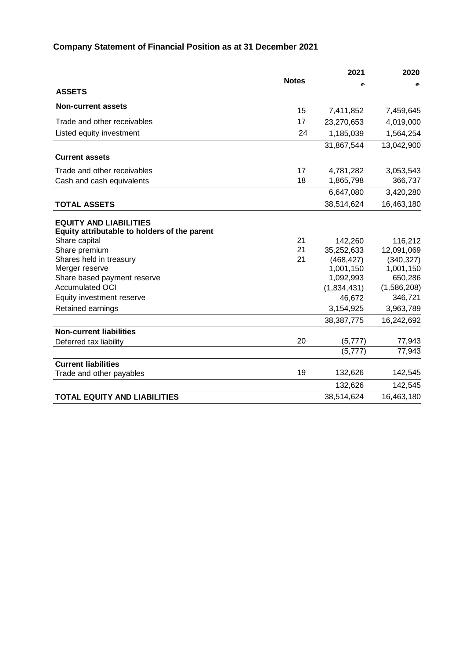# **Company Statement of Financial Position as at 31 December 2021**

|                                                                                                |              | 2021         | 2020        |
|------------------------------------------------------------------------------------------------|--------------|--------------|-------------|
|                                                                                                | <b>Notes</b> |              |             |
| <b>ASSETS</b>                                                                                  |              |              |             |
| <b>Non-current assets</b>                                                                      | 15           | 7,411,852    | 7,459,645   |
| Trade and other receivables                                                                    | 17           | 23,270,653   | 4,019,000   |
| Listed equity investment                                                                       | 24           | 1,185,039    | 1,564,254   |
|                                                                                                |              | 31,867,544   | 13,042,900  |
| <b>Current assets</b>                                                                          |              |              |             |
| Trade and other receivables                                                                    | 17           | 4,781,282    | 3,053,543   |
| Cash and cash equivalents                                                                      | 18           | 1,865,798    | 366,737     |
|                                                                                                |              | 6,647,080    | 3,420,280   |
| <b>TOTAL ASSETS</b>                                                                            |              | 38,514,624   | 16,463,180  |
| <b>EQUITY AND LIABILITIES</b><br>Equity attributable to holders of the parent<br>Share capital | 21           | 142,260      | 116,212     |
| Share premium                                                                                  | 21           | 35,252,633   | 12,091,069  |
| Shares held in treasury                                                                        | 21           | (468, 427)   | (340, 327)  |
| Merger reserve                                                                                 |              | 1,001,150    | 1,001,150   |
| Share based payment reserve                                                                    |              | 1,092,993    | 650,286     |
| <b>Accumulated OCI</b>                                                                         |              | (1,834,431)  | (1,586,208) |
| Equity investment reserve                                                                      |              | 46,672       | 346,721     |
| Retained earnings                                                                              |              | 3,154,925    | 3,963,789   |
|                                                                                                |              | 38, 387, 775 | 16,242,692  |
| <b>Non-current liabilities</b>                                                                 |              |              |             |
| Deferred tax liability                                                                         | 20           | (5, 777)     | 77,943      |
|                                                                                                |              | (5, 777)     | 77,943      |
| <b>Current liabilities</b>                                                                     |              |              |             |
| Trade and other payables                                                                       | 19           | 132,626      | 142,545     |
|                                                                                                |              | 132,626      | 142,545     |
| <b>TOTAL EQUITY AND LIABILITIES</b>                                                            |              | 38,514,624   | 16,463,180  |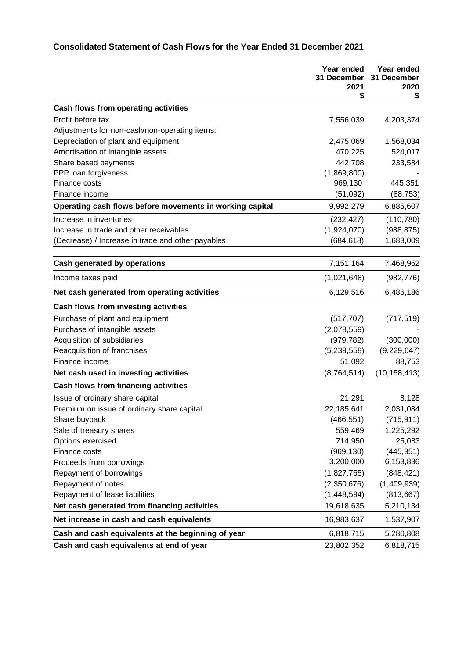# **Consolidated Statement of Cash Flows for the Year Ended 31 December 2021**

|                                                          | Year ended<br>31 December<br>2021<br>\$ | Year ended<br>31 December<br>2020<br>\$ |
|----------------------------------------------------------|-----------------------------------------|-----------------------------------------|
| Cash flows from operating activities                     |                                         |                                         |
| Profit before tax                                        | 7,556,039                               | 4,203,374                               |
| Adjustments for non-cash/non-operating items:            |                                         |                                         |
| Depreciation of plant and equipment                      | 2,475,069                               | 1,568,034                               |
| Amortisation of intangible assets                        | 470,225                                 | 524,017                                 |
| Share based payments                                     | 442,708                                 | 233,584                                 |
| PPP loan forgiveness                                     | (1,869,800)                             |                                         |
| Finance costs                                            | 969,130                                 | 445,351                                 |
| Finance income                                           | (51,092)                                | (88, 753)                               |
| Operating cash flows before movements in working capital | 9,992,279                               | 6,885,607                               |
| Increase in inventories                                  | (232, 427)                              | (110, 780)                              |
| Increase in trade and other receivables                  | (1,924,070)                             | (988, 875)                              |
| (Decrease) / Increase in trade and other payables        | (684, 618)                              | 1,683,009                               |
| Cash generated by operations                             | 7,151,164                               | 7,468,962                               |
| Income taxes paid                                        | (1,021,648)                             | (982, 776)                              |
| Net cash generated from operating activities             | 6,129,516                               | 6,486,186                               |
| Cash flows from investing activities                     |                                         |                                         |
| Purchase of plant and equipment                          | (517, 707)                              | (717, 519)                              |
| Purchase of intangible assets                            | (2,078,559)                             |                                         |
| Acquisition of subsidiaries                              | (979, 782)                              | (300,000)                               |
| Reacquisition of franchises                              | (5,239,558)                             | (9,229,647)                             |
| Finance income                                           | 51,092                                  | 88,753                                  |
| Net cash used in investing activities                    | (8,764,514)                             | (10, 158, 413)                          |
| <b>Cash flows from financing activities</b>              |                                         |                                         |
| Issue of ordinary share capital                          | 21,291                                  | 8,128                                   |
| Premium on issue of ordinary share capital               | 22,185,641                              | 2,031,084                               |
| Share buyback                                            | (466, 551)                              | (715, 911)                              |
| Sale of treasury shares                                  | 559,469                                 | 1,225,292                               |
| Options exercised                                        | 714,950                                 | 25,083                                  |
| Finance costs                                            | (969, 130)                              | (445, 351)                              |
| Proceeds from borrowings                                 | 3,200,000                               | 6,153,836                               |
| Repayment of borrowings                                  | (1,827,765)                             | (848, 421)                              |
| Repayment of notes                                       | (2,350,676)                             | (1,409,939)                             |
| Repayment of lease liabilities                           | (1,448,594)                             | (813, 667)                              |
| Net cash generated from financing activities             | 19,618,635                              | 5,210,134                               |
| Net increase in cash and cash equivalents                | 16,983,637                              | 1,537,907                               |
| Cash and cash equivalents at the beginning of year       | 6,818,715                               | 5,280,808                               |
| Cash and cash equivalents at end of year                 | 23,802,352                              | 6,818,715                               |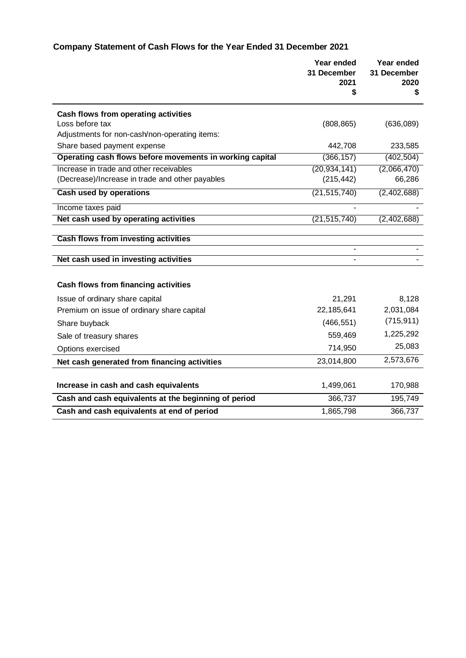# **Company Statement of Cash Flows for the Year Ended 31 December 2021**

|                                                          | Year ended<br>31 December<br>2021 | Year ended<br>31 December<br>2020 |
|----------------------------------------------------------|-----------------------------------|-----------------------------------|
|                                                          | \$                                | \$                                |
| Cash flows from operating activities                     |                                   |                                   |
| Loss before tax                                          | (808, 865)                        | (636,089)                         |
| Adjustments for non-cash/non-operating items:            |                                   |                                   |
| Share based payment expense                              | 442,708                           | 233,585                           |
| Operating cash flows before movements in working capital | (366, 157)                        | (402, 504)                        |
| Increase in trade and other receivables                  | (20, 934, 141)                    | (2,066,470)                       |
| (Decrease)/Increase in trade and other payables          | (215, 442)                        | 66,286                            |
| Cash used by operations                                  | (21, 515, 740)                    | (2,402,688)                       |
| Income taxes paid                                        |                                   |                                   |
| Net cash used by operating activities                    | (21, 515, 740)                    | (2,402,688)                       |
|                                                          |                                   |                                   |
| <b>Cash flows from investing activities</b>              |                                   |                                   |
| Net cash used in investing activities                    |                                   |                                   |
|                                                          |                                   |                                   |
| Cash flows from financing activities                     |                                   |                                   |
| Issue of ordinary share capital                          | 21,291                            | 8,128                             |
| Premium on issue of ordinary share capital               | 22,185,641                        | 2,031,084                         |
| Share buyback                                            | (466, 551)                        | (715, 911)                        |
| Sale of treasury shares                                  | 559,469                           | 1,225,292                         |
| Options exercised                                        | 714,950                           | 25,083                            |
| Net cash generated from financing activities             | 23,014,800                        | 2,573,676                         |
|                                                          |                                   |                                   |
| Increase in cash and cash equivalents                    | 1,499,061                         | 170,988                           |
| Cash and cash equivalents at the beginning of period     | 366,737                           | 195,749                           |
| Cash and cash equivalents at end of period               | 1,865,798                         | 366,737                           |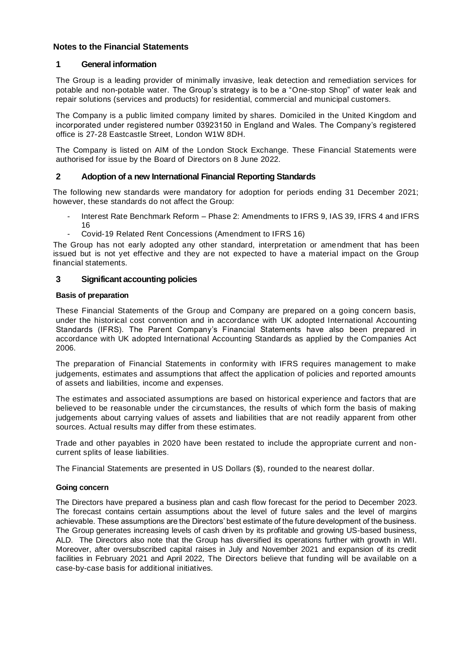# **Notes to the Financial Statements**

# **1 General information**

The Group is a leading provider of minimally invasive, leak detection and remediation services for potable and non-potable water. The Group's strategy is to be a "One-stop Shop" of water leak and repair solutions (services and products) for residential, commercial and municipal customers.

The Company is a public limited company limited by shares. Domiciled in the United Kingdom and incorporated under registered number 03923150 in England and Wales. The Company's registered office is 27-28 Eastcastle Street, London W1W 8DH.

The Company is listed on AIM of the London Stock Exchange. These Financial Statements were authorised for issue by the Board of Directors on 8 June 2022.

## **2 Adoption of a new International Financial Reporting Standards**

The following new standards were mandatory for adoption for periods ending 31 December 2021; however, these standards do not affect the Group:

- Interest Rate Benchmark Reform Phase 2: Amendments to IFRS 9, IAS 39, IFRS 4 and IFRS 16
- Covid-19 Related Rent Concessions (Amendment to IFRS 16)

The Group has not early adopted any other standard, interpretation or amendment that has been issued but is not yet effective and they are not expected to have a material impact on the Group financial statements.

# **3 Significant accounting policies**

## **Basis of preparation**

These Financial Statements of the Group and Company are prepared on a going concern basis, under the historical cost convention and in accordance with UK adopted International Accounting Standards (IFRS). The Parent Company's Financial Statements have also been prepared in accordance with UK adopted International Accounting Standards as applied by the Companies Act 2006.

The preparation of Financial Statements in conformity with IFRS requires management to make judgements, estimates and assumptions that affect the application of policies and reported amounts of assets and liabilities, income and expenses.

The estimates and associated assumptions are based on historical experience and factors that are believed to be reasonable under the circumstances, the results of which form the basis of making judgements about carrying values of assets and liabilities that are not readily apparent from other sources. Actual results may differ from these estimates.

Trade and other payables in 2020 have been restated to include the appropriate current and noncurrent splits of lease liabilities.

The Financial Statements are presented in US Dollars (\$), rounded to the nearest dollar.

## **Going concern**

The Directors have prepared a business plan and cash flow forecast for the period to December 2023. The forecast contains certain assumptions about the level of future sales and the level of margins achievable. These assumptions are the Directors' best estimate of the future development of the business. The Group generates increasing levels of cash driven by its profitable and growing US-based business, ALD. The Directors also note that the Group has diversified its operations further with growth in WII. Moreover, after oversubscribed capital raises in July and November 2021 and expansion of its credit facilities in February 2021 and April 2022, The Directors believe that funding will be available on a case-by-case basis for additional initiatives.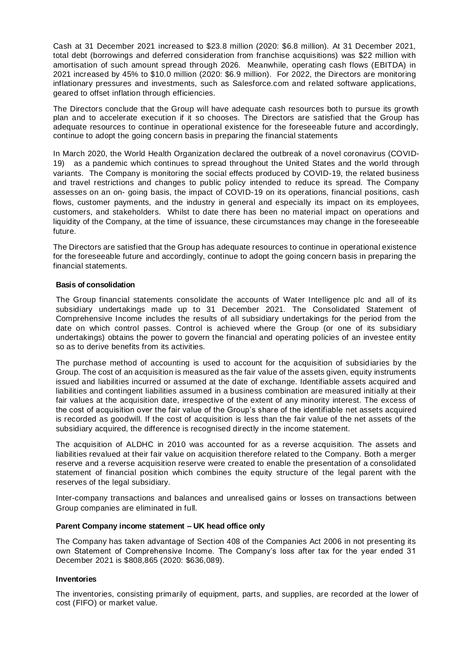Cash at 31 December 2021 increased to \$23.8 million (2020: \$6.8 million). At 31 December 2021, total debt (borrowings and deferred consideration from franchise acquisitions) was \$22 million with amortisation of such amount spread through 2026. Meanwhile, operating cash flows (EBITDA) in 2021 increased by 45% to \$10.0 million (2020: \$6.9 million). For 2022, the Directors are monitoring inflationary pressures and investments, such as Salesforce.com and related software applications, geared to offset inflation through efficiencies.

The Directors conclude that the Group will have adequate cash resources both to pursue its growth plan and to accelerate execution if it so chooses. The Directors are satisfied that the Group has adequate resources to continue in operational existence for the foreseeable future and accordingly, continue to adopt the going concern basis in preparing the financial statements

In March 2020, the World Health Organization declared the outbreak of a novel coronavirus (COVID-19) as a pandemic which continues to spread throughout the United States and the world through variants. The Company is monitoring the social effects produced by COVID-19, the related business and travel restrictions and changes to public policy intended to reduce its spread. The Company assesses on an on- going basis, the impact of COVID-19 on its operations, financial positions, cash flows, customer payments, and the industry in general and especially its impact on its employees, customers, and stakeholders. Whilst to date there has been no material impact on operations and liquidity of the Company, at the time of issuance, these circumstances may change in the foreseeable future.

The Directors are satisfied that the Group has adequate resources to continue in operational existence for the foreseeable future and accordingly, continue to adopt the going concern basis in preparing the financial statements.

#### **Basis of consolidation**

The Group financial statements consolidate the accounts of Water Intelligence plc and all of its subsidiary undertakings made up to 31 December 2021. The Consolidated Statement of Comprehensive Income includes the results of all subsidiary undertakings for the period from the date on which control passes. Control is achieved where the Group (or one of its subsidiary undertakings) obtains the power to govern the financial and operating policies of an investee entity so as to derive benefits from its activities.

The purchase method of accounting is used to account for the acquisition of subsidiaries by the Group. The cost of an acquisition is measured as the fair value of the assets given, equity instruments issued and liabilities incurred or assumed at the date of exchange. Identifiable assets acquired and liabilities and contingent liabilities assumed in a business combination are measured initially at their fair values at the acquisition date, irrespective of the extent of any minority interest. The excess of the cost of acquisition over the fair value of the Group's share of the identifiable net assets acquired is recorded as goodwill. If the cost of acquisition is less than the fair value of the net assets of the subsidiary acquired, the difference is recognised directly in the income statement.

The acquisition of ALDHC in 2010 was accounted for as a reverse acquisition. The assets and liabilities revalued at their fair value on acquisition therefore related to the Company. Both a merger reserve and a reverse acquisition reserve were created to enable the presentation of a consolidated statement of financial position which combines the equity structure of the legal parent with the reserves of the legal subsidiary.

Inter-company transactions and balances and unrealised gains or losses on transactions between Group companies are eliminated in full.

#### **Parent Company income statement – UK head office only**

The Company has taken advantage of Section 408 of the Companies Act 2006 in not presenting its own Statement of Comprehensive Income. The Company's loss after tax for the year ended 31 December 2021 is \$808,865 (2020: \$636,089).

#### **Inventories**

The inventories, consisting primarily of equipment, parts, and supplies, are recorded at the lower of cost (FIFO) or market value.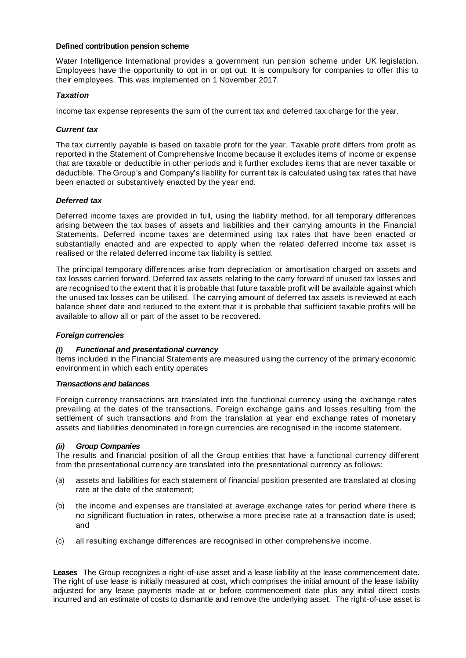#### **Defined contribution pension scheme**

Water Intelligence International provides a government run pension scheme under UK legislation. Employees have the opportunity to opt in or opt out. It is compulsory for companies to offer this to their employees. This was implemented on 1 November 2017.

## *Taxation*

Income tax expense represents the sum of the current tax and deferred tax charge for the year.

#### *Current tax*

The tax currently payable is based on taxable profit for the year. Taxable profit differs from profit as reported in the Statement of Comprehensive Income because it excludes items of income or expense that are taxable or deductible in other periods and it further excludes items that are never taxable or deductible. The Group's and Company's liability for current tax is calculated using tax rates that have been enacted or substantively enacted by the year end.

#### *Deferred tax*

Deferred income taxes are provided in full, using the liability method, for all temporary differences arising between the tax bases of assets and liabilities and their carrying amounts in the Financial Statements. Deferred income taxes are determined using tax rates that have been enacted or substantially enacted and are expected to apply when the related deferred income tax asset is realised or the related deferred income tax liability is settled.

The principal temporary differences arise from depreciation or amortisation charged on assets and tax losses carried forward. Deferred tax assets relating to the carry forward of unused tax losses and are recognised to the extent that it is probable that future taxable profit will be available against which the unused tax losses can be utilised. The carrying amount of deferred tax assets is reviewed at each balance sheet date and reduced to the extent that it is probable that sufficient taxable profits will be available to allow all or part of the asset to be recovered.

#### *Foreign currencies*

## *(i) Functional and presentational currency*

Items included in the Financial Statements are measured using the currency of the primary economic environment in which each entity operates

#### *Transactions and balances*

Foreign currency transactions are translated into the functional currency using the exchange rates prevailing at the dates of the transactions. Foreign exchange gains and losses resulting from the settlement of such transactions and from the translation at year end exchange rates of monetary assets and liabilities denominated in foreign currencies are recognised in the income statement.

#### *(ii) Group Companies*

The results and financial position of all the Group entities that have a functional currency different from the presentational currency are translated into the presentational currency as follows:

- (a) assets and liabilities for each statement of financial position presented are translated at closing rate at the date of the statement;
- (b) the income and expenses are translated at average exchange rates for period where there is no significant fluctuation in rates, otherwise a more precise rate at a transaction date is used; and
- (c) all resulting exchange differences are recognised in other comprehensive income.

**Leases** The Group recognizes a right-of-use asset and a lease liability at the lease commencement date. The right of use lease is initially measured at cost, which comprises the initial amount of the lease liability adjusted for any lease payments made at or before commencement date plus any initial direct costs incurred and an estimate of costs to dismantle and remove the underlying asset. The right-of-use asset is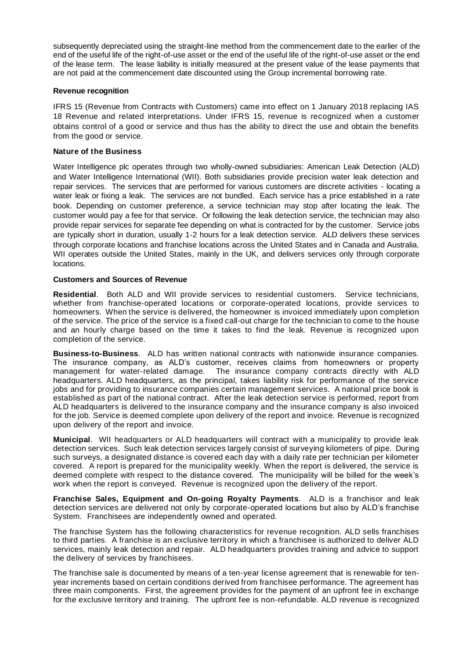subsequently depreciated using the straight-line method from the commencement date to the earlier of the end of the useful life of the right-of-use asset or the end of the useful life of the right-of-use asset or the end of the lease term. The lease liability is initially measured at the present value of the lease payments that are not paid at the commencement date discounted using the Group incremental borrowing rate.

#### **Revenue recognition**

IFRS 15 (Revenue from Contracts with Customers) came into effect on 1 January 2018 replacing IAS 18 Revenue and related interpretations. Under IFRS 15, revenue is recognized when a customer obtains control of a good or service and thus has the ability to direct the use and obtain the benefits from the good or service.

#### **Nature of the Business**

Water Intelligence plc operates through two wholly-owned subsidiaries: American Leak Detection (ALD) and Water Intelligence International (WII). Both subsidiaries provide precision water leak detection and repair services. The services that are performed for various customers are discrete activities - locating a water leak or fixing a leak. The services are not bundled. Each service has a price established in a rate book. Depending on customer preference, a service technician may stop after locating the leak. The customer would pay a fee for that service. Or following the leak detection service, the technician may also provide repair services for separate fee depending on what is contracted for by the customer. Service jobs are typically short in duration, usually 1-2 hours for a leak detection service. ALD delivers these services through corporate locations and franchise locations across the United States and in Canada and Australia. WII operates outside the United States, mainly in the UK, and delivers services only through corporate locations.

#### **Customers and Sources of Revenue**

**Residential**. Both ALD and WII provide services to residential customers. Service technicians, whether from franchise-operated locations or corporate-operated locations, provide services to homeowners. When the service is delivered, the homeowner is invoiced immediately upon completion of the service. The price of the service is a fixed call-out charge for the technician to come to the house and an hourly charge based on the time it takes to find the leak. Revenue is recognized upon completion of the service.

**Business-to-Business**. ALD has written national contracts with nationwide insurance companies. The insurance company, as ALD's customer, receives claims from homeowners or property management for water-related damage. The insurance company contracts directly with ALD headquarters. ALD headquarters, as the principal, takes liability risk for performance of the service jobs and for providing to insurance companies certain management services. A national price book is established as part of the national contract. After the leak detection service is performed, report from ALD headquarters is delivered to the insurance company and the insurance company is also invoiced for the job. Service is deemed complete upon delivery of the report and invoice. Revenue is recognized upon delivery of the report and invoice.

**Municipal**. WII headquarters or ALD headquarters will contract with a municipality to provide leak detection services. Such leak detection services largely consist of surveying kilometers of pipe. During such surveys, a designated distance is covered each day with a daily rate per technician per kilometer covered. A report is prepared for the municipality weekly. When the report is delivered, the service is deemed complete with respect to the distance covered. The municipality will be billed for the week's work when the report is conveyed. Revenue is recognized upon the delivery of the report.

**Franchise Sales, Equipment and On-going Royalty Payments**. ALD is a franchisor and leak detection services are delivered not only by corporate-operated locations but also by ALD's franchise System. Franchisees are independently owned and operated.

The franchise System has the following characteristics for revenue recognition. ALD sells franchises to third parties. A franchise is an exclusive territory in which a franchisee is authorized to deliver ALD services, mainly leak detection and repair. ALD headquarters provides training and advice to support the delivery of services by franchisees.

The franchise sale is documented by means of a ten-year license agreement that is renewable for tenyear increments based on certain conditions derived from franchisee performance. The agreement has three main components. First, the agreement provides for the payment of an upfront fee in exchange for the exclusive territory and training. The upfront fee is non-refundable. ALD revenue is recognized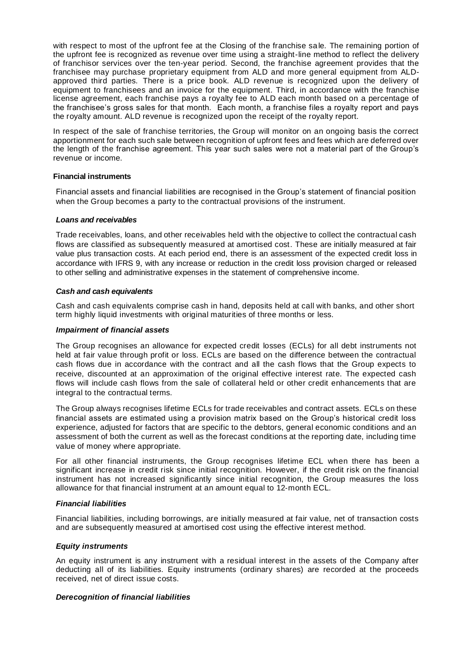with respect to most of the upfront fee at the Closing of the franchise sale. The remaining portion of the upfront fee is recognized as revenue over time using a straight-line method to reflect the delivery of franchisor services over the ten-year period. Second, the franchise agreement provides that the franchisee may purchase proprietary equipment from ALD and more general equipment from ALDapproved third parties. There is a price book. ALD revenue is recognized upon the delivery of equipment to franchisees and an invoice for the equipment. Third, in accordance with the franchise license agreement, each franchise pays a royalty fee to ALD each month based on a percentage of the franchisee's gross sales for that month. Each month, a franchise files a royalty report and pays the royalty amount. ALD revenue is recognized upon the receipt of the royalty report.

In respect of the sale of franchise territories, the Group will monitor on an ongoing basis the correct apportionment for each such sale between recognition of upfront fees and fees which are deferred over the length of the franchise agreement. This year such sales were not a material part of the Group's revenue or income.

#### **Financial instruments**

Financial assets and financial liabilities are recognised in the Group's statement of financial position when the Group becomes a party to the contractual provisions of the instrument.

#### *Loans and receivables*

Trade receivables, loans, and other receivables held with the objective to collect the contractual cash flows are classified as subsequently measured at amortised cost. These are initially measured at fair value plus transaction costs. At each period end, there is an assessment of the expected credit loss in accordance with IFRS 9, with any increase or reduction in the credit loss provision charged or released to other selling and administrative expenses in the statement of comprehensive income.

#### *Cash and cash equivalents*

Cash and cash equivalents comprise cash in hand, deposits held at call with banks, and other short term highly liquid investments with original maturities of three months or less.

#### *Impairment of financial assets*

The Group recognises an allowance for expected credit losses (ECLs) for all debt instruments not held at fair value through profit or loss. ECLs are based on the difference between the contractual cash flows due in accordance with the contract and all the cash flows that the Group expects to receive, discounted at an approximation of the original effective interest rate. The expected cash flows will include cash flows from the sale of collateral held or other credit enhancements that are integral to the contractual terms.

The Group always recognises lifetime ECLs for trade receivables and contract assets. ECLs on these financial assets are estimated using a provision matrix based on the Group's historical credit loss experience, adjusted for factors that are specific to the debtors, general economic conditions and an assessment of both the current as well as the forecast conditions at the reporting date, including time value of money where appropriate.

For all other financial instruments, the Group recognises lifetime ECL when there has been a significant increase in credit risk since initial recognition. However, if the credit risk on the financial instrument has not increased significantly since initial recognition, the Group measures the loss allowance for that financial instrument at an amount equal to 12‑month ECL.

## *Financial liabilities*

Financial liabilities, including borrowings, are initially measured at fair value, net of transaction costs and are subsequently measured at amortised cost using the effective interest method.

## *Equity instruments*

An equity instrument is any instrument with a residual interest in the assets of the Company after deducting all of its liabilities. Equity instruments (ordinary shares) are recorded at the proceeds received, net of direct issue costs.

## *Derecognition of financial liabilities*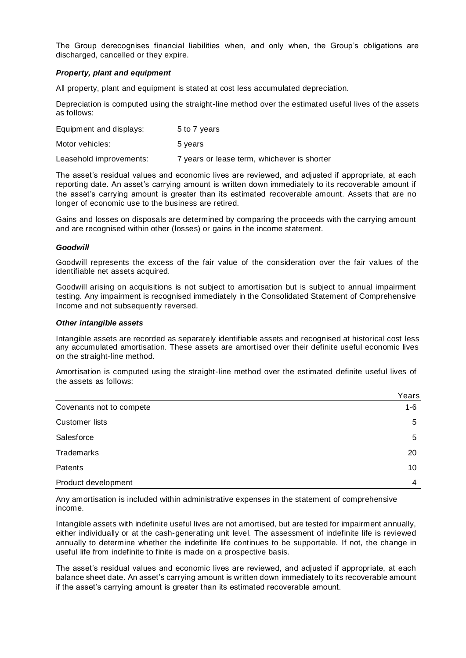The Group derecognises financial liabilities when, and only when, the Group's obligations are discharged, cancelled or they expire.

#### *Property, plant and equipment*

All property, plant and equipment is stated at cost less accumulated depreciation.

Depreciation is computed using the straight-line method over the estimated useful lives of the assets as follows:

| Equipment and displays: | 5 to 7 years                                |
|-------------------------|---------------------------------------------|
| Motor vehicles:         | 5 years                                     |
| Leasehold improvements: | 7 years or lease term, whichever is shorter |

The asset's residual values and economic lives are reviewed, and adjusted if appropriate, at each reporting date. An asset's carrying amount is written down immediately to its recoverable amount if the asset's carrying amount is greater than its estimated recoverable amount. Assets that are no longer of economic use to the business are retired.

Gains and losses on disposals are determined by comparing the proceeds with the carrying amount and are recognised within other (losses) or gains in the income statement.

#### *Goodwill*

Goodwill represents the excess of the fair value of the consideration over the fair values of the identifiable net assets acquired.

Goodwill arising on acquisitions is not subject to amortisation but is subject to annual impairment testing. Any impairment is recognised immediately in the Consolidated Statement of Comprehensive Income and not subsequently reversed.

#### *Other intangible assets*

Intangible assets are recorded as separately identifiable assets and recognised at historical cost less any accumulated amortisation. These assets are amortised over their definite useful economic lives on the straight-line method.

Amortisation is computed using the straight-line method over the estimated definite useful lives of the assets as follows:

|                          | Years   |
|--------------------------|---------|
| Covenants not to compete | $1 - 6$ |
| <b>Customer lists</b>    | 5       |
| Salesforce               | 5       |
| <b>Trademarks</b>        | 20      |
| Patents                  | 10      |
| Product development      | 4       |

Any amortisation is included within administrative expenses in the statement of comprehensive income.

Intangible assets with indefinite useful lives are not amortised, but are tested for impairment annually, either individually or at the cash-generating unit level. The assessment of indefinite life is reviewed annually to determine whether the indefinite life continues to be supportable. If not, the change in useful life from indefinite to finite is made on a prospective basis.

The asset's residual values and economic lives are reviewed, and adjusted if appropriate, at each balance sheet date. An asset's carrying amount is written down immediately to its recoverable amount if the asset's carrying amount is greater than its estimated recoverable amount.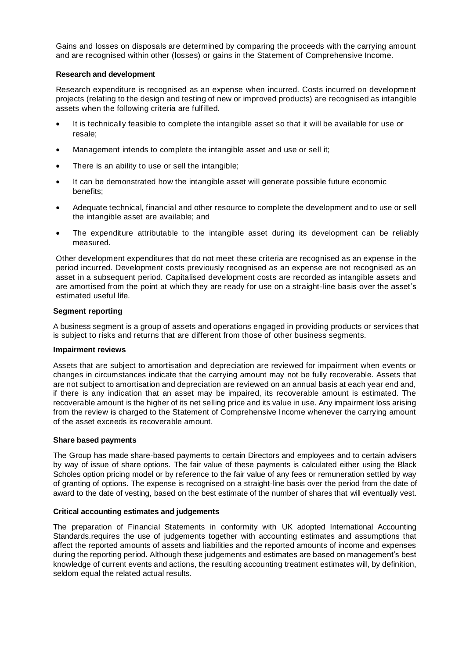Gains and losses on disposals are determined by comparing the proceeds with the carrying amount and are recognised within other (losses) or gains in the Statement of Comprehensive Income.

#### **Research and development**

Research expenditure is recognised as an expense when incurred. Costs incurred on development projects (relating to the design and testing of new or improved products) are recognised as intangible assets when the following criteria are fulfilled.

- It is technically feasible to complete the intangible asset so that it will be available for use or resale;
- Management intends to complete the intangible asset and use or sell it;
- There is an ability to use or sell the intangible;
- It can be demonstrated how the intangible asset will generate possible future economic benefits;
- Adequate technical, financial and other resource to complete the development and to use or sell the intangible asset are available; and
- The expenditure attributable to the intangible asset during its development can be reliably measured.

Other development expenditures that do not meet these criteria are recognised as an expense in the period incurred. Development costs previously recognised as an expense are not recognised as an asset in a subsequent period. Capitalised development costs are recorded as intangible assets and are amortised from the point at which they are ready for use on a straight-line basis over the asset's estimated useful life.

#### **Segment reporting**

A business segment is a group of assets and operations engaged in providing products or services that is subject to risks and returns that are different from those of other business segments.

#### **Impairment reviews**

Assets that are subject to amortisation and depreciation are reviewed for impairment when events or changes in circumstances indicate that the carrying amount may not be fully recoverable. Assets that are not subject to amortisation and depreciation are reviewed on an annual basis at each year end and, if there is any indication that an asset may be impaired, its recoverable amount is estimated. The recoverable amount is the higher of its net selling price and its value in use. Any impairment loss arising from the review is charged to the Statement of Comprehensive Income whenever the carrying amount of the asset exceeds its recoverable amount.

#### **Share based payments**

The Group has made share-based payments to certain Directors and employees and to certain advisers by way of issue of share options. The fair value of these payments is calculated either using the Black Scholes option pricing model or by reference to the fair value of any fees or remuneration settled by way of granting of options. The expense is recognised on a straight-line basis over the period from the date of award to the date of vesting, based on the best estimate of the number of shares that will eventually vest.

#### **Critical accounting estimates and judgements**

The preparation of Financial Statements in conformity with UK adopted International Accounting Standards.requires the use of judgements together with accounting estimates and assumptions that affect the reported amounts of assets and liabilities and the reported amounts of income and expenses during the reporting period. Although these judgements and estimates are based on management's best knowledge of current events and actions, the resulting accounting treatment estimates will, by definition, seldom equal the related actual results.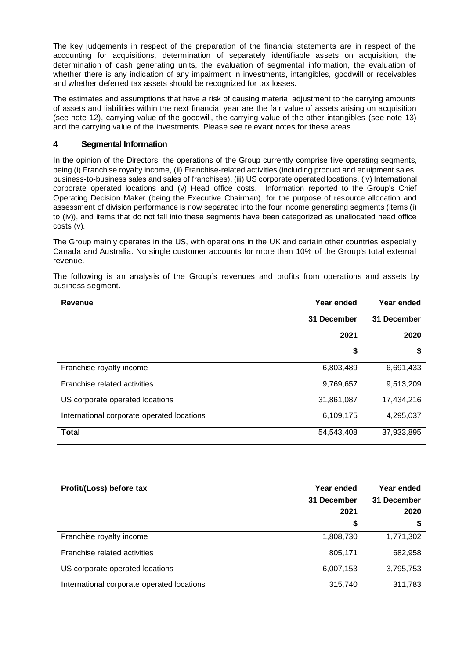The key judgements in respect of the preparation of the financial statements are in respect of the accounting for acquisitions, determination of separately identifiable assets on acquisition, the determination of cash generating units, the evaluation of segmental information, the evaluation of whether there is any indication of any impairment in investments, intangibles, goodwill or receivables and whether deferred tax assets should be recognized for tax losses.

The estimates and assumptions that have a risk of causing material adjustment to the carrying amounts of assets and liabilities within the next financial year are the fair value of assets arising on acquisition (see note 12), carrying value of the goodwill, the carrying value of the other intangibles (see note 13) and the carrying value of the investments. Please see relevant notes for these areas.

## **4 Segmental Information**

In the opinion of the Directors, the operations of the Group currently comprise five operating segments, being (i) Franchise royalty income, (ii) Franchise-related activities (including product and equipment sales, business-to-business sales and sales of franchises), (iii) US corporate operated locations, (iv) International corporate operated locations and (v) Head office costs. Information reported to the Group's Chief Operating Decision Maker (being the Executive Chairman), for the purpose of resource allocation and assessment of division performance is now separated into the four income generating segments (items (i) to (iv)), and items that do not fall into these segments have been categorized as unallocated head office costs (v).

The Group mainly operates in the US, with operations in the UK and certain other countries especially Canada and Australia. No single customer accounts for more than 10% of the Group's total external revenue.

The following is an analysis of the Group's revenues and profits from operations and assets by business segment.

| Revenue                                    | Year ended  | Year ended  |
|--------------------------------------------|-------------|-------------|
|                                            | 31 December | 31 December |
|                                            | 2021        | 2020        |
|                                            | \$          | \$          |
| Franchise royalty income                   | 6,803,489   | 6,691,433   |
| Franchise related activities               | 9,769,657   | 9,513,209   |
| US corporate operated locations            | 31,861,087  | 17,434,216  |
| International corporate operated locations | 6,109,175   | 4,295,037   |
| <b>Total</b>                               | 54,543,408  | 37,933,895  |

| Profit/(Loss) before tax                   | Year ended<br>31 December<br>2021 | Year ended<br>31 December<br>2020 |  |
|--------------------------------------------|-----------------------------------|-----------------------------------|--|
|                                            | \$                                | S                                 |  |
| Franchise royalty income                   | 1,808,730                         | 1,771,302                         |  |
| Franchise related activities               | 805,171                           | 682,958                           |  |
| US corporate operated locations            | 6,007,153                         | 3,795,753                         |  |
| International corporate operated locations | 315,740                           | 311,783                           |  |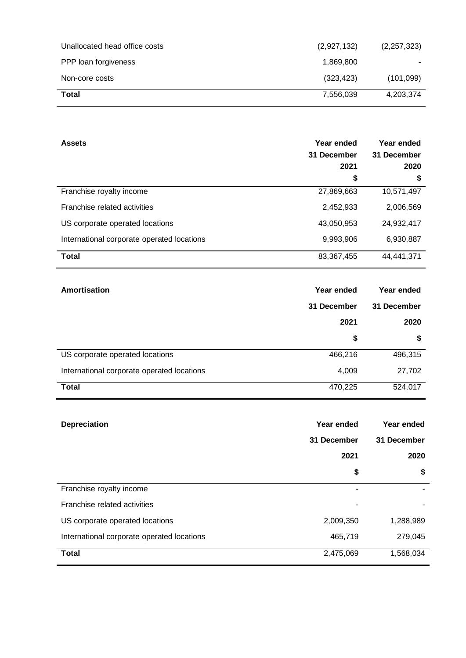| Unallocated head office costs | (2,927,132) | (2, 257, 323) |
|-------------------------------|-------------|---------------|
| PPP loan forgiveness          | 1,869,800   |               |
| Non-core costs                | (323, 423)  | (101,099)     |
| Total                         | 7,556,039   | 4,203,374     |

| <b>Assets</b>                              | Year ended<br>31 December | Year ended<br>31 December |  |
|--------------------------------------------|---------------------------|---------------------------|--|
|                                            | 2021                      | 2020                      |  |
|                                            | \$                        | \$                        |  |
| Franchise royalty income                   | 27,869,663                | 10,571,497                |  |
| Franchise related activities               | 2,452,933                 | 2,006,569                 |  |
| US corporate operated locations            | 43,050,953                | 24,932,417                |  |
| International corporate operated locations | 9,993,906                 | 6,930,887                 |  |
| <b>Total</b>                               | 83,367,455                | 44,441,371                |  |

| Amortisation                               | Year ended  |             |
|--------------------------------------------|-------------|-------------|
|                                            | 31 December | 31 December |
|                                            | 2021        | 2020        |
|                                            | \$          | \$          |
| US corporate operated locations            | 466,216     | 496,315     |
| International corporate operated locations | 4,009       | 27,702      |
| <b>Total</b>                               | 470,225     | 524,017     |

| Depreciation                               | Year ended  | Year ended  |  |
|--------------------------------------------|-------------|-------------|--|
|                                            | 31 December | 31 December |  |
|                                            | 2021        | 2020        |  |
|                                            | \$          | \$          |  |
| Franchise royalty income                   | ۰           |             |  |
| Franchise related activities               | ۰           |             |  |
| US corporate operated locations            | 2,009,350   | 1,288,989   |  |
| International corporate operated locations | 465,719     | 279,045     |  |
| <b>Total</b>                               | 2,475,069   | 1,568,034   |  |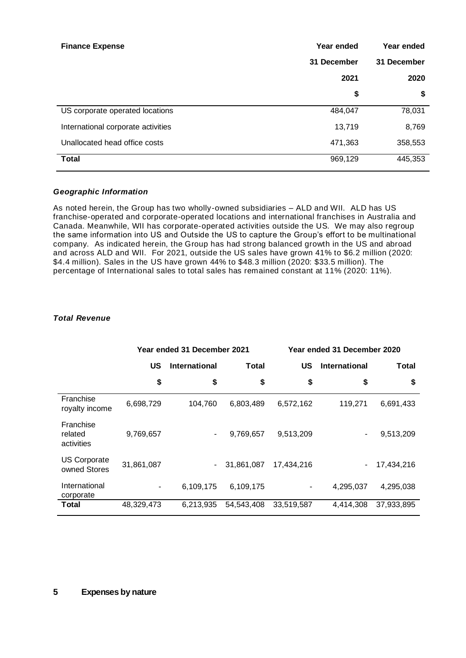| <b>Finance Expense</b>             | Year ended  | Year ended  |  |
|------------------------------------|-------------|-------------|--|
|                                    | 31 December | 31 December |  |
|                                    | 2021        | 2020        |  |
|                                    | \$          | \$          |  |
| US corporate operated locations    | 484,047     | 78,031      |  |
| International corporate activities | 13,719      | 8,769       |  |
| Unallocated head office costs      | 471,363     | 358,553     |  |
| <b>Total</b>                       | 969,129     | 445,353     |  |

## *Geographic Information*

As noted herein, the Group has two wholly-owned subsidiaries – ALD and WII. ALD has US franchise-operated and corporate-operated locations and international franchises in Australia and Canada. Meanwhile, WII has corporate-operated activities outside the US. We may also regroup the same information into US and Outside the US to capture the Group's effort to be multinational company. As indicated herein, the Group has had strong balanced growth in the US and abroad and across ALD and WII. For 2021, outside the US sales have grown 41% to \$6.2 million (2020: \$4.4 million). Sales in the US have grown 44% to \$48.3 million (2020: \$33.5 million). The percentage of International sales to total sales has remained constant at 11% (2020: 11%).

#### *Total Revenue*

|                                     | Year ended 31 December 2021 |                          | Year ended 31 December 2020 |            |                      |            |
|-------------------------------------|-----------------------------|--------------------------|-----------------------------|------------|----------------------|------------|
|                                     | US                          | <b>International</b>     | <b>Total</b>                | US         | <b>International</b> | Total      |
|                                     | \$                          | \$                       | \$                          | \$         | \$                   | \$         |
| Franchise<br>royalty income         | 6,698,729                   | 104,760                  | 6,803,489                   | 6,572,162  | 119,271              | 6,691,433  |
| Franchise<br>related<br>activities  | 9,769,657                   | -                        | 9,769,657                   | 9,513,209  |                      | 9,513,209  |
| <b>US Corporate</b><br>owned Stores | 31,861,087                  | $\overline{\phantom{a}}$ | 31,861,087                  | 17.434.216 | ۰                    | 17,434,216 |
| International<br>corporate          |                             | 6,109,175                | 6,109,175                   | ٠          | 4,295,037            | 4,295,038  |
| Total                               | 48,329,473                  | 6,213,935                | 54,543,408                  | 33,519,587 | 4,414,308            | 37,933,895 |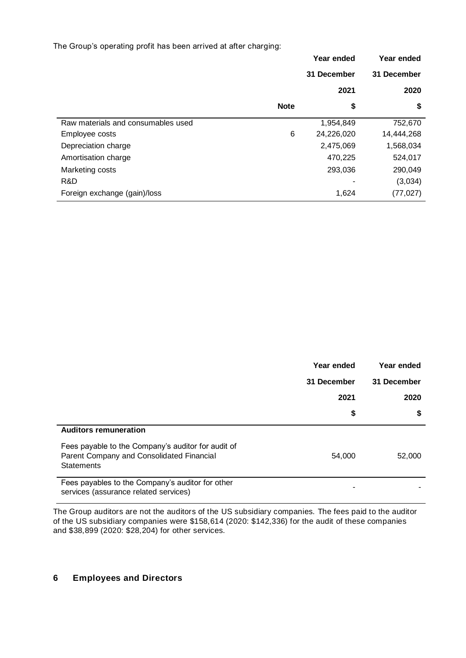The Group's operating profit has been arrived at after charging:

|                                    |             | Year ended  | Year ended  |
|------------------------------------|-------------|-------------|-------------|
|                                    |             | 31 December | 31 December |
|                                    |             | 2021        | 2020        |
|                                    | <b>Note</b> | \$          | \$          |
| Raw materials and consumables used |             | 1,954,849   | 752,670     |
| Employee costs                     | 6           | 24,226,020  | 14,444,268  |
| Depreciation charge                |             | 2,475,069   | 1,568,034   |
| Amortisation charge                |             | 470,225     | 524,017     |
| Marketing costs                    |             | 293,036     | 290,049     |
| R&D                                |             |             | (3,034)     |
| Foreign exchange (gain)/loss       |             | 1,624       | (77, 027)   |

|                                                                                                                      | Year ended  | Year ended  |
|----------------------------------------------------------------------------------------------------------------------|-------------|-------------|
|                                                                                                                      | 31 December | 31 December |
|                                                                                                                      | 2021        | 2020        |
|                                                                                                                      | \$          | \$          |
| <b>Auditors remuneration</b>                                                                                         |             |             |
| Fees payable to the Company's auditor for audit of<br>Parent Company and Consolidated Financial<br><b>Statements</b> | 54,000      | 52,000      |
| Fees payables to the Company's auditor for other<br>services (assurance related services)                            |             |             |

The Group auditors are not the auditors of the US subsidiary companies. The fees paid to the auditor of the US subsidiary companies were \$158,614 (2020: \$142,336) for the audit of these companies and \$38,899 (2020: \$28,204) for other services.

# **6 Employees and Directors**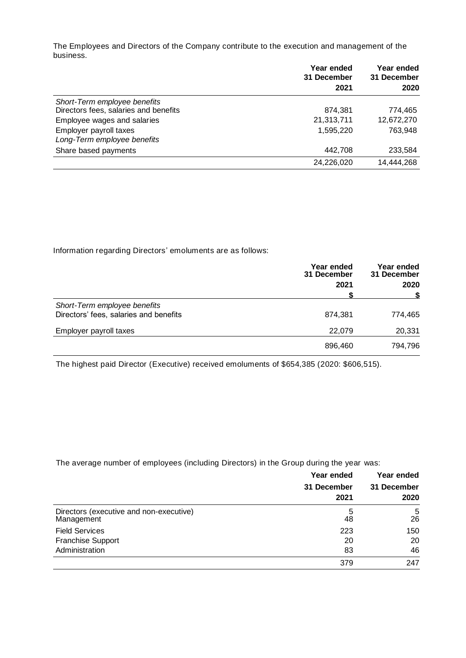The Employees and Directors of the Company contribute to the execution and management of the business.

|                                       | Year ended<br>31 December | Year ended<br>31 December |
|---------------------------------------|---------------------------|---------------------------|
|                                       | 2021                      | 2020                      |
| Short-Term employee benefits          |                           |                           |
| Directors fees, salaries and benefits | 874,381                   | 774,465                   |
| Employee wages and salaries           | 21,313,711                | 12,672,270                |
| Employer payroll taxes                | 1,595,220                 | 763.948                   |
| Long-Term employee benefits           |                           |                           |
| Share based payments                  | 442.708                   | 233,584                   |
|                                       | 24,226,020                | 14,444,268                |

Information regarding Directors' emoluments are as follows:

|                                                                        | Year ended<br>31 December | Year ended<br>31 December<br>2020 |
|------------------------------------------------------------------------|---------------------------|-----------------------------------|
|                                                                        | 2021                      |                                   |
| Short-Term employee benefits<br>Directors' fees, salaries and benefits | 874,381                   | 774,465                           |
| Employer payroll taxes                                                 | 22,079                    | 20,331                            |
|                                                                        | 896,460                   | 794,796                           |

The highest paid Director (Executive) received emoluments of \$654,385 (2020: \$606,515).

The average number of employees (including Directors) in the Group during the year was:

|                                                       | Year ended<br>31 December<br>2021 | Year ended<br>31 December<br>2020 |
|-------------------------------------------------------|-----------------------------------|-----------------------------------|
| Directors (executive and non-executive)<br>Management | 5<br>48                           | 5<br>26                           |
| <b>Field Services</b>                                 | 223                               | 150                               |
| <b>Franchise Support</b>                              | 20                                | 20                                |
| Administration                                        | 83                                | 46                                |
|                                                       | 379                               | 247                               |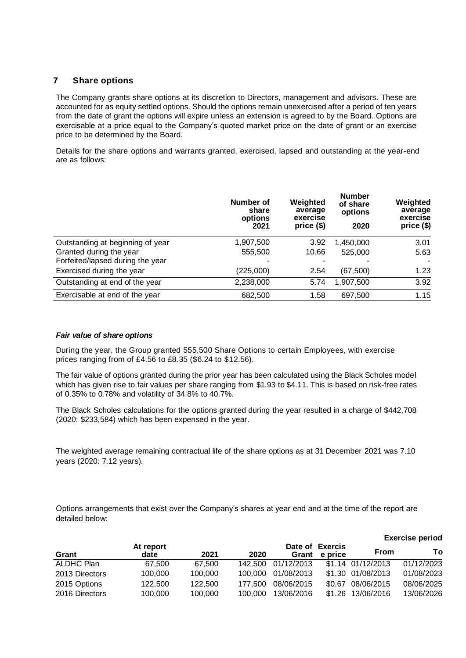## **7 Share options**

The Company grants share options at its discretion to Directors, management and advisors. These are accounted for as equity settled options. Should the options remain unexercised after a period of ten years from the date of grant the options will expire unless an extension is agreed to by the Board. Options are exercisable at a price equal to the Company's quoted market price on the date of grant or an exercise price to be determined by the Board.

Details for the share options and warrants granted, exercised, lapsed and outstanding at the year-end are as follows:

|                                  | Number of<br>share<br>options<br>2021 | Weighted<br>average<br>exercise<br>price (\$) | <b>Number</b><br>of share<br>options<br>2020 | Weighted<br>average<br>exercise<br>price (\$) |
|----------------------------------|---------------------------------------|-----------------------------------------------|----------------------------------------------|-----------------------------------------------|
| Outstanding at beginning of year | 1,907,500                             | 3.92                                          | 1,450,000                                    | 3.01                                          |
| Granted during the year          | 555,500                               | 10.66                                         | 525,000                                      | 5.63                                          |
| Forfeited/lapsed during the year | ۰                                     |                                               |                                              |                                               |
| Exercised during the year        | (225,000)                             | 2.54                                          | (67, 500)                                    | 1.23                                          |
| Outstanding at end of the year   | 2,238,000                             | 5.74                                          | 1,907,500                                    | 3.92                                          |
| Exercisable at end of the year   | 682,500                               | 1.58                                          | 697,500                                      | 1.15                                          |

## *Fair value of share options*

During the year, the Group granted 555,500 Share Options to certain Employees, with exercise prices ranging from of £4.56 to £8.35 (\$6.24 to \$12.56).

The fair value of options granted during the prior year has been calculated using the Black Scholes model which has given rise to fair values per share ranging from \$1.93 to \$4.11. This is based on risk-free rates of 0.35% to 0.78% and volatility of 34.8% to 40.7%.

The Black Scholes calculations for the options granted during the year resulted in a charge of \$442,708 (2020: \$233,584) which has been expensed in the year.

The weighted average remaining contractual life of the share options as at 31 December 2021 was 7.10 years (2020: 7.12 years).

Options arrangements that exist over the Company's shares at year end and at the time of the report are detailed below:

|                |                   |         |         |            |                            |                   | <b>Exercise period</b> |
|----------------|-------------------|---------|---------|------------|----------------------------|-------------------|------------------------|
| Grant          | At report<br>date | 2021    | 2020    | Grant      | Date of Exercis<br>e price | <b>From</b>       | Τo                     |
| ALDHC Plan     | 67.500            | 67.500  | 142.500 | 01/12/2013 |                            | \$1.14 01/12/2013 | 01/12/2023             |
| 2013 Directors | 100,000           | 100,000 | 100.000 | 01/08/2013 |                            | \$1.30 01/08/2013 | 01/08/2023             |
| 2015 Options   | 122,500           | 122,500 | 177.500 | 08/06/2015 | \$0.67                     | 08/06/2015        | 08/06/2025             |
| 2016 Directors | 100,000           | 100,000 | 100,000 | 13/06/2016 | \$1.26                     | 13/06/2016        | 13/06/2026             |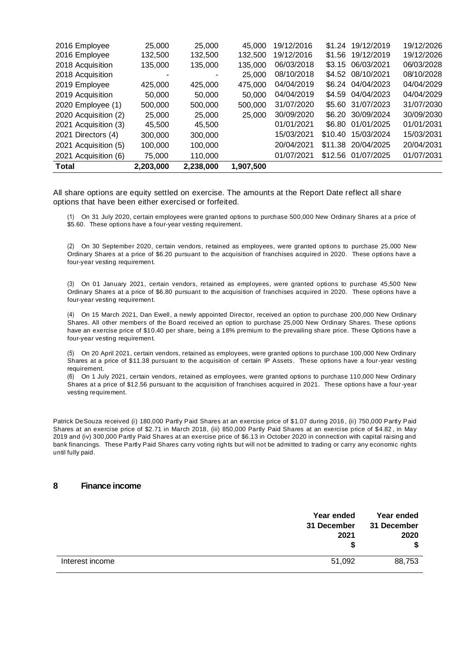| <b>Total</b>         | 2,203,000 | 2,238,000 | 1,907,500 |            |         |            |            |
|----------------------|-----------|-----------|-----------|------------|---------|------------|------------|
| 2021 Acquisition (6) | 75,000    | 110,000   |           | 01/07/2021 | \$12.56 | 01/07/2025 | 01/07/2031 |
| 2021 Acquisition (5) | 100,000   | 100,000   |           | 20/04/2021 | \$11.38 | 20/04/2025 | 20/04/2031 |
| 2021 Directors (4)   | 300,000   | 300,000   |           | 15/03/2021 | \$10.40 | 15/03/2024 | 15/03/2031 |
| 2021 Acquisition (3) | 45,500    | 45,500    |           | 01/01/2021 | \$6.80  | 01/01/2025 | 01/01/2031 |
| 2020 Acquisition (2) | 25,000    | 25,000    | 25,000    | 30/09/2020 | \$6.20  | 30/09/2024 | 30/09/2030 |
| 2020 Employee (1)    | 500,000   | 500,000   | 500,000   | 31/07/2020 | \$5.60  | 31/07/2023 | 31/07/2030 |
| 2019 Acquisition     | 50,000    | 50,000    | 50,000    | 04/04/2019 | \$4.59  | 04/04/2023 | 04/04/2029 |
| 2019 Employee        | 425,000   | 425,000   | 475,000   | 04/04/2019 | \$6.24  | 04/04/2023 | 04/04/2029 |
| 2018 Acquisition     |           |           | 25,000    | 08/10/2018 | \$4.52  | 08/10/2021 | 08/10/2028 |
| 2018 Acquisition     | 135.000   | 135,000   | 135,000   | 06/03/2018 | \$3.15  | 06/03/2021 | 06/03/2028 |
| 2016 Employee        | 132,500   | 132,500   | 132,500   | 19/12/2016 | \$1.56  | 19/12/2019 | 19/12/2026 |
| 2016 Employee        | 25,000    | 25,000    | 45,000    | 19/12/2016 | \$1.24  | 19/12/2019 | 19/12/2026 |

All share options are equity settled on exercise. The amounts at the Report Date reflect all share options that have been either exercised or forfeited.

(1) On 31 July 2020, certain employees were granted options to purchase 500,000 New Ordinary Shares at a price of \$5.60. These options have a four-year vesting requirement.

(2) On 30 September 2020, certain vendors, retained as employees, were granted options to purchase 25,000 New Ordinary Shares at a price of \$6.20 pursuant to the acquisition of franchises acquired in 2020. These options have a four-year vesting requirement.

(3) On 01 January 2021, certain vendors, retained as employees, were granted options to purchase 45,500 New Ordinary Shares at a price of \$6.80 pursuant to the acquisition of franchises acquired in 2020. These options have a four-year vesting requirement.

(4) On 15 March 2021, Dan Ewell, a newly appointed Director, received an option to purchase 200,000 New Ordinary Shares. All other members of the Board received an option to purchase 25,000 New Ordinary Shares. These options have an exercise price of \$10.40 per share, being a 18% premium to the prevailing share price. These Options have a four-year vesting requirement.

(5) On 20 April 2021, certain vendors, retained as employees, were granted options to purchase 100,000 New Ordinary Shares at a price of \$11.38 pursuant to the acquisition of certain IP Assets. These options have a four-year vesting requirement.

(6) On 1 July 2021, certain vendors, retained as employees, were granted options to purchase 110,000 New Ordinary Shares at a price of \$12.56 pursuant to the acquisition of franchises acquired in 2021. These options have a four-year vesting requirement.

Patrick DeSouza received (i) 180,000 Partly Paid Shares at an exercise price of \$1.07 during 2016, (ii) 750,000 Partly Paid Shares at an exercise price of \$2.71 in March 2018, (iii) 850,000 Partly Paid Shares at an exercise price of \$4.82 , in May 2019 and (iv) 300,000 Partly Paid Shares at an exercise price of \$6.13 in October 2020 in connection with capital raising and bank financings. These Partly Paid Shares carry voting rights but will not be admitted to trading or carry any economic rights until fully paid.

#### **8 Finance income**

|                 | Year ended<br>31 December<br>2021 | Year ended<br>31 December<br>2020 |
|-----------------|-----------------------------------|-----------------------------------|
| Interest income | 51,092                            | 88,753                            |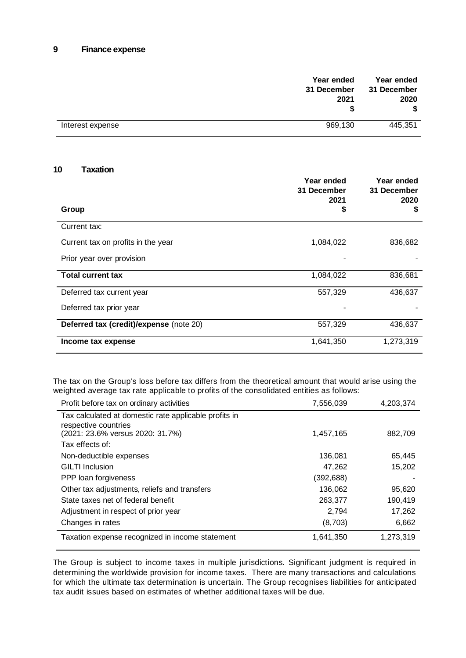## **9 Finance expense**

| Year ended<br>31 December | 2021    | Year ended<br>31 December<br>2020<br>\$ |
|---------------------------|---------|-----------------------------------------|
| Interest expense          | 969,130 | 445,351                                 |

#### **10 Taxation**

|                                         | Year ended<br>31 December<br>2021 | Year ended<br>31 December<br>2020 |
|-----------------------------------------|-----------------------------------|-----------------------------------|
| Group                                   | \$                                | \$                                |
| Current tax:                            |                                   |                                   |
| Current tax on profits in the year      | 1,084,022                         | 836,682                           |
| Prior year over provision               |                                   |                                   |
| <b>Total current tax</b>                | 1,084,022                         | 836,681                           |
| Deferred tax current year               | 557,329                           | 436,637                           |
| Deferred tax prior year                 |                                   |                                   |
| Deferred tax (credit)/expense (note 20) | 557,329                           | 436,637                           |
| Income tax expense                      | 1,641,350                         | 1,273,319                         |

The tax on the Group's loss before tax differs from the theoretical amount that would arise using the weighted average tax rate applicable to profits of the consolidated entities as follows:

| Profit before tax on ordinary activities              | 7,556,039 | 4,203,374 |
|-------------------------------------------------------|-----------|-----------|
| Tax calculated at domestic rate applicable profits in |           |           |
| respective countries                                  |           |           |
| (2021: 23.6% versus 2020: 31.7%)                      | 1,457,165 | 882,709   |
| Tax effects of:                                       |           |           |
| Non-deductible expenses                               | 136,081   | 65,445    |
| <b>GILTI</b> Inclusion                                | 47,262    | 15,202    |
| PPP loan forgiveness                                  | (392,688) |           |
| Other tax adjustments, reliefs and transfers          | 136,062   | 95,620    |
| State taxes net of federal benefit                    | 263,377   | 190,419   |
| Adjustment in respect of prior year                   | 2,794     | 17,262    |
| Changes in rates                                      | (8,703)   | 6,662     |
| Taxation expense recognized in income statement       | 1,641,350 | 1,273,319 |

The Group is subject to income taxes in multiple jurisdictions. Significant judgment is required in determining the worldwide provision for income taxes. There are many transactions and calculations for which the ultimate tax determination is uncertain. The Group recognises liabilities for anticipated tax audit issues based on estimates of whether additional taxes will be due.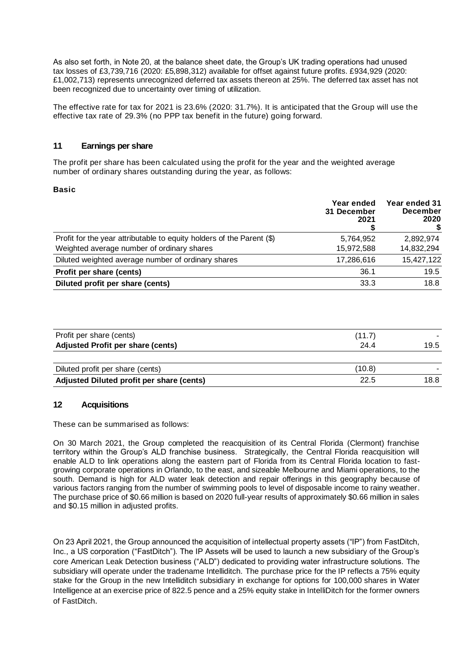As also set forth, in Note 20, at the balance sheet date, the Group's UK trading operations had unused tax losses of £3,739,716 (2020: £5,898,312) available for offset against future profits. £934,929 (2020: £1,002,713) represents unrecognized deferred tax assets thereon at 25%. The deferred tax asset has not been recognized due to uncertainty over timing of utilization.

The effective rate for tax for 2021 is 23.6% (2020: 31.7%). It is anticipated that the Group will use the effective tax rate of 29.3% (no PPP tax benefit in the future) going forward.

# **11 Earnings per share**

The profit per share has been calculated using the profit for the year and the weighted average number of ordinary shares outstanding during the year, as follows:

#### **Basic**

|                                                                       | Year ended<br>31 December<br>2021 | Year ended 31<br><b>December</b><br>2020 |
|-----------------------------------------------------------------------|-----------------------------------|------------------------------------------|
| Profit for the year attributable to equity holders of the Parent (\$) | 5,764,952                         | 2,892,974                                |
| Weighted average number of ordinary shares                            | 15,972,588                        | 14,832,294                               |
| Diluted weighted average number of ordinary shares                    | 17,286,616                        | 15,427,122                               |
| Profit per share (cents)                                              | 36.1                              | 19.5                                     |
| Diluted profit per share (cents)                                      | 33.3                              | 18.8                                     |

| Profit per share (cents)                  | (11.7) |      |
|-------------------------------------------|--------|------|
| <b>Adjusted Profit per share (cents)</b>  | 24.4   | 19.5 |
|                                           |        |      |
| Diluted profit per share (cents)          | (10.8) |      |
| Adjusted Diluted profit per share (cents) | 22.5   | 18.8 |

## **12 Acquisitions**

These can be summarised as follows:

On 30 March 2021, the Group completed the reacquisition of its Central Florida (Clermont) franchise territory within the Group's ALD franchise business. Strategically, the Central Florida reacquisition will enable ALD to link operations along the eastern part of Florida from its Central Florida location to fastgrowing corporate operations in Orlando, to the east, and sizeable Melbourne and Miami operations, to the south. Demand is high for ALD water leak detection and repair offerings in this geography because of various factors ranging from the number of swimming pools to level of disposable income to rainy weather. The purchase price of \$0.66 million is based on 2020 full-year results of approximately \$0.66 million in sales and \$0.15 million in adjusted profits.

On 23 April 2021, the Group announced the acquisition of intellectual property assets ("IP") from FastDitch, Inc., a US corporation ("FastDitch"). The IP Assets will be used to launch a new subsidiary of the Group's core American Leak Detection business ("ALD") dedicated to providing water infrastructure solutions. The subsidiary will operate under the tradename Intelliditch. The purchase price for the IP reflects a 75% equity stake for the Group in the new Intelliditch subsidiary in exchange for options for 100,000 shares in Water Intelligence at an exercise price of 822.5 pence and a 25% equity stake in IntelliDitch for the former owners of FastDitch.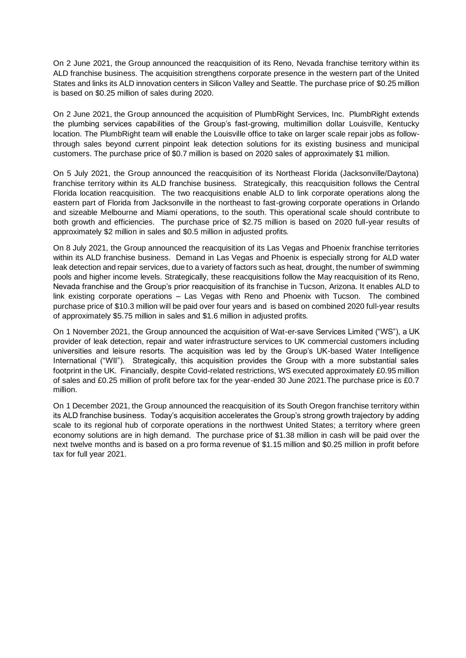On 2 June 2021, the Group announced the reacquisition of its Reno, Nevada franchise territory within its ALD franchise business. The acquisition strengthens corporate presence in the western part of the United States and links its ALD innovation centers in Silicon Valley and Seattle. The purchase price of \$0.25 million is based on \$0.25 million of sales during 2020.

On 2 June 2021, the Group announced the acquisition of PlumbRight Services, Inc. PlumbRight extends the plumbing services capabilities of the Group's fast-growing, multimillion dollar Louisville, Kentucky location. The PlumbRight team will enable the Louisville office to take on larger scale repair jobs as followthrough sales beyond current pinpoint leak detection solutions for its existing business and municipal customers. The purchase price of \$0.7 million is based on 2020 sales of approximately \$1 million.

On 5 July 2021, the Group announced the reacquisition of its Northeast Florida (Jacksonville/Daytona) franchise territory within its ALD franchise business. Strategically, this reacquisition follows the Central Florida location reacquisition. The two reacquisitions enable ALD to link corporate operations along the eastern part of Florida from Jacksonville in the northeast to fast-growing corporate operations in Orlando and sizeable Melbourne and Miami operations, to the south. This operational scale should contribute to both growth and efficiencies. The purchase price of \$2.75 million is based on 2020 full-year results of approximately \$2 million in sales and \$0.5 million in adjusted profits.

On 8 July 2021, the Group announced the reacquisition of its Las Vegas and Phoenix franchise territories within its ALD franchise business. Demand in Las Vegas and Phoenix is especially strong for ALD water leak detection and repair services, due to a variety of factors such as heat, drought, the number of swimming pools and higher income levels. Strategically, these reacquisitions follow the May reacquisition of its Reno, Nevada franchise and the Group's prior reacquisition of its franchise in Tucson, Arizona. It enables ALD to link existing corporate operations – Las Vegas with Reno and Phoenix with Tucson. The combined purchase price of \$10.3 million will be paid over four years and is based on combined 2020 full-year results of approximately \$5.75 million in sales and \$1.6 million in adjusted profits.

On 1 November 2021, the Group announced the acquisition of Wat-er-save Services Limited ("WS"), a UK provider of leak detection, repair and water infrastructure services to UK commercial customers including universities and leisure resorts. The acquisition was led by the Group's UK-based Water Intelligence International ("WII"). Strategically, this acquisition provides the Group with a more substantial sales footprint in the UK. Financially, despite Covid-related restrictions, WS executed approximately £0.95 million of sales and £0.25 million of profit before tax for the year-ended 30 June 2021.The purchase price is £0.7 million.

On 1 December 2021, the Group announced the reacquisition of its South Oregon franchise territory within its ALD franchise business. Today's acquisition accelerates the Group's strong growth trajectory by adding scale to its regional hub of corporate operations in the northwest United States; a territory where green economy solutions are in high demand. The purchase price of \$1.38 million in cash will be paid over the next twelve months and is based on a pro forma revenue of \$1.15 million and \$0.25 million in profit before tax for full year 2021.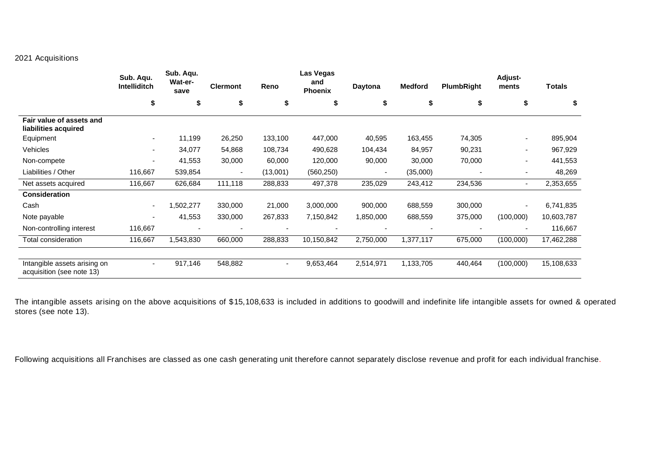# 2021 Acquisitions

|                                                           | Sub. Aqu.<br>Intelliditch | Sub. Aqu.<br>Wat-er-<br>save | <b>Clermont</b> | Reno           | Las Vegas<br>and<br>Phoenix | Daytona   | <b>Medford</b> | PlumbRight | <b>Adjust-</b><br>ments | <b>Totals</b> |
|-----------------------------------------------------------|---------------------------|------------------------------|-----------------|----------------|-----------------------------|-----------|----------------|------------|-------------------------|---------------|
|                                                           | \$                        | S                            | \$              | \$             | \$                          | \$        | \$             | \$         | \$                      | \$            |
| Fair value of assets and<br>liabilities acquired          |                           |                              |                 |                |                             |           |                |            |                         |               |
| Equipment                                                 | ۰.                        | 11,199                       | 26,250          | 133,100        | 447,000                     | 40,595    | 163,455        | 74,305     | ٠                       | 895,904       |
| Vehicles                                                  |                           | 34,077                       | 54,868          | 108,734        | 490,628                     | 104,434   | 84,957         | 90,231     | $\blacksquare$          | 967,929       |
| Non-compete                                               | $\overline{\phantom{0}}$  | 41,553                       | 30,000          | 60,000         | 120,000                     | 90,000    | 30,000         | 70,000     | $\blacksquare$          | 441,553       |
| Liabilities / Other                                       | 116,667                   | 539,854                      |                 | (13,001)       | (560, 250)                  |           | (35,000)       |            | ٠                       | 48,269        |
| Net assets acquired                                       | 116,667                   | 626,684                      | 111,118         | 288,833        | 497,378                     | 235,029   | 243,412        | 234,536    | $\blacksquare$          | 2,353,655     |
| <b>Consideration</b>                                      |                           |                              |                 |                |                             |           |                |            |                         |               |
| Cash                                                      |                           | ,502,277                     | 330,000         | 21,000         | 3,000,000                   | 900,000   | 688,559        | 300,000    | ٠                       | 6,741,835     |
| Note payable                                              | $\overline{\phantom{0}}$  | 41,553                       | 330,000         | 267,833        | 7,150,842                   | 1,850,000 | 688,559        | 375,000    | (100,000)               | 10,603,787    |
| Non-controlling interest                                  | 116,667                   |                              |                 |                |                             |           |                |            | ٠                       | 116,667       |
| Total consideration                                       | 116,667                   | 1,543,830                    | 660,000         | 288,833        | 10,150,842                  | 2,750,000 | 1,377,117      | 675,000    | (100,000)               | 17,462,288    |
| Intangible assets arising on<br>acquisition (see note 13) | ٠                         | 917,146                      | 548,882         | $\blacksquare$ | 9,653,464                   | 2,514,971 | 1,133,705      | 440,464    | (100,000)               | 15,108,633    |

The intangible assets arising on the above acquisitions of \$15,108,633 is included in additions to goodwill and indefinite life intangible assets for owned & operated stores (see note 13).

Following acquisitions all Franchises are classed as one cash generating unit therefore cannot separately disclose revenue and profit for each individual franchise.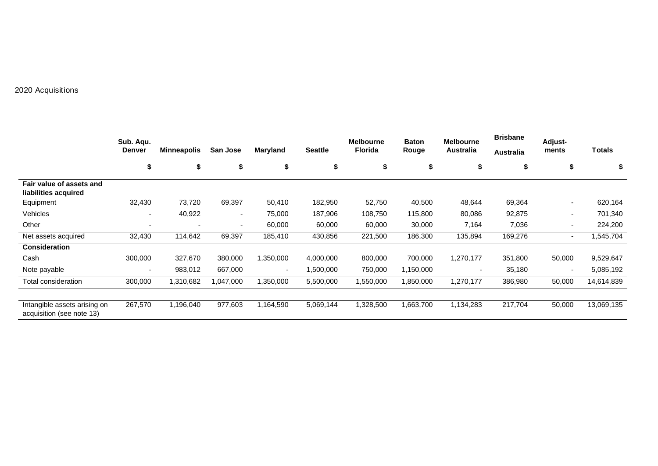# 2020 Acquisitions

|                                                           | Sub. Agu.                |                          |           |          |                | <b>Melbourne</b> | <b>Baton</b> | <b>Melbourne</b>         | <b>Brisbane</b>  | Adjust-                  |            |
|-----------------------------------------------------------|--------------------------|--------------------------|-----------|----------|----------------|------------------|--------------|--------------------------|------------------|--------------------------|------------|
|                                                           | <b>Denver</b>            | <b>Minneapolis</b>       | San Jose  | Maryland | <b>Seattle</b> | <b>Florida</b>   | Rouge        | Australia                | <b>Australia</b> | ments                    | Totals     |
|                                                           | \$                       | \$                       | \$        | \$       | \$             | \$               | \$           | \$                       | \$               | \$                       | \$         |
| Fair value of assets and<br>liabilities acquired          |                          |                          |           |          |                |                  |              |                          |                  |                          |            |
| Equipment                                                 | 32,430                   | 73,720                   | 69,397    | 50,410   | 182,950        | 52,750           | 40,500       | 48,644                   | 69,364           | ٠                        | 620,164    |
| Vehicles                                                  | ۰                        | 40,922                   | $\sim$    | 75,000   | 187,906        | 108,750          | 115,800      | 80,086                   | 92,875           | ۰.                       | 701,340    |
| Other                                                     |                          | $\overline{\phantom{a}}$ | $\sim$    | 60,000   | 60,000         | 60,000           | 30,000       | 7,164                    | 7,036            | ٠                        | 224,200    |
| Net assets acquired                                       | 32,430                   | 114,642                  | 69,397    | 185,410  | 430,856        | 221,500          | 186,300      | 135,894                  | 169,276          | ٠                        | 1,545,704  |
| <b>Consideration</b>                                      |                          |                          |           |          |                |                  |              |                          |                  |                          |            |
| Cash                                                      | 300,000                  | 327,670                  | 380,000   | .350,000 | 4,000,000      | 800,000          | 700,000      | 1,270,177                | 351,800          | 50,000                   | 9,529,647  |
| Note payable                                              | $\overline{\phantom{a}}$ | 983,012                  | 667,000   | ٠        | 1,500,000      | 750,000          | 1,150,000    | $\overline{\phantom{a}}$ | 35,180           | $\overline{\phantom{a}}$ | 5,085,192  |
| Total consideration                                       | 300,000                  | 1,310,682                | 1,047,000 | ,350,000 | 5,500,000      | 1,550,000        | 1,850,000    | 1,270,177                | 386,980          | 50,000                   | 14,614,839 |
|                                                           |                          |                          |           |          |                |                  |              |                          |                  |                          |            |
| Intangible assets arising on<br>acquisition (see note 13) | 267,570                  | 1,196,040                | 977,603   | .164,590 | 5,069,144      | 1,328,500        | 1,663,700    | 1,134,283                | 217,704          | 50,000                   | 13,069,135 |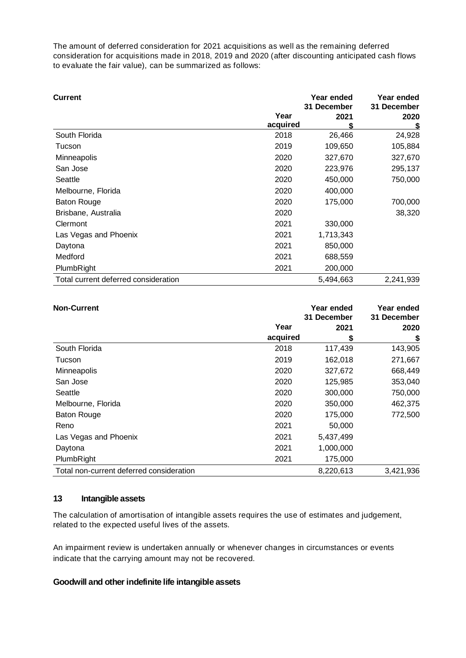The amount of deferred consideration for 2021 acquisitions as well as the remaining deferred consideration for acquisitions made in 2018, 2019 and 2020 (after discounting anticipated cash flows to evaluate the fair value), can be summarized as follows:

| <b>Current</b>                       |                  | Year ended<br>31 December | Year ended<br>31 December |  |
|--------------------------------------|------------------|---------------------------|---------------------------|--|
|                                      | Year<br>acquired | 2021                      | 2020<br>S                 |  |
| South Florida                        | 2018             | 26,466                    | 24,928                    |  |
| Tucson                               | 2019             | 109,650                   | 105,884                   |  |
| <b>Minneapolis</b>                   | 2020             | 327,670                   | 327,670                   |  |
| San Jose                             | 2020             | 223,976                   | 295,137                   |  |
| Seattle                              | 2020             | 450,000                   | 750,000                   |  |
| Melbourne, Florida                   | 2020             | 400,000                   |                           |  |
| <b>Baton Rouge</b>                   | 2020             | 175,000                   | 700,000                   |  |
| Brisbane, Australia                  | 2020             |                           | 38,320                    |  |
| Clermont                             | 2021             | 330,000                   |                           |  |
| Las Vegas and Phoenix                | 2021             | 1,713,343                 |                           |  |
| Daytona                              | 2021             | 850,000                   |                           |  |
| Medford                              | 2021             | 688,559                   |                           |  |
| PlumbRight                           | 2021             | 200,000                   |                           |  |
| Total current deferred consideration |                  | 5,494,663                 | 2,241,939                 |  |

| <b>Non-Current</b>                       |          | Year ended<br>31 December | Year ended<br>31 December |
|------------------------------------------|----------|---------------------------|---------------------------|
|                                          | Year     | 2021                      | 2020                      |
|                                          | acquired | \$                        | \$                        |
| South Florida                            | 2018     | 117,439                   | 143,905                   |
| Tucson                                   | 2019     | 162,018                   | 271,667                   |
| Minneapolis                              | 2020     | 327,672                   | 668,449                   |
| San Jose                                 | 2020     | 125,985                   | 353,040                   |
| Seattle                                  | 2020     | 300,000                   | 750,000                   |
| Melbourne, Florida                       | 2020     | 350,000                   | 462,375                   |
| <b>Baton Rouge</b>                       | 2020     | 175,000                   | 772,500                   |
| Reno                                     | 2021     | 50,000                    |                           |
| Las Vegas and Phoenix                    | 2021     | 5,437,499                 |                           |
| Daytona                                  | 2021     | 1,000,000                 |                           |
| PlumbRight                               | 2021     | 175,000                   |                           |
| Total non-current deferred consideration |          | 8,220,613                 | 3,421,936                 |

## **13 Intangible assets**

The calculation of amortisation of intangible assets requires the use of estimates and judgement, related to the expected useful lives of the assets.

An impairment review is undertaken annually or whenever changes in circumstances or events indicate that the carrying amount may not be recovered.

## **Goodwill and other indefinite life intangible assets**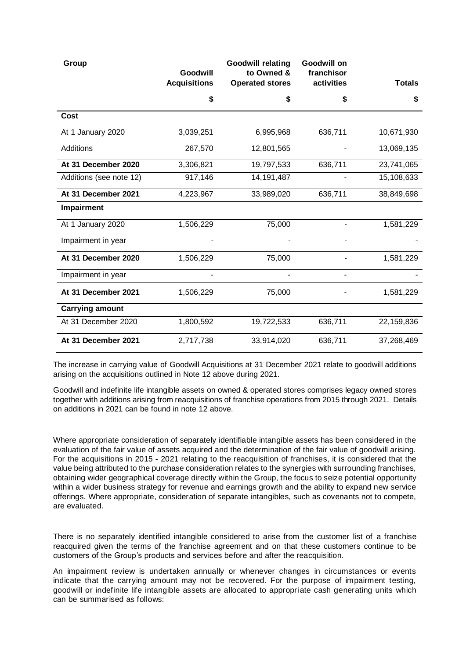| Group                   | Goodwill<br><b>Acquisitions</b> | <b>Goodwill relating</b><br>to Owned &<br><b>Operated stores</b> | Goodwill on<br>franchisor<br>activities | <b>Totals</b> |
|-------------------------|---------------------------------|------------------------------------------------------------------|-----------------------------------------|---------------|
|                         | \$                              | \$                                                               | \$                                      | \$            |
| <b>Cost</b>             |                                 |                                                                  |                                         |               |
| At 1 January 2020       | 3,039,251                       | 6,995,968                                                        | 636,711                                 | 10,671,930    |
| <b>Additions</b>        | 267,570                         | 12,801,565                                                       |                                         | 13,069,135    |
| At 31 December 2020     | 3,306,821                       | 19,797,533                                                       | 636,711                                 | 23,741,065    |
| Additions (see note 12) | 917,146                         | 14, 191, 487                                                     |                                         | 15,108,633    |
| At 31 December 2021     | 4,223,967                       | 33,989,020                                                       | 636,711                                 | 38,849,698    |
| Impairment              |                                 |                                                                  |                                         |               |
| At 1 January 2020       | 1,506,229                       | 75,000                                                           |                                         | 1,581,229     |
| Impairment in year      |                                 |                                                                  |                                         |               |
| At 31 December 2020     | 1,506,229                       | 75,000                                                           |                                         | 1,581,229     |
| Impairment in year      |                                 | ä,                                                               | $\overline{\phantom{0}}$                |               |
| At 31 December 2021     | 1,506,229                       | 75,000                                                           |                                         | 1,581,229     |
| <b>Carrying amount</b>  |                                 |                                                                  |                                         |               |
| At 31 December 2020     | 1,800,592                       | 19,722,533                                                       | 636,711                                 | 22,159,836    |
| At 31 December 2021     | 2,717,738                       | 33,914,020                                                       | 636,711                                 | 37,268,469    |

The increase in carrying value of Goodwill Acquisitions at 31 December 2021 relate to goodwill additions arising on the acquisitions outlined in Note 12 above during 2021.

Goodwill and indefinite life intangible assets on owned & operated stores comprises legacy owned stores together with additions arising from reacquisitions of franchise operations from 2015 through 2021. Details on additions in 2021 can be found in note 12 above.

Where appropriate consideration of separately identifiable intangible assets has been considered in the evaluation of the fair value of assets acquired and the determination of the fair value of goodwill arising. For the acquisitions in 2015 - 2021 relating to the reacquisition of franchises, it is considered that the value being attributed to the purchase consideration relates to the synergies with surrounding franchises, obtaining wider geographical coverage directly within the Group, the focus to seize potential opportunity within a wider business strategy for revenue and earnings growth and the ability to expand new service offerings. Where appropriate, consideration of separate intangibles, such as covenants not to compete, are evaluated.

There is no separately identified intangible considered to arise from the customer list of a franchise reacquired given the terms of the franchise agreement and on that these customers continue to be customers of the Group's products and services before and after the reacquisition.

An impairment review is undertaken annually or whenever changes in circumstances or events indicate that the carrying amount may not be recovered. For the purpose of impairment testing, goodwill or indefinite life intangible assets are allocated to appropriate cash generating units which can be summarised as follows: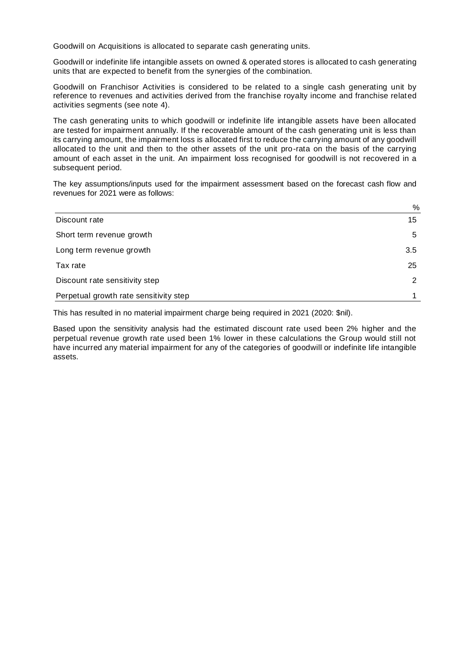Goodwill on Acquisitions is allocated to separate cash generating units.

Goodwill or indefinite life intangible assets on owned & operated stores is allocated to cash generating units that are expected to benefit from the synergies of the combination.

Goodwill on Franchisor Activities is considered to be related to a single cash generating unit by reference to revenues and activities derived from the franchise royalty income and franchise related activities segments (see note 4).

The cash generating units to which goodwill or indefinite life intangible assets have been allocated are tested for impairment annually. If the recoverable amount of the cash generating unit is less than its carrying amount, the impairment loss is allocated first to reduce the carrying amount of any goodwill allocated to the unit and then to the other assets of the unit pro-rata on the basis of the carrying amount of each asset in the unit. An impairment loss recognised for goodwill is not recovered in a subsequent period.

The key assumptions/inputs used for the impairment assessment based on the forecast cash flow and revenues for 2021 were as follows:

|                                        | $\%$ |
|----------------------------------------|------|
| Discount rate                          | 15   |
| Short term revenue growth              | 5    |
| Long term revenue growth               | 3.5  |
| Tax rate                               | 25   |
| Discount rate sensitivity step         | 2    |
| Perpetual growth rate sensitivity step |      |

This has resulted in no material impairment charge being required in 2021 (2020: \$nil).

Based upon the sensitivity analysis had the estimated discount rate used been 2% higher and the perpetual revenue growth rate used been 1% lower in these calculations the Group would still not have incurred any material impairment for any of the categories of goodwill or indefinite life intangible assets.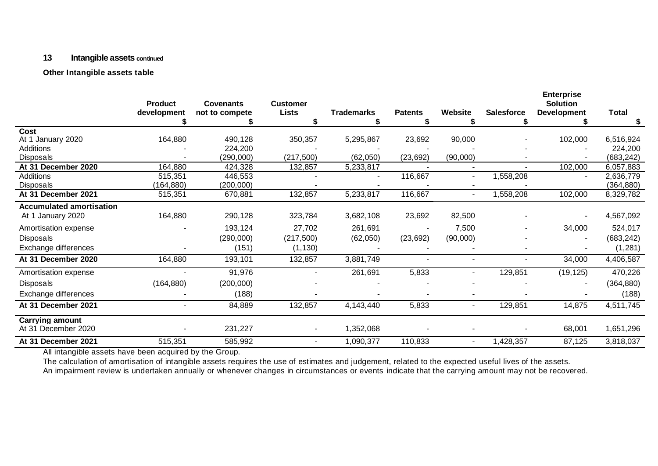## **13 Intangible assets continued**

## **Other Intangible assets table**

| <b>Product</b> | <b>Covenants</b>                                       | <b>Customer</b>                                                     |                                  |                                    |                                           |                    | <b>Enterprise</b><br><b>Solution</b> |                    |
|----------------|--------------------------------------------------------|---------------------------------------------------------------------|----------------------------------|------------------------------------|-------------------------------------------|--------------------|--------------------------------------|--------------------|
| development    | not to compete                                         | <b>Lists</b>                                                        | <b>Trademarks</b>                | <b>Patents</b>                     | Website                                   | <b>Salesforce</b>  | <b>Development</b>                   | <b>Total</b>       |
|                |                                                        |                                                                     |                                  |                                    |                                           |                    |                                      |                    |
|                |                                                        |                                                                     |                                  |                                    |                                           |                    |                                      |                    |
|                |                                                        |                                                                     |                                  |                                    |                                           |                    |                                      | 6,516,924          |
|                |                                                        |                                                                     |                                  |                                    |                                           |                    |                                      | 224,200            |
|                |                                                        |                                                                     |                                  |                                    |                                           |                    |                                      | (683, 242)         |
|                | 424,328                                                | 132,857                                                             | 5,233,817                        |                                    |                                           |                    | 102,000                              | 6,057,883          |
|                |                                                        |                                                                     | ۰                                |                                    | $\sim$                                    |                    | $\sim$                               | 2,636,779          |
|                |                                                        |                                                                     |                                  |                                    |                                           |                    |                                      | (364, 880)         |
|                |                                                        |                                                                     |                                  |                                    | $\overline{\phantom{a}}$                  |                    |                                      | 8,329,782          |
|                |                                                        |                                                                     |                                  |                                    |                                           |                    |                                      |                    |
| 164,880        | 290,128                                                | 323,784                                                             | 3,682,108                        | 23,692                             | 82,500                                    |                    |                                      | 4,567,092          |
|                | 193,124                                                | 27,702                                                              | 261,691                          |                                    | 7,500                                     |                    | 34,000                               | 524,017            |
|                | (290,000)                                              | (217, 500)                                                          | (62,050)                         | (23, 692)                          | (90,000)                                  |                    |                                      | (683, 242)         |
|                | (151)                                                  | (1, 130)                                                            |                                  |                                    |                                           |                    |                                      | (1, 281)           |
| 164,880        | 193,101                                                | 132,857                                                             | 3,881,749                        |                                    | $\overline{\phantom{0}}$                  | Ξ.                 | 34,000                               | 4,406,587          |
|                | 91,976                                                 |                                                                     | 261,691                          | 5,833                              | $\overline{\phantom{a}}$                  | 129,851            | (19, 125)                            | 470,226            |
| (164, 880)     | (200,000)                                              |                                                                     |                                  |                                    |                                           |                    |                                      | (364, 880)         |
|                | (188)                                                  |                                                                     |                                  |                                    | ۰                                         |                    |                                      | (188)              |
|                | 84,889                                                 | 132,857                                                             | 4,143,440                        | 5,833                              |                                           | 129,851            | 14,875                               | 4,511,745          |
|                |                                                        |                                                                     |                                  |                                    |                                           |                    |                                      |                    |
| ۰              | 231,227                                                | ٠                                                                   | 1,352,068                        |                                    |                                           |                    | 68,001                               | 1,651,296          |
| 515,351        | 585,992                                                | $\overline{\phantom{0}}$                                            | 1,090,377                        | 110,833                            | $\overline{a}$                            | 1,428,357          | 87,125                               | 3,818,037          |
|                | 164,880<br>164,880<br>515,351<br>(164, 880)<br>515,351 | 490,128<br>224,200<br>(290,000)<br>446,553<br>(200, 000)<br>670,881 | 350,357<br>(217, 500)<br>132,857 | 5,295,867<br>(62,050)<br>5,233,817 | 23,692<br>(23, 692)<br>116,667<br>116,667 | 90,000<br>(90,000) | 1,558,208<br>1,558,208               | 102,000<br>102,000 |

All intangible assets have been acquired by the Group.

The calculation of amortisation of intangible assets requires the use of estimates and judgement, related to the expected useful lives of the assets.

An impairment review is undertaken annually or whenever changes in circumstances or events indicate that the carrying amount may not be recovered.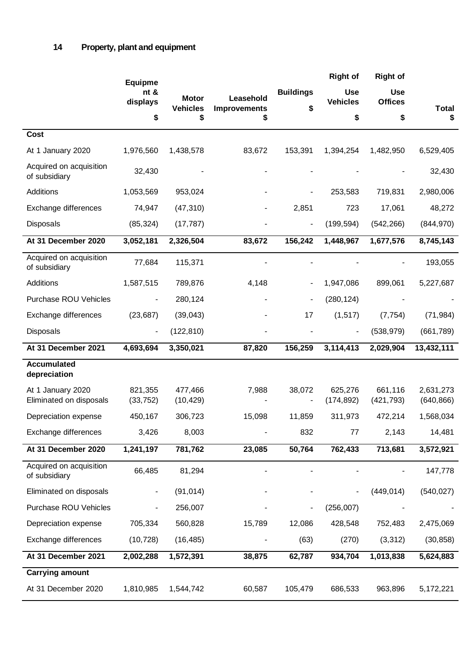|                                              | <b>Equipme</b>           |                                 |                                  |                        | <b>Right of</b>               | <b>Right of</b>              |                         |
|----------------------------------------------|--------------------------|---------------------------------|----------------------------------|------------------------|-------------------------------|------------------------------|-------------------------|
|                                              | nt &<br>displays         | <b>Motor</b><br><b>Vehicles</b> | Leasehold<br><b>Improvements</b> | <b>Buildings</b><br>\$ | <b>Use</b><br><b>Vehicles</b> | <b>Use</b><br><b>Offices</b> | <b>Total</b>            |
|                                              | \$                       | \$                              | S                                |                        | \$                            | \$                           | \$                      |
| <b>Cost</b>                                  |                          |                                 |                                  |                        |                               |                              |                         |
| At 1 January 2020                            | 1,976,560                | 1,438,578                       | 83,672                           | 153,391                | 1,394,254                     | 1,482,950                    | 6,529,405               |
| Acquired on acquisition<br>of subsidiary     | 32,430                   |                                 |                                  |                        |                               |                              | 32,430                  |
| Additions                                    | 1,053,569                | 953,024                         |                                  |                        | 253,583                       | 719,831                      | 2,980,006               |
| Exchange differences                         | 74,947                   | (47, 310)                       |                                  | 2,851                  | 723                           | 17,061                       | 48,272                  |
| Disposals                                    | (85, 324)                | (17, 787)                       |                                  |                        | (199, 594)                    | (542, 266)                   | (844, 970)              |
| At 31 December 2020                          | 3,052,181                | 2,326,504                       | 83,672                           | 156,242                | 1,448,967                     | 1,677,576                    | 8,745,143               |
| Acquired on acquisition<br>of subsidiary     | 77,684                   | 115,371                         |                                  |                        |                               |                              | 193,055                 |
| Additions                                    | 1,587,515                | 789,876                         | 4,148                            |                        | 1,947,086                     | 899,061                      | 5,227,687               |
| <b>Purchase ROU Vehicles</b>                 |                          | 280,124                         |                                  |                        | (280, 124)                    |                              |                         |
| Exchange differences                         | (23, 687)                | (39,043)                        |                                  | 17                     | (1, 517)                      | (7, 754)                     | (71, 984)               |
| Disposals                                    |                          | (122, 810)                      |                                  |                        |                               | (538, 979)                   | (661, 789)              |
| At 31 December 2021                          | 4,693,694                | 3,350,021                       | 87,820                           | 156,259                | 3,114,413                     | 2,029,904                    | 13,432,111              |
| <b>Accumulated</b><br>depreciation           |                          |                                 |                                  |                        |                               |                              |                         |
| At 1 January 2020<br>Eliminated on disposals | 821,355<br>(33, 752)     | 477,466<br>(10, 429)            | 7,988                            | 38,072                 | 625,276<br>(174, 892)         | 661,116<br>(421, 793)        | 2,631,273<br>(640, 866) |
| Depreciation expense                         | 450,167                  | 306,723                         | 15,098                           | 11,859                 | 311,973                       | 472,214                      | 1,568,034               |
| Exchange differences                         | 3,426                    | 8,003                           |                                  | 832                    | 77                            | 2,143                        | 14,481                  |
| At 31 December 2020                          | 1,241,197                | 781,762                         | 23,085                           | 50,764                 | 762,433                       | 713,681                      | 3,572,921               |
| Acquired on acquisition<br>of subsidiary     | 66,485                   | 81,294                          |                                  |                        |                               |                              | 147,778                 |
| Eliminated on disposals                      | $\overline{\phantom{a}}$ | (91, 014)                       |                                  |                        |                               | (449, 014)                   | (540, 027)              |
| <b>Purchase ROU Vehicles</b>                 |                          | 256,007                         |                                  |                        | (256,007)                     |                              |                         |
| Depreciation expense                         | 705,334                  | 560,828                         | 15,789                           | 12,086                 | 428,548                       | 752,483                      | 2,475,069               |
| Exchange differences                         | (10, 728)                | (16, 485)                       |                                  | (63)                   | (270)                         | (3,312)                      | (30, 858)               |
| At 31 December 2021                          | 2,002,288                | 1,572,391                       | 38,875                           | 62,787                 | 934,704                       | 1,013,838                    | 5,624,883               |
| <b>Carrying amount</b>                       |                          |                                 |                                  |                        |                               |                              |                         |
| At 31 December 2020                          | 1,810,985                | 1,544,742                       | 60,587                           | 105,479                | 686,533                       | 963,896                      | 5,172,221               |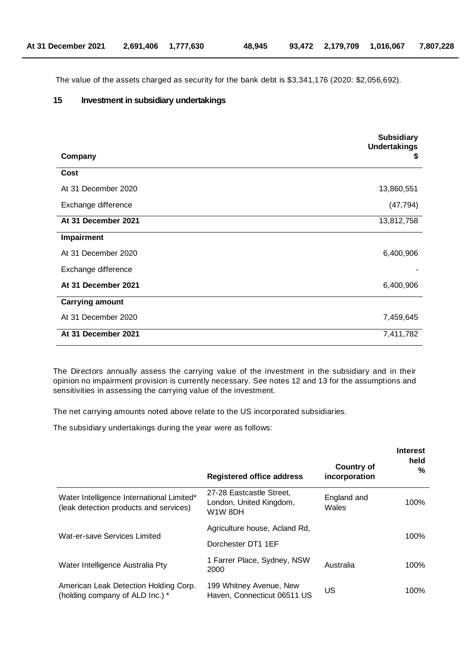The value of the assets charged as security for the bank debt is \$3,341,176 (2020: \$2,056,692).

## **15 Investment in subsidiary undertakings**

|                        | <b>Subsidiary</b><br><b>Undertakings</b> |
|------------------------|------------------------------------------|
| Company                | \$                                       |
| Cost                   |                                          |
| At 31 December 2020    | 13,860,551                               |
| Exchange difference    | (47, 794)                                |
| At 31 December 2021    | 13,812,758                               |
| Impairment             |                                          |
| At 31 December 2020    | 6,400,906                                |
| Exchange difference    |                                          |
| At 31 December 2021    | 6,400,906                                |
| <b>Carrying amount</b> |                                          |
| At 31 December 2020    | 7,459,645                                |
| At 31 December 2021    | 7,411,782                                |

The Directors annually assess the carrying value of the investment in the subsidiary and in their opinion no impairment provision is currently necessary. See notes 12 and 13 for the assumptions and sensitivities in assessing the carrying value of the investment.

The net carrying amounts noted above relate to the US incorporated subsidiaries.

The subsidiary undertakings during the year were as follows:

|                                                                                     | <b>Registered office address</b>                               | <b>Country of</b><br>incorporation | <b>Interest</b><br>held<br>% |
|-------------------------------------------------------------------------------------|----------------------------------------------------------------|------------------------------------|------------------------------|
| Water Intelligence International Limited*<br>(leak detection products and services) | 27-28 Eastcastle Street,<br>London, United Kingdom,<br>W1W 8DH | England and<br>Wales               | 100%                         |
| Wat-er-save Services Limited                                                        | Agriculture house, Acland Rd,                                  |                                    | 100%                         |
|                                                                                     | Dorchester DT1 1EF                                             |                                    |                              |
| Water Intelligence Australia Pty                                                    | 1 Farrer Place, Sydney, NSW<br>2000                            | Australia                          | 100%                         |
| American Leak Detection Holding Corp.<br>(holding company of ALD Inc.) *            | 199 Whitney Avenue, New<br>Haven, Connecticut 06511 US         | US                                 | 100%                         |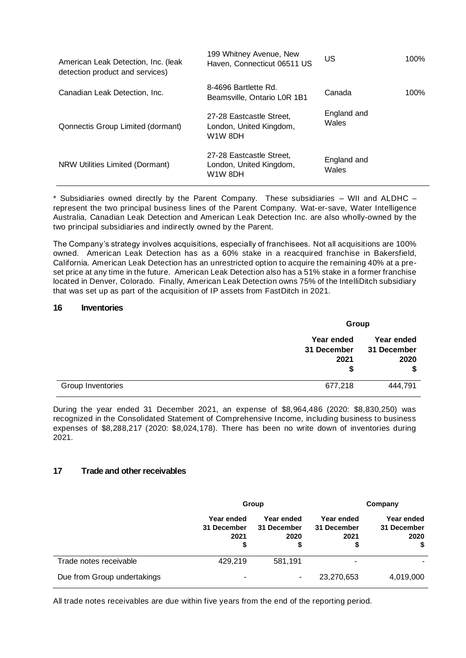| American Leak Detection, Inc. (leak<br>detection product and services) | 199 Whitney Avenue, New<br>Haven, Connecticut 06511 US         | US                   | 100% |
|------------------------------------------------------------------------|----------------------------------------------------------------|----------------------|------|
| Canadian Leak Detection, Inc.                                          | 8-4696 Bartlette Rd.<br>Beamsville, Ontario L0R 1B1            | Canada               | 100% |
| <b>Qonnectis Group Limited (dormant)</b>                               | 27-28 Eastcastle Street,<br>London, United Kingdom,<br>W1W 8DH | England and<br>Wales |      |
| NRW Utilities Limited (Dormant)                                        | 27-28 Eastcastle Street,<br>London, United Kingdom,<br>W1W 8DH | England and<br>Wales |      |

\* Subsidiaries owned directly by the Parent Company. These subsidiaries – WII and ALDHC – represent the two principal business lines of the Parent Company. Wat-er-save, Water Intelligence Australia, Canadian Leak Detection and American Leak Detection Inc. are also wholly-owned by the two principal subsidiaries and indirectly owned by the Parent.

The Company's strategy involves acquisitions, especially of franchisees. Not all acquisitions are 100% owned. American Leak Detection has as a 60% stake in a reacquired franchise in Bakersfield, California. American Leak Detection has an unrestricted option to acquire the remaining 40% at a preset price at any time in the future. American Leak Detection also has a 51% stake in a former franchise located in Denver, Colorado. Finally, American Leak Detection owns 75% of the IntelliDitch subsidiary that was set up as part of the acquisition of IP assets from FastDitch in 2021.

## **16 Inventories**

|                   | Group                                  |                                         |  |
|-------------------|----------------------------------------|-----------------------------------------|--|
|                   | Year ended<br>31 December<br>2021<br>S | Year ended<br>31 December<br>2020<br>\$ |  |
| Group Inventories | 677,218                                | 444,791                                 |  |

During the year ended 31 December 2021, an expense of \$8,964,486 (2020: \$8,830,250) was recognized in the Consolidated Statement of Comprehensive Income, including business to business expenses of \$8,288,217 (2020: \$8,024,178). There has been no write down of inventories during 2021.

## **17 Trade and other receivables**

|                             | Group                                   |                                   | Company                                 |                                         |
|-----------------------------|-----------------------------------------|-----------------------------------|-----------------------------------------|-----------------------------------------|
|                             | Year ended<br>31 December<br>2021<br>\$ | Year ended<br>31 December<br>2020 | Year ended<br>31 December<br>2021<br>\$ | Year ended<br>31 December<br>2020<br>\$ |
| Trade notes receivable      | 429,219                                 | 581,191                           | $\blacksquare$                          |                                         |
| Due from Group undertakings | ۰                                       | ۰                                 | 23,270,653                              | 4,019,000                               |

All trade notes receivables are due within five years from the end of the reporting period.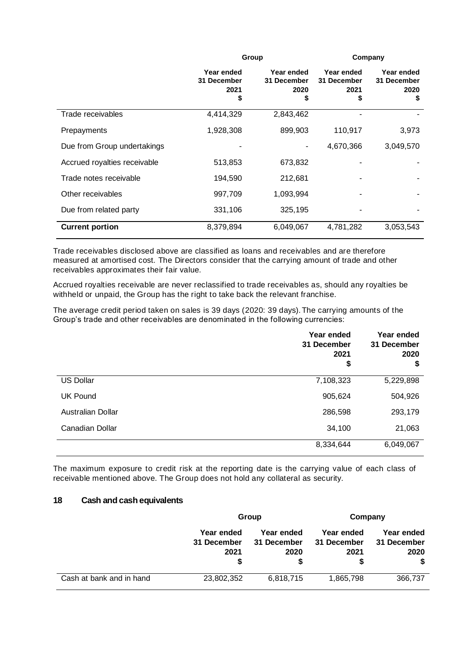|                              |                                         | Group                                  |                                        | Company                                |
|------------------------------|-----------------------------------------|----------------------------------------|----------------------------------------|----------------------------------------|
|                              | Year ended<br>31 December<br>2021<br>\$ | Year ended<br>31 December<br>2020<br>S | Year ended<br>31 December<br>2021<br>S | Year ended<br>31 December<br>2020<br>S |
| Trade receivables            | 4,414,329                               | 2,843,462                              |                                        |                                        |
| Prepayments                  | 1,928,308                               | 899,903                                | 110,917                                | 3,973                                  |
| Due from Group undertakings  |                                         |                                        | 4,670,366                              | 3,049,570                              |
| Accrued royalties receivable | 513,853                                 | 673,832                                |                                        |                                        |
| Trade notes receivable       | 194,590                                 | 212,681                                |                                        |                                        |
| Other receivables            | 997,709                                 | 1,093,994                              |                                        |                                        |
| Due from related party       | 331,106                                 | 325,195                                |                                        |                                        |
| <b>Current portion</b>       | 8,379,894                               | 6,049,067                              | 4,781,282                              | 3,053,543                              |

Trade receivables disclosed above are classified as loans and receivables and are therefore measured at amortised cost. The Directors consider that the carrying amount of trade and other receivables approximates their fair value.

Accrued royalties receivable are never reclassified to trade receivables as, should any royalties be withheld or unpaid, the Group has the right to take back the relevant franchise.

The average credit period taken on sales is 39 days (2020: 39 days).The carrying amounts of the Group's trade and other receivables are denominated in the following currencies:

|                   | Year ended<br>31 December<br>2021<br>\$ | Year ended<br>31 December<br>2020<br>\$ |
|-------------------|-----------------------------------------|-----------------------------------------|
| <b>US Dollar</b>  | 7,108,323                               | 5,229,898                               |
| <b>UK Pound</b>   | 905,624                                 | 504,926                                 |
| Australian Dollar | 286,598                                 | 293,179                                 |
| Canadian Dollar   | 34,100                                  | 21,063                                  |
|                   | 8,334,644                               | 6,049,067                               |

The maximum exposure to credit risk at the reporting date is the carrying value of each class of receivable mentioned above. The Group does not hold any collateral as security.

## **18 Cash and cash equivalents**

|                          | Group                                  |                                   | Company                           |                                         |
|--------------------------|----------------------------------------|-----------------------------------|-----------------------------------|-----------------------------------------|
|                          | Year ended<br>31 December<br>2021<br>S | Year ended<br>31 December<br>2020 | Year ended<br>31 December<br>2021 | Year ended<br>31 December<br>2020<br>\$ |
| Cash at bank and in hand | 23,802,352                             | 6,818,715                         | 1,865,798                         | 366,737                                 |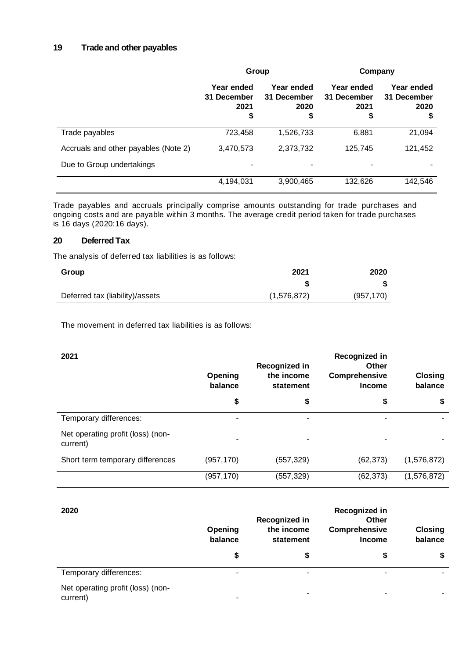# **19 Trade and other payables**

|                                      | Group                                   |                                         | Company                                 |                                         |
|--------------------------------------|-----------------------------------------|-----------------------------------------|-----------------------------------------|-----------------------------------------|
|                                      | Year ended<br>31 December<br>2021<br>\$ | Year ended<br>31 December<br>2020<br>\$ | Year ended<br>31 December<br>2021<br>\$ | Year ended<br>31 December<br>2020<br>\$ |
| Trade payables                       | 723,458                                 | 1,526,733                               | 6,881                                   | 21,094                                  |
| Accruals and other payables (Note 2) | 3,470,573                               | 2,373,732                               | 125,745                                 | 121,452                                 |
| Due to Group undertakings            | ۰                                       |                                         |                                         |                                         |
|                                      | 4,194,031                               | 3,900,465                               | 132,626                                 | 142,546                                 |

Trade payables and accruals principally comprise amounts outstanding for trade purchases and ongoing costs and are payable within 3 months. The average credit period taken for trade purchases is 16 days (2020:16 days).

## **20 Deferred Tax**

The analysis of deferred tax liabilities is as follows:

| Group                           | 2021        | 2020       |
|---------------------------------|-------------|------------|
|                                 |             |            |
| Deferred tax (liability)/assets | (1,576,872) | (957, 170) |

The movement in deferred tax liabilities is as follows:

| 2021                                          | Opening<br>balance | Recognized in<br>the income<br>statement | Recognized in<br>Other<br>Comprehensive<br><b>Income</b> | <b>Closing</b><br>balance |
|-----------------------------------------------|--------------------|------------------------------------------|----------------------------------------------------------|---------------------------|
|                                               | \$                 | \$                                       | \$                                                       | \$                        |
| Temporary differences:                        | ٠                  |                                          |                                                          |                           |
| Net operating profit (loss) (non-<br>current) |                    |                                          |                                                          |                           |
| Short term temporary differences              | (957, 170)         | (557, 329)                               | (62, 373)                                                | (1,576,872)               |
|                                               | (957, 170)         | (557, 329)                               | (62, 373)                                                | (1, 576, 872)             |

| 2020                                          | Opening<br>balance | <b>Recognized in</b><br>the income<br>statement | Recognized in<br>Other<br>Comprehensive<br><b>Income</b> | <b>Closing</b><br>balance |
|-----------------------------------------------|--------------------|-------------------------------------------------|----------------------------------------------------------|---------------------------|
|                                               | \$                 | S                                               | S                                                        | \$                        |
| Temporary differences:                        | ۰                  |                                                 | ۰                                                        |                           |
| Net operating profit (loss) (non-<br>current) | ٠                  |                                                 | -                                                        |                           |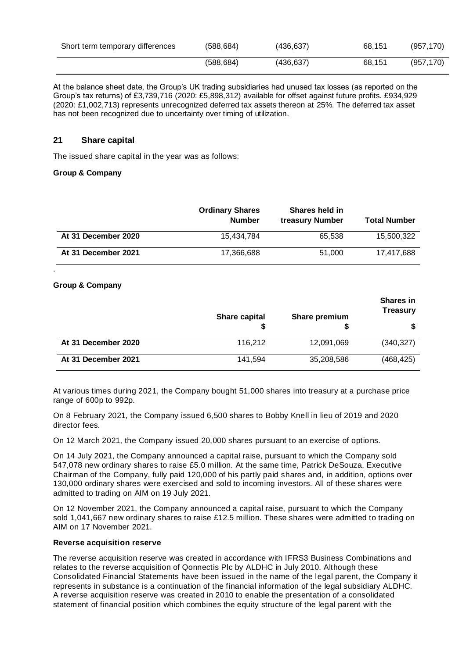| Short term temporary differences | (588, 684) | (436, 637) | 68.151 | (957, 170) |
|----------------------------------|------------|------------|--------|------------|
|                                  | (588, 684) | (436, 637) | 68.151 | (957, 170) |

At the balance sheet date, the Group's UK trading subsidiaries had unused tax losses (as reported on the Group's tax returns) of £3,739,716 (2020: £5,898,312) available for offset against future profits. £934,929 (2020: £1,002,713) represents unrecognized deferred tax assets thereon at 25%. The deferred tax asset has not been recognized due to uncertainty over timing of utilization.

## **21 Share capital**

The issued share capital in the year was as follows:

## **Group & Company**

|                     | <b>Ordinary Shares</b><br><b>Number</b> | Shares held in<br>treasury Number | <b>Total Number</b> |
|---------------------|-----------------------------------------|-----------------------------------|---------------------|
| At 31 December 2020 | 15.434.784                              | 65,538                            | 15,500,322          |
| At 31 December 2021 | 17,366,688                              | 51,000                            | 17,417,688          |

## **Group & Company**

.

|                     | <b>Share capital</b> | Share premium | <b>Shares in</b><br><b>Treasury</b> |
|---------------------|----------------------|---------------|-------------------------------------|
|                     |                      |               |                                     |
| At 31 December 2020 | 116,212              | 12,091,069    | (340, 327)                          |
| At 31 December 2021 | 141,594              | 35,208,586    | (468, 425)                          |

At various times during 2021, the Company bought 51,000 shares into treasury at a purchase price range of 600p to 992p.

On 8 February 2021, the Company issued 6,500 shares to Bobby Knell in lieu of 2019 and 2020 director fees.

On 12 March 2021, the Company issued 20,000 shares pursuant to an exercise of options.

On 14 July 2021, the Company announced a capital raise, pursuant to which the Company sold 547,078 new ordinary shares to raise £5.0 million. At the same time, Patrick DeSouza, Executive Chairman of the Company, fully paid 120,000 of his partly paid shares and, in addition, options over 130,000 ordinary shares were exercised and sold to incoming investors. All of these shares were admitted to trading on AIM on 19 July 2021.

On 12 November 2021, the Company announced a capital raise, pursuant to which the Company sold 1,041,667 new ordinary shares to raise £12.5 million. These shares were admitted to trading on AIM on 17 November 2021.

#### **Reverse acquisition reserve**

The reverse acquisition reserve was created in accordance with IFRS3 Business Combinations and relates to the reverse acquisition of Qonnectis Plc by ALDHC in July 2010. Although these Consolidated Financial Statements have been issued in the name of the legal parent, the Company it represents in substance is a continuation of the financial information of the legal subsidiary ALDHC. A reverse acquisition reserve was created in 2010 to enable the presentation of a consolidated statement of financial position which combines the equity structure of the legal parent with the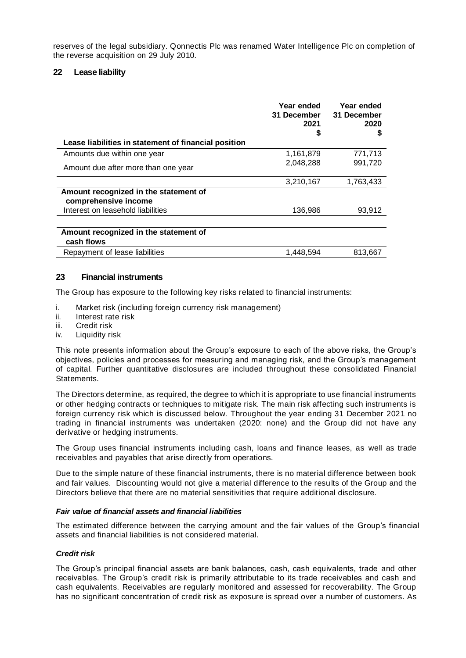reserves of the legal subsidiary. Qonnectis Plc was renamed Water Intelligence Plc on completion of the reverse acquisition on 29 July 2010.

## **22 Lease liability**

| Lease liabilities in statement of financial position                                               | Year ended<br>31 December<br>2021<br>S | Year ended<br>31 December<br>2020<br>S |
|----------------------------------------------------------------------------------------------------|----------------------------------------|----------------------------------------|
| Amounts due within one year                                                                        | 1,161,879                              | 771,713                                |
| Amount due after more than one year                                                                | 2,048,288                              | 991,720                                |
|                                                                                                    | 3,210,167                              | 1,763,433                              |
| Amount recognized in the statement of<br>comprehensive income<br>Interest on leasehold liabilities | 136,986                                | 93,912                                 |
|                                                                                                    |                                        |                                        |
| Amount recognized in the statement of<br>cash flows                                                |                                        |                                        |
| Repayment of lease liabilities                                                                     | 1,448,594                              | 813,667                                |

## **23 Financial instruments**

The Group has exposure to the following key risks related to financial instruments:

- i. Market risk (including foreign currency risk management)
- ii. Interest rate risk
- iii. Credit risk
- iv. Liquidity risk

This note presents information about the Group's exposure to each of the above risks, the Group's objectives, policies and processes for measuring and managing risk, and the Group's management of capital. Further quantitative disclosures are included throughout these consolidated Financial Statements.

The Directors determine, as required, the degree to which it is appropriate to use financial instruments or other hedging contracts or techniques to mitigate risk. The main risk affecting such instruments is foreign currency risk which is discussed below. Throughout the year ending 31 December 2021 no trading in financial instruments was undertaken (2020: none) and the Group did not have any derivative or hedging instruments.

The Group uses financial instruments including cash, loans and finance leases, as well as trade receivables and payables that arise directly from operations.

Due to the simple nature of these financial instruments, there is no material difference between book and fair values. Discounting would not give a material difference to the results of the Group and the Directors believe that there are no material sensitivities that require additional disclosure.

#### *Fair value of financial assets and financial liabilities*

The estimated difference between the carrying amount and the fair values of the Group's financial assets and financial liabilities is not considered material.

#### *Credit risk*

The Group's principal financial assets are bank balances, cash, cash equivalents, trade and other receivables. The Group's credit risk is primarily attributable to its trade receivables and cash and cash equivalents. Receivables are regularly monitored and assessed for recoverability. The Group has no significant concentration of credit risk as exposure is spread over a number of customers. As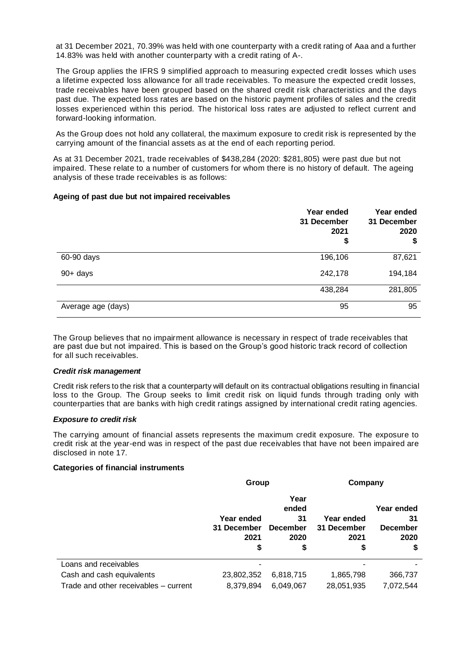at 31 December 2021, 70.39% was held with one counterparty with a credit rating of Aaa and a further 14.83% was held with another counterparty with a credit rating of A-.

The Group applies the IFRS 9 simplified approach to measuring expected credit losses which uses a lifetime expected loss allowance for all trade receivables. To measure the expected credit losses, trade receivables have been grouped based on the shared credit risk characteristics and the days past due. The expected loss rates are based on the historic payment profiles of sales and the credit losses experienced within this period. The historical loss rates are adjusted to reflect current and forward-looking information.

As the Group does not hold any collateral, the maximum exposure to credit risk is represented by the carrying amount of the financial assets as at the end of each reporting period.

As at 31 December 2021, trade receivables of \$438,284 (2020: \$281,805) were past due but not impaired. These relate to a number of customers for whom there is no history of default. The ageing analysis of these trade receivables is as follows:

#### **Ageing of past due but not impaired receivables**

|                    | Year ended<br>31 December<br>2021<br>\$ | Year ended<br>31 December<br>2020<br>\$ |
|--------------------|-----------------------------------------|-----------------------------------------|
| 60-90 days         | 196,106                                 | 87,621                                  |
| $90+$ days         | 242,178                                 | 194,184                                 |
|                    | 438,284                                 | 281,805                                 |
| Average age (days) | 95                                      | 95                                      |

The Group believes that no impairment allowance is necessary in respect of trade receivables that are past due but not impaired. This is based on the Group's good historic track record of collection for all such receivables.

#### *Credit risk management*

Credit risk refers to the risk that a counterparty will default on its contractual obligations resulting in financial loss to the Group. The Group seeks to limit credit risk on liquid funds through trading only with counterparties that are banks with high credit ratings assigned by international credit rating agencies.

#### *Exposure to credit risk*

The carrying amount of financial assets represents the maximum credit exposure. The exposure to credit risk at the year-end was in respect of the past due receivables that have not been impaired are disclosed in note 17.

#### **Categories of financial instruments**

|                                       | Group                                   |                                                      | Company                                 |                                                   |  |
|---------------------------------------|-----------------------------------------|------------------------------------------------------|-----------------------------------------|---------------------------------------------------|--|
|                                       | Year ended<br>31 December<br>2021<br>\$ | Year<br>ended<br>31<br><b>December</b><br>2020<br>\$ | Year ended<br>31 December<br>2021<br>\$ | Year ended<br>31<br><b>December</b><br>2020<br>\$ |  |
| Loans and receivables                 |                                         |                                                      |                                         |                                                   |  |
| Cash and cash equivalents             | 23,802,352                              | 6,818,715                                            | 1,865,798                               | 366,737                                           |  |
| Trade and other receivables – current | 8,379,894                               | 6,049,067                                            | 28,051,935                              | 7,072,544                                         |  |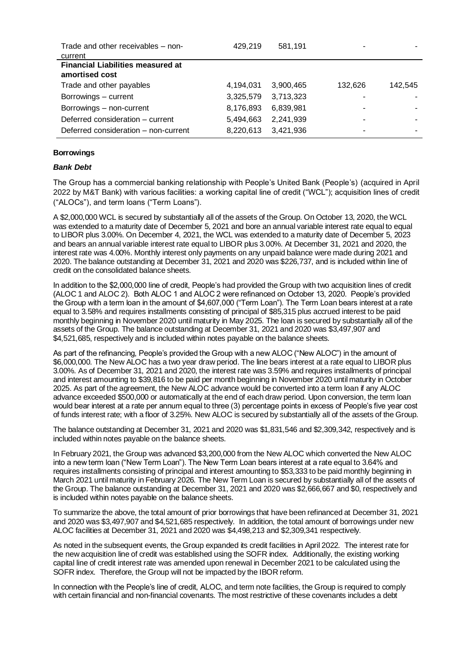| Trade and other receivables – non-<br>current | 429.219   | 581,191   |         |         |
|-----------------------------------------------|-----------|-----------|---------|---------|
| <b>Financial Liabilities measured at</b>      |           |           |         |         |
| amortised cost                                |           |           |         |         |
| Trade and other payables                      | 4,194,031 | 3,900,465 | 132,626 | 142,545 |
| Borrowings - current                          | 3,325,579 | 3,713,323 |         |         |
| Borrowings - non-current                      | 8,176,893 | 6,839,981 |         |         |
| Deferred consideration - current              | 5,494,663 | 2,241,939 |         |         |
| Deferred consideration – non-current          | 8,220,613 | 3,421,936 |         |         |

## **Borrowings**

#### *Bank Debt*

The Group has a commercial banking relationship with People's United Bank (People's) (acquired in April 2022 by M&T Bank) with various facilities: a working capital line of credit ("WCL"); acquisition lines of credit ("ALOCs"), and term loans ("Term Loans").

A \$2,000,000 WCL is secured by substantially all of the assets of the Group. On October 13, 2020, the WCL was extended to a maturity date of December 5, 2021 and bore an annual variable interest rate equal to equal to LIBOR plus 3.00%. On December 4, 2021, the WCL was extended to a maturity date of December 5, 2023 and bears an annual variable interest rate equal to LIBOR plus 3.00%. At December 31, 2021 and 2020, the interest rate was 4.00%. Monthly interest only payments on any unpaid balance were made during 2021 and 2020. The balance outstanding at December 31, 2021 and 2020 was \$226,737, and is included within line of credit on the consolidated balance sheets.

In addition to the \$2,000,000 line of credit, People's had provided the Group with two acquisition lines of credit (ALOC 1 and ALOC 2). Both ALOC 1 and ALOC 2 were refinanced on October 13, 2020. People's provided the Group with a term loan in the amount of \$4,607,000 ("Term Loan"). The Term Loan bears interest at a rate equal to 3.58% and requires installments consisting of principal of \$85,315 plus accrued interest to be paid monthly beginning in November 2020 until maturity in May 2025. The loan is secured by substantially all of the assets of the Group. The balance outstanding at December 31, 2021 and 2020 was \$3,497,907 and \$4,521,685, respectively and is included within notes payable on the balance sheets.

As part of the refinancing, People's provided the Group with a new ALOC ("New ALOC") in the amount of \$6,000,000. The New ALOC has a two year draw period. The line bears interest at a rate equal to LIBOR plus 3.00%. As of December 31, 2021 and 2020, the interest rate was 3.59% and requires installments of principal and interest amounting to \$39,816 to be paid per month beginning in November 2020 until maturity in October 2025. As part of the agreement, the New ALOC advance would be converted into a term loan if any ALOC advance exceeded \$500,000 or automatically at the end of each draw period. Upon conversion, the term loan would bear interest at a rate per annum equal to three (3) percentage points in excess of People's five year cost of funds interest rate; with a floor of 3.25%. New ALOC is secured by substantially all of the assets of the Group.

The balance outstanding at December 31, 2021 and 2020 was \$1,831,546 and \$2,309,342, respectively and is included within notes payable on the balance sheets.

In February 2021, the Group was advanced \$3,200,000 from the New ALOC which converted the New ALOC into a new term loan ("New Term Loan"). The New Term Loan bears interest at a rate equal to 3.64% and requires installments consisting of principal and interest amounting to \$53,333 to be paid monthly beginning in March 2021 until maturity in February 2026. The New Term Loan is secured by substantially all of the assets of the Group. The balance outstanding at December 31, 2021 and 2020 was \$2,666,667 and \$0, respectively and is included within notes payable on the balance sheets.

To summarize the above, the total amount of prior borrowings that have been refinanced at December 31, 2021 and 2020 was \$3,497,907 and \$4,521,685 respectively. In addition, the total amount of borrowings under new ALOC facilities at December 31, 2021and 2020 was \$4,498,213 and \$2,309,341 respectively.

As noted in the subsequent events, the Group expanded its credit facilities in April 2022. The interest rate for the new acquisition line of credit was established using the SOFR index. Additionally, the existing working capital line of credit interest rate was amended upon renewal in December 2021 to be calculated using the SOFR index. Therefore, the Group will not be impacted by the IBOR reform.

In connection with the People's line of credit, ALOC, and term note facilities, the Group is required to comply with certain financial and non-financial covenants. The most restrictive of these covenants includes a debt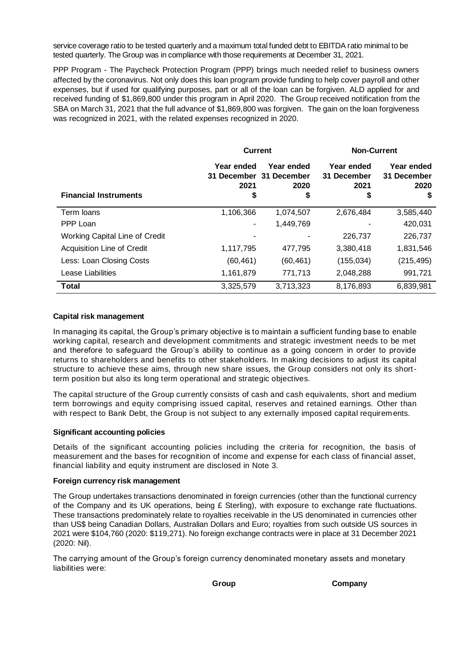service coverage ratio to be tested quarterly and a maximum total funded debt to EBITDA ratio minimal to be tested quarterly. The Group was in compliance with those requirements at December 31, 2021.

PPP Program - The Paycheck Protection Program (PPP) brings much needed relief to business owners affected by the coronavirus. Not only does this loan program provide funding to help cover payroll and other expenses, but if used for qualifying purposes, part or all of the loan can be forgiven. ALD applied for and received funding of \$1,869,800 under this program in April 2020. The Group received notification from the SBA on March 31, 2021 that the full advance of \$1,869,800 was forgiven. The gain on the loan forgiveness was recognized in 2021, with the related expenses recognized in 2020.

|                                   | <b>Current</b>     |                                               | <b>Non-Current</b>                |                                   |  |
|-----------------------------------|--------------------|-----------------------------------------------|-----------------------------------|-----------------------------------|--|
|                                   | Year ended<br>2021 | Year ended<br>31 December 31 December<br>2020 | Year ended<br>31 December<br>2021 | Year ended<br>31 December<br>2020 |  |
| <b>Financial Instruments</b>      | \$                 | \$                                            | \$                                | \$                                |  |
| Term loans                        | 1,106,366          | 1,074,507                                     | 2,676,484                         | 3,585,440                         |  |
| PPP Loan                          |                    | 1,449,769                                     |                                   | 420,031                           |  |
| Working Capital Line of Credit    |                    |                                               | 226,737                           | 226,737                           |  |
| <b>Acquisition Line of Credit</b> | 1,117,795          | 477.795                                       | 3,380,418                         | 1,831,546                         |  |
| Less: Loan Closing Costs          | (60, 461)          | (60, 461)                                     | (155, 034)                        | (215, 495)                        |  |
| Lease Liabilities                 | 1,161,879          | 771,713                                       | 2,048,288                         | 991,721                           |  |
| <b>Total</b>                      | 3,325,579          | 3,713,323                                     | 8,176,893                         | 6,839,981                         |  |

#### **Capital risk management**

In managing its capital, the Group's primary objective is to maintain a sufficient funding base to enable working capital, research and development commitments and strategic investment needs to be met and therefore to safeguard the Group's ability to continue as a going concern in order to provide returns to shareholders and benefits to other stakeholders. In making decisions to adjust its capital structure to achieve these aims, through new share issues, the Group considers not only its shortterm position but also its long term operational and strategic objectives.

The capital structure of the Group currently consists of cash and cash equivalents, short and medium term borrowings and equity comprising issued capital, reserves and retained earnings. Other than with respect to Bank Debt, the Group is not subject to any externally imposed capital requirements.

## **Significant accounting policies**

Details of the significant accounting policies including the criteria for recognition, the basis of measurement and the bases for recognition of income and expense for each class of financial asset, financial liability and equity instrument are disclosed in Note 3.

## **Foreign currency risk management**

The Group undertakes transactions denominated in foreign currencies (other than the functional currency of the Company and its UK operations, being  $E$  Sterling), with exposure to exchange rate fluctuations. These transactions predominately relate to royalties receivable in the US denominated in currencies other than US\$ being Canadian Dollars, Australian Dollars and Euro; royalties from such outside US sources in 2021 were \$104,760 (2020: \$119,271). No foreign exchange contracts were in place at 31 December 2021 (2020: Nil).

The carrying amount of the Group's foreign currency denominated monetary assets and monetary liabilities were:

**Group Company**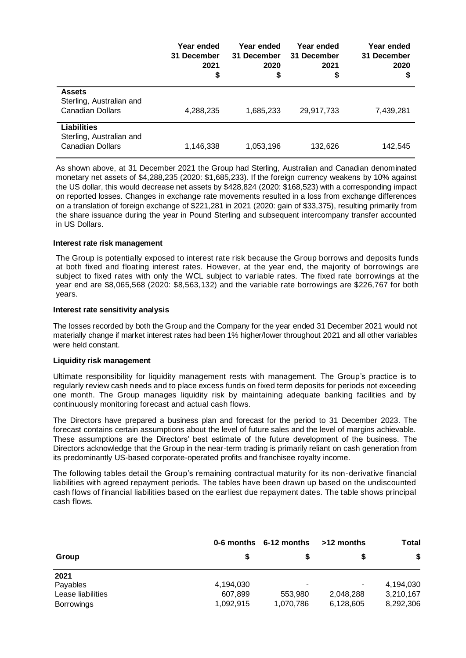|                                                                           | Year ended<br>31 December<br>2021<br>\$ | Year ended<br>31 December<br>2020<br>\$ | Year ended<br>31 December<br>2021<br>\$ | Year ended<br>31 December<br>2020<br>\$ |
|---------------------------------------------------------------------------|-----------------------------------------|-----------------------------------------|-----------------------------------------|-----------------------------------------|
| <b>Assets</b><br>Sterling, Australian and<br><b>Canadian Dollars</b>      | 4,288,235                               | 1,685,233                               | 29,917,733                              | 7,439,281                               |
| <b>Liabilities</b><br>Sterling, Australian and<br><b>Canadian Dollars</b> | 1,146,338                               | 1,053,196                               | 132,626                                 | 142,545                                 |

As shown above, at 31 December 2021 the Group had Sterling, Australian and Canadian denominated monetary net assets of \$4,288,235 (2020: \$1,685,233). If the foreign currency weakens by 10% against the US dollar, this would decrease net assets by \$428,824 (2020: \$168,523) with a corresponding impact on reported losses. Changes in exchange rate movements resulted in a loss from exchange differences on a translation of foreign exchange of \$221,281 in 2021 (2020: gain of \$33,375), resulting primarily from the share issuance during the year in Pound Sterling and subsequent intercompany transfer accounted in US Dollars.

#### **Interest rate risk management**

The Group is potentially exposed to interest rate risk because the Group borrows and deposits funds at both fixed and floating interest rates. However, at the year end, the majority of borrowings are subject to fixed rates with only the WCL subject to variable rates. The fixed rate borrowings at the year end are \$8,065,568 (2020: \$8,563,132) and the variable rate borrowings are \$226,767 for both years.

#### **Interest rate sensitivity analysis**

The losses recorded by both the Group and the Company for the year ended 31 December 2021 would not materially change if market interest rates had been 1% higher/lower throughout 2021 and all other variables were held constant.

#### **Liquidity risk management**

Ultimate responsibility for liquidity management rests with management. The Group's practice is to regularly review cash needs and to place excess funds on fixed term deposits for periods not exceeding one month. The Group manages liquidity risk by maintaining adequate banking facilities and by continuously monitoring forecast and actual cash flows.

The Directors have prepared a business plan and forecast for the period to 31 December 2023. The forecast contains certain assumptions about the level of future sales and the level of margins achievable. These assumptions are the Directors' best estimate of the future development of the business. The Directors acknowledge that the Group in the near-term trading is primarily reliant on cash generation from its predominantly US-based corporate-operated profits and franchisee royalty income.

The following tables detail the Group's remaining contractual maturity for its non-derivative financial liabilities with agreed repayment periods. The tables have been drawn up based on the undiscounted cash flows of financial liabilities based on the earliest due repayment dates. The table shows principal cash flows.

|                   |           | 0-6 months 6-12 months   |           | <b>Total</b> |  |
|-------------------|-----------|--------------------------|-----------|--------------|--|
| Group             | S         | æ                        |           | \$           |  |
| 2021              |           |                          |           |              |  |
| Payables          | 4,194,030 | $\overline{\phantom{a}}$ | ٠         | 4,194,030    |  |
| Lease liabilities | 607.899   | 553.980                  | 2,048,288 | 3,210,167    |  |
| <b>Borrowings</b> | 1,092,915 | 1,070,786                | 6,128,605 | 8,292,306    |  |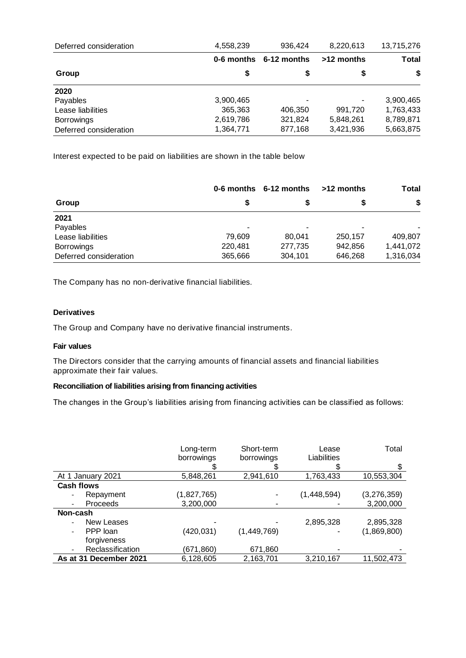| Deferred consideration | 4,558,239  | 936.424     | 8,220,613  | 13,715,276   |
|------------------------|------------|-------------|------------|--------------|
|                        | 0-6 months | 6-12 months | >12 months | <b>Total</b> |
| Group                  | \$         | \$          | S          | \$           |
| 2020                   |            |             |            |              |
| Payables               | 3,900,465  | ۰           |            | 3,900,465    |
| Lease liabilities      | 365,363    | 406,350     | 991,720    | 1,763,433    |
| <b>Borrowings</b>      | 2,619,786  | 321,824     | 5,848,261  | 8,789,871    |
| Deferred consideration | 1,364,771  | 877,168     | 3,421,936  | 5,663,875    |

Interest expected to be paid on liabilities are shown in the table below

|                        |         | 0-6 months 6-12 months | >12 months | Total     |
|------------------------|---------|------------------------|------------|-----------|
| Group                  |         | S                      |            | \$        |
| 2021                   |         |                        |            |           |
| Payables               | ۰       | ۰                      |            |           |
| Lease liabilities      | 79.609  | 80.041                 | 250,157    | 409,807   |
| <b>Borrowings</b>      | 220,481 | 277,735                | 942,856    | 1,441,072 |
| Deferred consideration | 365,666 | 304,101                | 646,268    | 1,316,034 |

The Company has no non-derivative financial liabilities.

# **Derivatives**

The Group and Company have no derivative financial instruments.

## **Fair values**

The Directors consider that the carrying amounts of financial assets and financial liabilities approximate their fair values.

## **Reconciliation of liabilities arising from financing activities**

The changes in the Group's liabilities arising from financing activities can be classified as follows:

|                        | Long-term   | Short-term  | Lease       | Total       |
|------------------------|-------------|-------------|-------------|-------------|
|                        | borrowings  | borrowings  | Liabilities |             |
|                        |             |             |             |             |
| At 1 January 2021      | 5,848,261   | 2,941,610   | 1,763,433   | 10,553,304  |
| <b>Cash flows</b>      |             |             |             |             |
| Repayment              | (1,827,765) |             | (1,448,594) | (3,276,359) |
| <b>Proceeds</b>        | 3,200,000   |             |             | 3,200,000   |
| Non-cash               |             |             |             |             |
| New Leases             |             |             | 2,895,328   | 2,895,328   |
| PPP loan               | (420,031)   | (1,449,769) |             | (1,869,800) |
| forgiveness            |             |             |             |             |
| Reclassification       | (671,860)   | 671,860     |             |             |
| As at 31 December 2021 | 6,128,605   | 2,163,701   | 3,210,167   | 11,502,473  |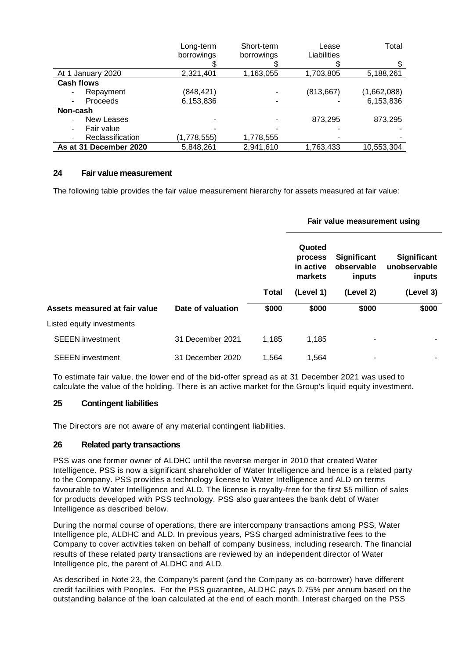|                        | Long-term   | Short-term | Lease       | Total       |
|------------------------|-------------|------------|-------------|-------------|
|                        | borrowings  | borrowings | Liabilities |             |
|                        |             |            |             |             |
| At 1 January 2020      | 2,321,401   | 1,163,055  | 1,703,805   | 5,188,261   |
| <b>Cash flows</b>      |             |            |             |             |
| Repayment              | (848, 421)  |            | (813, 667)  | (1,662,088) |
| Proceeds               | 6,153,836   |            |             | 6,153,836   |
| Non-cash               |             |            |             |             |
| <b>New Leases</b>      |             |            | 873,295     | 873,295     |
| Fair value             |             |            |             |             |
| Reclassification       | (1,778,555) | 1,778,555  |             |             |
| As at 31 December 2020 | 5,848,261   | 2,941,610  | 1,763,433   | 10,553,304  |

## **24 Fair value measurement**

The following table provides the fair value measurement hierarchy for assets measured at fair value:

|                               |                   |              | Fair value measurement using              |                                            |                                       |
|-------------------------------|-------------------|--------------|-------------------------------------------|--------------------------------------------|---------------------------------------|
|                               |                   |              | Quoted<br>process<br>in active<br>markets | <b>Significant</b><br>observable<br>inputs | Significant<br>unobservable<br>inputs |
|                               |                   | <b>Total</b> | (Level 1)                                 | (Level 2)                                  | (Level 3)                             |
| Assets measured at fair value | Date of valuation | \$000        | \$000                                     | \$000                                      | \$000                                 |
| Listed equity investments     |                   |              |                                           |                                            |                                       |
| <b>SEEEN</b> investment       | 31 December 2021  | 1,185        | 1,185                                     | ۰                                          |                                       |
| <b>SEEEN</b> investment       | 31 December 2020  | 1.564        | 1.564                                     | ۰                                          |                                       |

To estimate fair value, the lower end of the bid-offer spread as at 31 December 2021 was used to calculate the value of the holding. There is an active market for the Group's liquid equity investment.

## **25 Contingent liabilities**

The Directors are not aware of any material contingent liabilities.

## **26 Related party transactions**

PSS was one former owner of ALDHC until the reverse merger in 2010 that created Water Intelligence. PSS is now a significant shareholder of Water Intelligence and hence is a related party to the Company. PSS provides a technology license to Water Intelligence and ALD on terms favourable to Water Intelligence and ALD. The license is royalty-free for the first \$5 million of sales for products developed with PSS technology. PSS also guarantees the bank debt of Water Intelligence as described below.

During the normal course of operations, there are intercompany transactions among PSS, Water Intelligence plc, ALDHC and ALD. In previous years, PSS charged administrative fees to the Company to cover activities taken on behalf of company business, including research. The financial results of these related party transactions are reviewed by an independent director of Water Intelligence plc, the parent of ALDHC and ALD.

As described in Note 23, the Company's parent (and the Company as co-borrower) have different credit facilities with Peoples. For the PSS guarantee, ALDHC pays 0.75% per annum based on the outstanding balance of the loan calculated at the end of each month. Interest charged on the PSS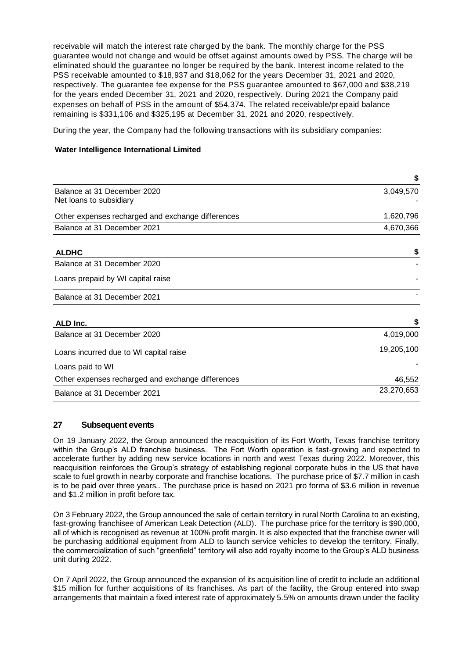receivable will match the interest rate charged by the bank. The monthly charge for the PSS guarantee would not change and would be offset against amounts owed by PSS. The charge will be eliminated should the guarantee no longer be required by the bank. Interest income related to the PSS receivable amounted to \$18,937 and \$18,062 for the years December 31, 2021 and 2020, respectively. The guarantee fee expense for the PSS guarantee amounted to \$67,000 and \$38,219 for the years ended December 31, 2021 and 2020, respectively. During 2021 the Company paid expenses on behalf of PSS in the amount of \$54,374. The related receivable/prepaid balance remaining is \$331,106 and \$325,195 at December 31, 2021 and 2020, respectively.

During the year, the Company had the following transactions with its subsidiary companies:

## **Water Intelligence International Limited**

|                                                   | \$         |
|---------------------------------------------------|------------|
| Balance at 31 December 2020                       | 3,049,570  |
| Net loans to subsidiary                           |            |
| Other expenses recharged and exchange differences | 1,620,796  |
| Balance at 31 December 2021                       | 4,670,366  |
| <b>ALDHC</b>                                      | \$         |
| Balance at 31 December 2020                       |            |
| Loans prepaid by WI capital raise                 |            |
| Balance at 31 December 2021                       |            |
| ALD Inc.                                          | \$         |
| Balance at 31 December 2020                       | 4,019,000  |
| Loans incurred due to WI capital raise            | 19,205,100 |
| Loans paid to WI                                  |            |
| Other expenses recharged and exchange differences | 46,552     |
| Balance at 31 December 2021                       | 23,270,653 |

## **27 Subsequent events**

On 19 January 2022, the Group announced the reacquisition of its Fort Worth, Texas franchise territory within the Group's ALD franchise business. The Fort Worth operation is fast-growing and expected to accelerate further by adding new service locations in north and west Texas during 2022. Moreover, this reacquisition reinforces the Group's strategy of establishing regional corporate hubs in the US that have scale to fuel growth in nearby corporate and franchise locations. The purchase price of \$7.7 million in cash is to be paid over three years.. The purchase price is based on 2021 pro forma of \$3.6 million in revenue and \$1.2 million in profit before tax.

On 3 February 2022, the Group announced the sale of certain territory in rural North Carolina to an existing, fast-growing franchisee of American Leak Detection (ALD). The purchase price for the territory is \$90,000, all of which is recognised as revenue at 100% profit margin. It is also expected that the franchise owner will be purchasing additional equipment from ALD to launch service vehicles to develop the territory. Finally, the commercialization of such "greenfield" territory will also add royalty income to the Group's ALD business unit during 2022.

On 7 April 2022, the Group announced the expansion of its acquisition line of credit to include an additional \$15 million for further acquisitions of its franchises. As part of the facility, the Group entered into swap arrangements that maintain a fixed interest rate of approximately 5.5% on amounts drawn under the facility